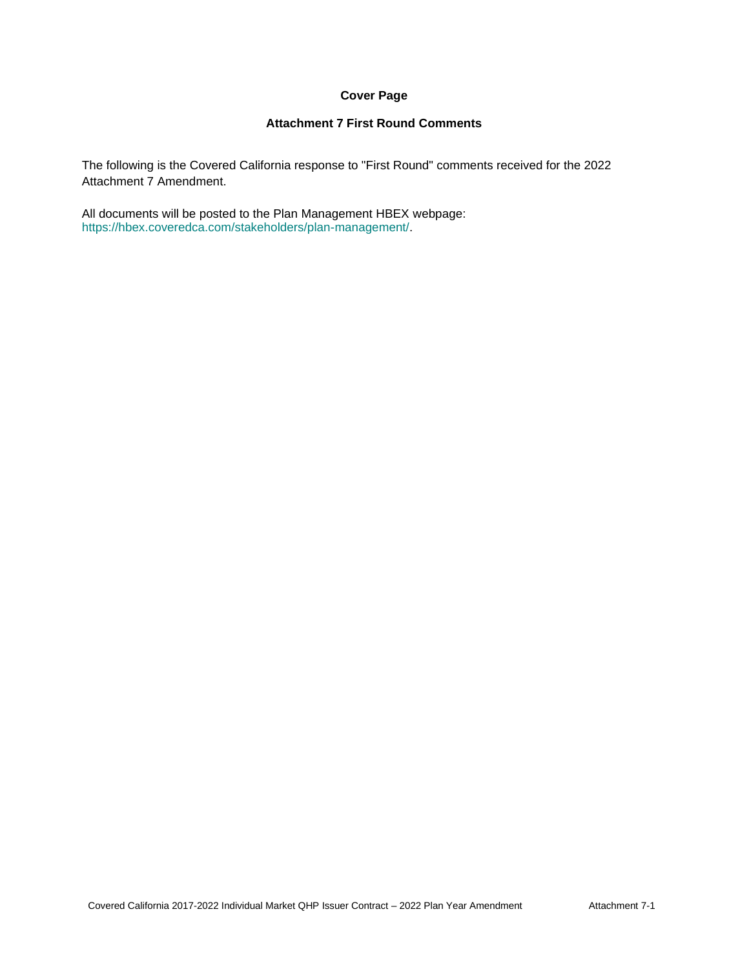# **Cover Page**

### **Attachment 7 First Round Comments**

The following is the Covered California response to "First Round" comments received for the 2022 Attachment 7 Amendment.

All documents will be posted to the Plan Management HBEX webpage: https://hbex.coveredca.com/stakeholders/plan-management/.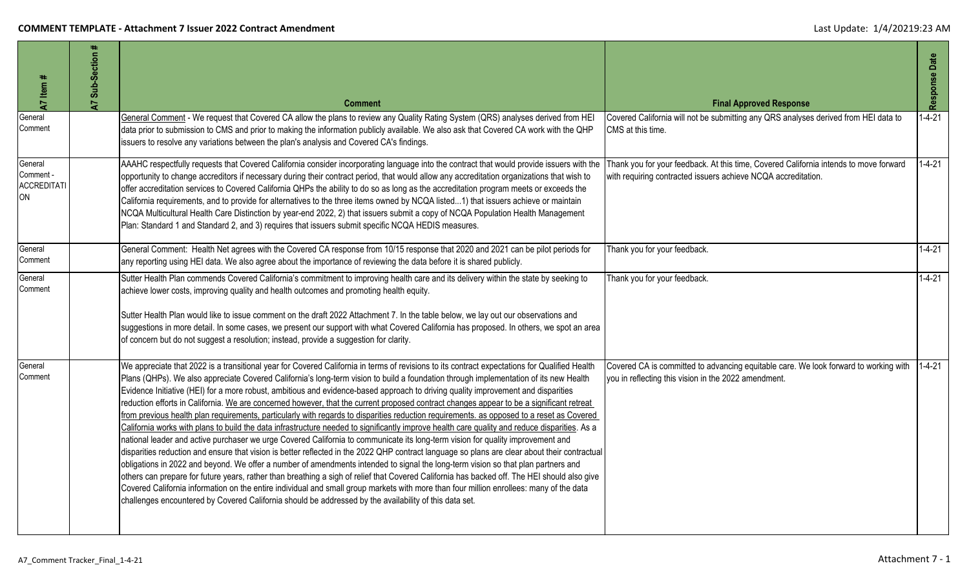| A7 Item #                                        | A7 Sub-Section # | <b>Comment</b>                                                                                                                                                                                                                                                                                                                                                                                                                                                                                                                                                                                                                                                                                                                                                                                                                                                                                                                                                                                                                                                                                                                                                                                                                                                                                                                                                                                                                                                                                                                                                                                                                                                                                      | <b>Final Approved Response</b>                                                                                                                         | Response Date |
|--------------------------------------------------|------------------|-----------------------------------------------------------------------------------------------------------------------------------------------------------------------------------------------------------------------------------------------------------------------------------------------------------------------------------------------------------------------------------------------------------------------------------------------------------------------------------------------------------------------------------------------------------------------------------------------------------------------------------------------------------------------------------------------------------------------------------------------------------------------------------------------------------------------------------------------------------------------------------------------------------------------------------------------------------------------------------------------------------------------------------------------------------------------------------------------------------------------------------------------------------------------------------------------------------------------------------------------------------------------------------------------------------------------------------------------------------------------------------------------------------------------------------------------------------------------------------------------------------------------------------------------------------------------------------------------------------------------------------------------------------------------------------------------------|--------------------------------------------------------------------------------------------------------------------------------------------------------|---------------|
| General<br>Comment                               |                  | General Comment - We request that Covered CA allow the plans to review any Quality Rating System (QRS) analyses derived from HEI<br>data prior to submission to CMS and prior to making the information publicly available. We also ask that Covered CA work with the QHP<br>issuers to resolve any variations between the plan's analysis and Covered CA's findings.                                                                                                                                                                                                                                                                                                                                                                                                                                                                                                                                                                                                                                                                                                                                                                                                                                                                                                                                                                                                                                                                                                                                                                                                                                                                                                                               | Covered California will not be submitting any QRS analyses derived from HEI data to<br>CMS at this time.                                               | $1 - 4 - 21$  |
| General<br>Comment -<br>ACCREDITATI<br><b>ON</b> |                  | AAAHC respectfully requests that Covered California consider incorporating language into the contract that would provide issuers with the<br>opportunity to change accreditors if necessary during their contract period, that would allow any accreditation organizations that wish to<br>offer accreditation services to Covered California QHPs the ability to do so as long as the accreditation program meets or exceeds the<br>California requirements, and to provide for alternatives to the three items owned by NCQA listed1) that issuers achieve or maintain<br>NCQA Multicultural Health Care Distinction by year-end 2022, 2) that issuers submit a copy of NCQA Population Health Management<br>Plan: Standard 1 and Standard 2, and 3) requires that issuers submit specific NCQA HEDIS measures.                                                                                                                                                                                                                                                                                                                                                                                                                                                                                                                                                                                                                                                                                                                                                                                                                                                                                   | Thank you for your feedback. At this time, Covered California intends to move forward<br>with requiring contracted issuers achieve NCQA accreditation. | $1 - 4 - 21$  |
| General<br>Comment                               |                  | General Comment: Health Net agrees with the Covered CA response from 10/15 response that 2020 and 2021 can be pilot periods for<br>any reporting using HEI data. We also agree about the importance of reviewing the data before it is shared publicly.                                                                                                                                                                                                                                                                                                                                                                                                                                                                                                                                                                                                                                                                                                                                                                                                                                                                                                                                                                                                                                                                                                                                                                                                                                                                                                                                                                                                                                             | Thank you for your feedback.                                                                                                                           | $1 - 4 - 21$  |
| General<br>Comment                               |                  | Sutter Health Plan commends Covered California's commitment to improving health care and its delivery within the state by seeking to<br>achieve lower costs, improving quality and health outcomes and promoting health equity.<br>Sutter Health Plan would like to issue comment on the draft 2022 Attachment 7. In the table below, we lay out our observations and<br>suggestions in more detail. In some cases, we present our support with what Covered California has proposed. In others, we spot an area<br>of concern but do not suggest a resolution; instead, provide a suggestion for clarity.                                                                                                                                                                                                                                                                                                                                                                                                                                                                                                                                                                                                                                                                                                                                                                                                                                                                                                                                                                                                                                                                                          | Thank you for your feedback.                                                                                                                           | $1 - 4 - 21$  |
| General<br>Comment                               |                  | We appreciate that 2022 is a transitional year for Covered California in terms of revisions to its contract expectations for Qualified Health<br>Plans (QHPs). We also appreciate Covered California's long-term vision to build a foundation through implementation of its new Health<br>Evidence Initiative (HEI) for a more robust, ambitious and evidence-based approach to driving quality improvement and disparities<br>reduction efforts in California. We are concerned however, that the current proposed contract changes appear to be a significant retreat<br>from previous health plan requirements, particularly with regards to disparities reduction requirements. as opposed to a reset as Covered<br>California works with plans to build the data infrastructure needed to significantly improve health care quality and reduce disparities. As a<br>national leader and active purchaser we urge Covered California to communicate its long-term vision for quality improvement and<br>disparities reduction and ensure that vision is better reflected in the 2022 QHP contract language so plans are clear about their contractual<br>obligations in 2022 and beyond. We offer a number of amendments intended to signal the long-term vision so that plan partners and<br>others can prepare for future years, rather than breathing a sigh of relief that Covered California has backed off. The HEI should also give<br>Covered California information on the entire individual and small group markets with more than four million enrollees: many of the data<br>challenges encountered by Covered California should be addressed by the availability of this data set. | Covered CA is committed to advancing equitable care. We look forward to working with<br>you in reflecting this vision in the 2022 amendment.           | $1 - 4 - 21$  |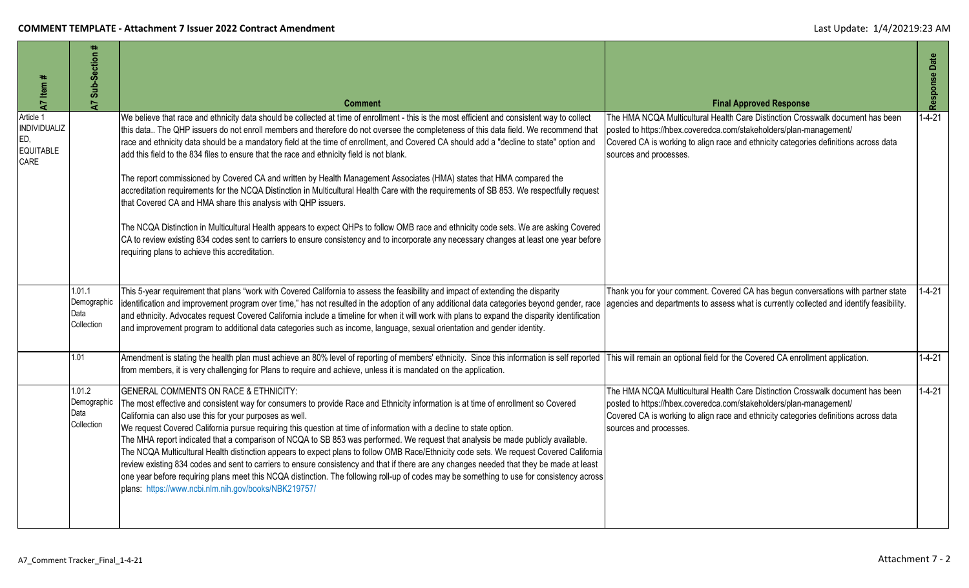| A7 Item #                                                    | $\ddot{}$<br>Sub-Section<br>$\overline{a}$  | <b>Comment</b>                                                                                                                                                                                                                                                                                                                                                                                                                                                                                                                                                                                                                                                                                                                                                                                                                                                                                                                                                                                                                                                                                                                                                                                            | <b>Final Approved Response</b>                                                                                                                                                                                                                                         | Response Date |
|--------------------------------------------------------------|---------------------------------------------|-----------------------------------------------------------------------------------------------------------------------------------------------------------------------------------------------------------------------------------------------------------------------------------------------------------------------------------------------------------------------------------------------------------------------------------------------------------------------------------------------------------------------------------------------------------------------------------------------------------------------------------------------------------------------------------------------------------------------------------------------------------------------------------------------------------------------------------------------------------------------------------------------------------------------------------------------------------------------------------------------------------------------------------------------------------------------------------------------------------------------------------------------------------------------------------------------------------|------------------------------------------------------------------------------------------------------------------------------------------------------------------------------------------------------------------------------------------------------------------------|---------------|
| Article 1<br>INDIVIDUALIZ<br>ED,<br><b>EQUITABLE</b><br>CARE |                                             | We believe that race and ethnicity data should be collected at time of enrollment - this is the most efficient and consistent way to collect<br>this data The QHP issuers do not enroll members and therefore do not oversee the completeness of this data field. We recommend that<br>race and ethnicity data should be a mandatory field at the time of enrollment, and Covered CA should add a "decline to state" option and<br>add this field to the 834 files to ensure that the race and ethnicity field is not blank.<br>The report commissioned by Covered CA and written by Health Management Associates (HMA) states that HMA compared the<br>accreditation requirements for the NCQA Distinction in Multicultural Health Care with the requirements of SB 853. We respectfully request<br>that Covered CA and HMA share this analysis with QHP issuers.<br>The NCQA Distinction in Multicultural Health appears to expect QHPs to follow OMB race and ethnicity code sets. We are asking Covered<br>CA to review existing 834 codes sent to carriers to ensure consistency and to incorporate any necessary changes at least one year before<br>requiring plans to achieve this accreditation. | The HMA NCQA Multicultural Health Care Distinction Crosswalk document has been<br>bosted to https://hbex.coveredca.com/stakeholders/plan-management/<br>Covered CA is working to align race and ethnicity categories definitions across data<br>sources and processes. | $1 - 4 - 21$  |
|                                                              | 1.01.1<br>Demographic<br>Data<br>Collection | This 5-year requirement that plans "work with Covered California to assess the feasibility and impact of extending the disparity<br>identification and improvement program over time," has not resulted in the adoption of any additional data categories beyond gender, race<br>and ethnicity. Advocates request Covered California include a timeline for when it will work with plans to expand the disparity identification<br>and improvement program to additional data categories such as income, language, sexual orientation and gender identity.                                                                                                                                                                                                                                                                                                                                                                                                                                                                                                                                                                                                                                                | Thank you for your comment. Covered CA has begun conversations with partner state<br>agencies and departments to assess what is currently collected and identify feasibility.                                                                                          | $1 - 4 - 21$  |
|                                                              | 1.01                                        | Amendment is stating the health plan must achieve an 80% level of reporting of members' ethnicity. Since this information is self reported This will remain an optional field for the Covered CA enrollment application.<br>from members, it is very challenging for Plans to require and achieve, unless it is mandated on the application.                                                                                                                                                                                                                                                                                                                                                                                                                                                                                                                                                                                                                                                                                                                                                                                                                                                              |                                                                                                                                                                                                                                                                        | $1 - 4 - 21$  |
|                                                              | 1.01.2<br>Demographic<br>Data<br>Collection | GENERAL COMMENTS ON RACE & ETHNICITY:<br>The most effective and consistent way for consumers to provide Race and Ethnicity information is at time of enrollment so Covered<br>California can also use this for your purposes as well.<br>We request Covered California pursue requiring this question at time of information with a decline to state option.<br>The MHA report indicated that a comparison of NCQA to SB 853 was performed. We request that analysis be made publicly available.<br>The NCQA Multicultural Health distinction appears to expect plans to follow OMB Race/Ethnicity code sets. We request Covered California<br>review existing 834 codes and sent to carriers to ensure consistency and that if there are any changes needed that they be made at least<br>one year before requiring plans meet this NCQA distinction. The following roll-up of codes may be something to use for consistency across<br>plans: https://www.ncbi.nlm.nih.gov/books/NBK219757/                                                                                                                                                                                                              | The HMA NCQA Multicultural Health Care Distinction Crosswalk document has been<br>posted to https://hbex.coveredca.com/stakeholders/plan-management/<br>Covered CA is working to align race and ethnicity categories definitions across data<br>sources and processes. | $1 - 4 - 21$  |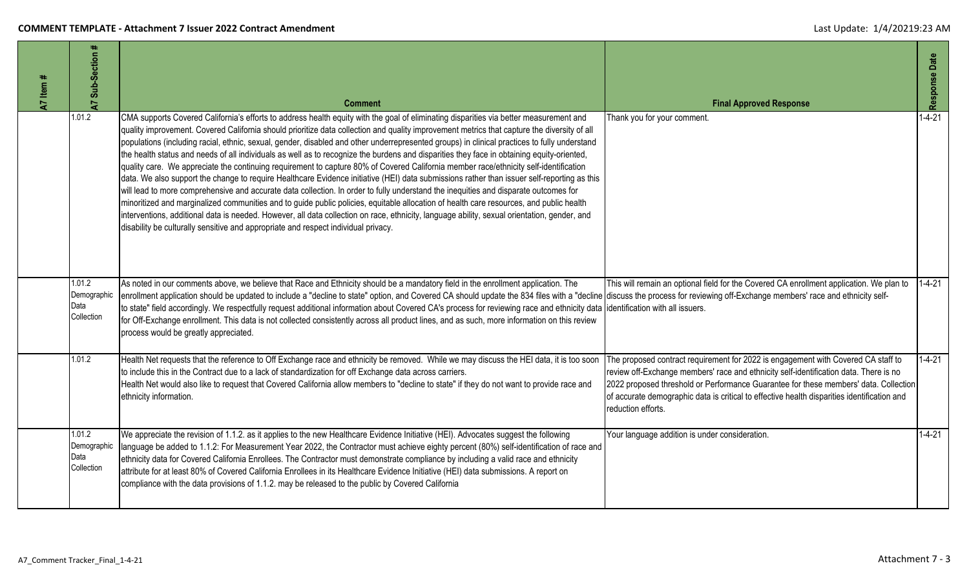| 47 Item # | Sub-Section #<br>5                          | <b>Comment</b>                                                                                                                                                                                                                                                                                                                                                                                                                                                                                                                                                                                                                                                                                                                                                                                                                                                                                                                                                                                                                                                                                                                                                                                                                                                                                                                                                                                       | <b>Final Approved Response</b>                                                                                                                                                                                                                                                                                                                                                          | Response Date |
|-----------|---------------------------------------------|------------------------------------------------------------------------------------------------------------------------------------------------------------------------------------------------------------------------------------------------------------------------------------------------------------------------------------------------------------------------------------------------------------------------------------------------------------------------------------------------------------------------------------------------------------------------------------------------------------------------------------------------------------------------------------------------------------------------------------------------------------------------------------------------------------------------------------------------------------------------------------------------------------------------------------------------------------------------------------------------------------------------------------------------------------------------------------------------------------------------------------------------------------------------------------------------------------------------------------------------------------------------------------------------------------------------------------------------------------------------------------------------------|-----------------------------------------------------------------------------------------------------------------------------------------------------------------------------------------------------------------------------------------------------------------------------------------------------------------------------------------------------------------------------------------|---------------|
|           | 1.01.2                                      | CMA supports Covered California's efforts to address health equity with the goal of eliminating disparities via better measurement and<br>quality improvement. Covered California should prioritize data collection and quality improvement metrics that capture the diversity of all<br>populations (including racial, ethnic, sexual, gender, disabled and other underrepresented groups) in clinical practices to fully understand<br>the health status and needs of all individuals as well as to recognize the burdens and disparities they face in obtaining equity-oriented,<br>quality care. We appreciate the continuing requirement to capture 80% of Covered California member race/ethnicity self-identification<br>data. We also support the change to require Healthcare Evidence initiative (HEI) data submissions rather than issuer self-reporting as this<br>will lead to more comprehensive and accurate data collection. In order to fully understand the inequities and disparate outcomes for<br>minoritized and marginalized communities and to guide public policies, equitable allocation of health care resources, and public health<br>interventions, additional data is needed. However, all data collection on race, ethnicity, language ability, sexual orientation, gender, and<br>disability be culturally sensitive and appropriate and respect individual privacy. | Thank you for your comment.                                                                                                                                                                                                                                                                                                                                                             | $1 - 4 - 21$  |
|           | 1.01.2<br>Demographic<br>Data<br>Collection | As noted in our comments above, we believe that Race and Ethnicity should be a mandatory field in the enrollment application. The<br>enrollment application should be updated to include a "decline to state" option, and Covered CA should update the 834 files with a "decline discuss the process for reviewing off-Exchange members' race and ethnicity self-<br>to state" field accordingly. We respectfully request additional information about Covered CA's process for reviewing race and ethnicity data identification with all issuers.<br>for Off-Exchange enrollment. This data is not collected consistently across all product lines, and as such, more information on this review<br>process would be greatly appreciated.                                                                                                                                                                                                                                                                                                                                                                                                                                                                                                                                                                                                                                                           | This will remain an optional field for the Covered CA enrollment application. We plan to                                                                                                                                                                                                                                                                                                | $1 - 4 - 21$  |
|           | 1.01.2                                      | Health Net requests that the reference to Off Exchange race and ethnicity be removed. While we may discuss the HEI data, it is too soon<br>to include this in the Contract due to a lack of standardization for off Exchange data across carriers.<br>Health Net would also like to request that Covered California allow members to "decline to state" if they do not want to provide race and<br>ethnicity information.                                                                                                                                                                                                                                                                                                                                                                                                                                                                                                                                                                                                                                                                                                                                                                                                                                                                                                                                                                            | The proposed contract requirement for 2022 is engagement with Covered CA staff to<br>review off-Exchange members' race and ethnicity self-identification data. There is no<br>2022 proposed threshold or Performance Guarantee for these members' data. Collection<br>of accurate demographic data is critical to effective health disparities identification and<br>reduction efforts. | $1 - 4 - 21$  |
|           | 1.01.2<br>Demographic<br>Data<br>Collection | We appreciate the revision of 1.1.2. as it applies to the new Healthcare Evidence Initiative (HEI). Advocates suggest the following<br>language be added to 1.1.2: For Measurement Year 2022, the Contractor must achieve eighty percent (80%) self-identification of race and<br>ethnicity data for Covered California Enrollees. The Contractor must demonstrate compliance by including a valid race and ethnicity<br>attribute for at least 80% of Covered California Enrollees in its Healthcare Evidence Initiative (HEI) data submissions. A report on<br>compliance with the data provisions of 1.1.2. may be released to the public by Covered California                                                                                                                                                                                                                                                                                                                                                                                                                                                                                                                                                                                                                                                                                                                                   | Your language addition is under consideration.                                                                                                                                                                                                                                                                                                                                          | $1 - 4 - 21$  |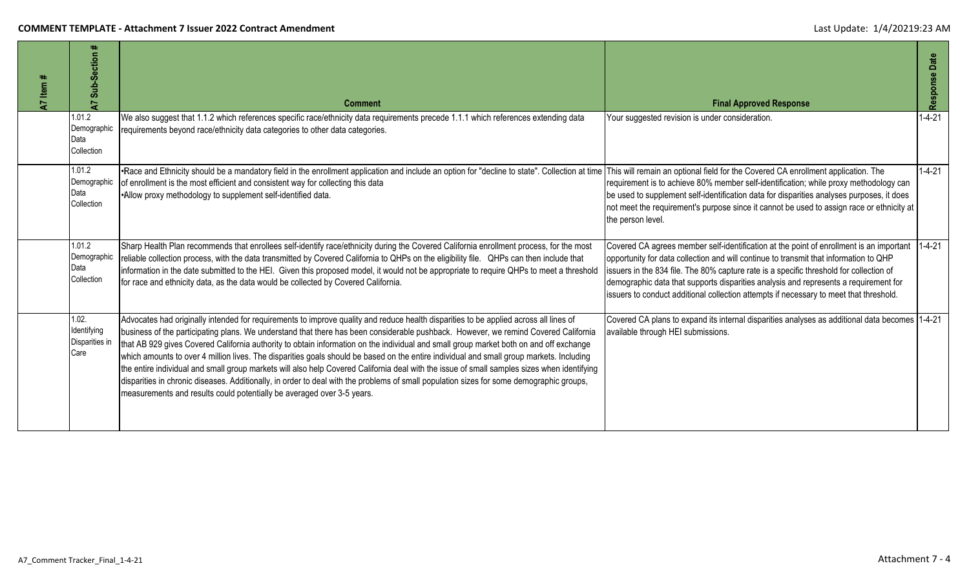| A7 Item | Ħ<br>Sub-Section<br>5                          | <b>Comment</b>                                                                                                                                                                                                                                                                                                                                                                                                                                                                                                                                                                                                                                                                                                                                                                                                                                                                                                                          | <b>Final Approved Response</b>                                                                                                                                                                                                                                                                                                                                                                                                                                       | Response Date |
|---------|------------------------------------------------|-----------------------------------------------------------------------------------------------------------------------------------------------------------------------------------------------------------------------------------------------------------------------------------------------------------------------------------------------------------------------------------------------------------------------------------------------------------------------------------------------------------------------------------------------------------------------------------------------------------------------------------------------------------------------------------------------------------------------------------------------------------------------------------------------------------------------------------------------------------------------------------------------------------------------------------------|----------------------------------------------------------------------------------------------------------------------------------------------------------------------------------------------------------------------------------------------------------------------------------------------------------------------------------------------------------------------------------------------------------------------------------------------------------------------|---------------|
|         | 1.01.2<br>Demographic<br>Data<br>Collection    | We also suggest that 1.1.2 which references specific race/ethnicity data requirements precede 1.1.1 which references extending data<br>requirements beyond race/ethnicity data categories to other data categories.                                                                                                                                                                                                                                                                                                                                                                                                                                                                                                                                                                                                                                                                                                                     | Your suggested revision is under consideration.                                                                                                                                                                                                                                                                                                                                                                                                                      | $1 - 4 - 21$  |
|         | 1.01.2<br>Demographic<br>Data<br>Collection    | •Race and Ethnicity should be a mandatory field in the enrollment application and include an option for "decline to state". Collection at time<br>of enrollment is the most efficient and consistent way for collecting this data<br>•Allow proxy methodology to supplement self-identified data.                                                                                                                                                                                                                                                                                                                                                                                                                                                                                                                                                                                                                                       | This will remain an optional field for the Covered CA enrollment application. The<br>requirement is to achieve 80% member self-identification; while proxy methodology can<br>be used to supplement self-identification data for disparities analyses purposes, it does<br>not meet the requirement's purpose since it cannot be used to assign race or ethnicity at<br>the person level.                                                                            | $1 - 4 - 21$  |
|         | 1.01.2<br>Demographic<br>Data<br>Collection    | Sharp Health Plan recommends that enrollees self-identify race/ethnicity during the Covered California enrollment process, for the most<br>reliable collection process, with the data transmitted by Covered California to QHPs on the eligibility file. QHPs can then include that<br>information in the date submitted to the HEI. Given this proposed model, it would not be appropriate to require QHPs to meet a threshold<br>for race and ethnicity data, as the data would be collected by Covered California.                                                                                                                                                                                                                                                                                                                                                                                                                   | Covered CA agrees member self-identification at the point of enrollment is an important 1-4-21<br>opportunity for data collection and will continue to transmit that information to QHP<br>issuers in the 834 file. The 80% capture rate is a specific threshold for collection of<br>demographic data that supports disparities analysis and represents a requirement for<br>issuers to conduct additional collection attempts if necessary to meet that threshold. |               |
|         | 1.02.<br>Identifying<br>Disparities in<br>Care | Advocates had originally intended for requirements to improve quality and reduce health disparities to be applied across all lines of<br>business of the participating plans. We understand that there has been considerable pushback. However, we remind Covered California<br>that AB 929 gives Covered California authority to obtain information on the individual and small group market both on and off exchange<br>which amounts to over 4 million lives. The disparities goals should be based on the entire individual and small group markets. Including<br>the entire individual and small group markets will also help Covered California deal with the issue of small samples sizes when identifying<br>disparities in chronic diseases. Additionally, in order to deal with the problems of small population sizes for some demographic groups,<br>measurements and results could potentially be averaged over 3-5 years. | Covered CA plans to expand its internal disparities analyses as additional data becomes 1-4-21<br>available through HEI submissions.                                                                                                                                                                                                                                                                                                                                 |               |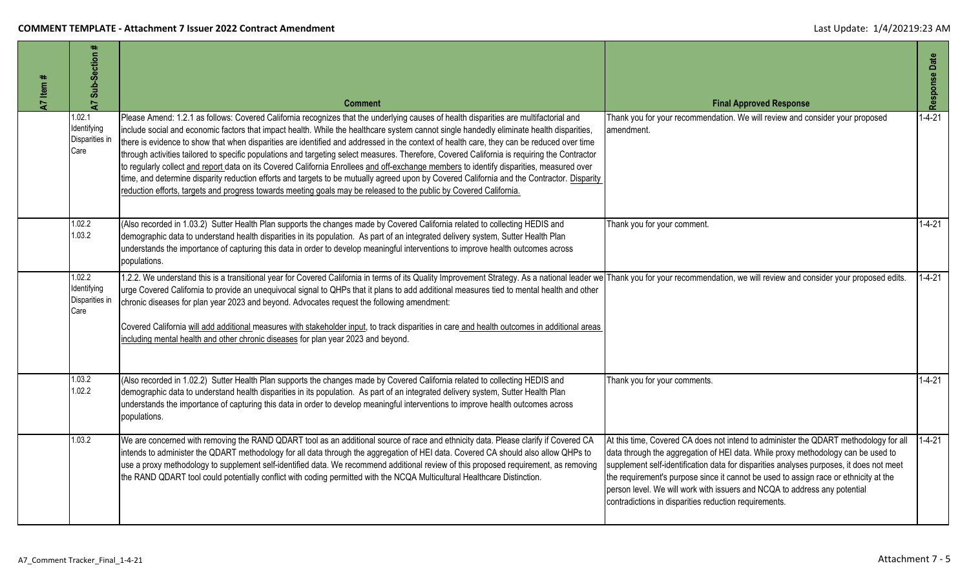| $47$ Item # | Sub-Section #<br>$\overline{A}$                 | <b>Comment</b>                                                                                                                                                                                                                                                                                                                                                                                                                                                                                                                                                                                                                                                                                                                                                                                                                                                                                                                                                                                 | <b>Final Approved Response</b>                                                                                                                                                                                                                                                                                                                                                                                                                                                                    | Response Date |
|-------------|-------------------------------------------------|------------------------------------------------------------------------------------------------------------------------------------------------------------------------------------------------------------------------------------------------------------------------------------------------------------------------------------------------------------------------------------------------------------------------------------------------------------------------------------------------------------------------------------------------------------------------------------------------------------------------------------------------------------------------------------------------------------------------------------------------------------------------------------------------------------------------------------------------------------------------------------------------------------------------------------------------------------------------------------------------|---------------------------------------------------------------------------------------------------------------------------------------------------------------------------------------------------------------------------------------------------------------------------------------------------------------------------------------------------------------------------------------------------------------------------------------------------------------------------------------------------|---------------|
|             | 1.02.1<br>Identifying<br>Disparities in<br>Care | Please Amend: 1.2.1 as follows: Covered California recognizes that the underlying causes of health disparities are multifactorial and<br>include social and economic factors that impact health. While the healthcare system cannot single handedly eliminate health disparities,<br>there is evidence to show that when disparities are identified and addressed in the context of health care, they can be reduced over time<br>through activities tailored to specific populations and targeting select measures. Therefore, Covered California is requiring the Contractor<br>to regularly collect and report data on its Covered California Enrollees and off-exchange members to identify disparities, measured over<br>time, and determine disparity reduction efforts and targets to be mutually agreed upon by Covered California and the Contractor. Disparity<br>reduction efforts, targets and progress towards meeting goals may be released to the public by Covered California. | Thank you for your recommendation. We will review and consider your proposed<br>amendment.                                                                                                                                                                                                                                                                                                                                                                                                        | $1 - 4 - 21$  |
|             | 1.02.2<br>1.03.2                                | (Also recorded in 1.03.2) Sutter Health Plan supports the changes made by Covered California related to collecting HEDIS and<br>demographic data to understand health disparities in its population. As part of an integrated delivery system, Sutter Health Plan<br>understands the importance of capturing this data in order to develop meaningful interventions to improve health outcomes across<br>populations.                                                                                                                                                                                                                                                                                                                                                                                                                                                                                                                                                                          | Thank you for your comment.                                                                                                                                                                                                                                                                                                                                                                                                                                                                       | $1 - 4 - 21$  |
|             | 1.02.2<br>Identifying<br>Disparities in<br>Care | 1.2.2. We understand this is a transitional year for Covered California in terms of its Quality Improvement Strategy. As a national leader we Thank you for your recommendation, we will review and consider your proposed edi<br>urge Covered California to provide an unequivocal signal to QHPs that it plans to add additional measures tied to mental health and other<br>chronic diseases for plan year 2023 and beyond. Advocates request the following amendment:<br>Covered California will add additional measures with stakeholder input, to track disparities in care and health outcomes in additional areas<br>including mental health and other chronic diseases for plan year 2023 and beyond.                                                                                                                                                                                                                                                                                 |                                                                                                                                                                                                                                                                                                                                                                                                                                                                                                   | $1 - 4 - 21$  |
|             | 1.03.2<br>1.02.2                                | (Also recorded in 1.02.2) Sutter Health Plan supports the changes made by Covered California related to collecting HEDIS and<br>demographic data to understand health disparities in its population. As part of an integrated delivery system, Sutter Health Plan<br>understands the importance of capturing this data in order to develop meaningful interventions to improve health outcomes across<br>populations.                                                                                                                                                                                                                                                                                                                                                                                                                                                                                                                                                                          | Thank you for your comments.                                                                                                                                                                                                                                                                                                                                                                                                                                                                      | $1 - 4 - 21$  |
|             | 1.03.2                                          | We are concerned with removing the RAND QDART tool as an additional source of race and ethnicity data. Please clarify if Covered CA<br>intends to administer the QDART methodology for all data through the aggregation of HEI data. Covered CA should also allow QHPs to<br>use a proxy methodology to supplement self-identified data. We recommend additional review of this proposed requirement, as removing<br>the RAND QDART tool could potentially conflict with coding permitted with the NCQA Multicultural Healthcare Distinction.                                                                                                                                                                                                                                                                                                                                                                                                                                                  | At this time, Covered CA does not intend to administer the QDART methodology for all<br>data through the aggregation of HEI data. While proxy methodology can be used to<br>supplement self-identification data for disparities analyses purposes, it does not meet<br>the requirement's purpose since it cannot be used to assign race or ethnicity at the<br>person level. We will work with issuers and NCQA to address any potential<br>contradictions in disparities reduction requirements. | $1 - 4 - 21$  |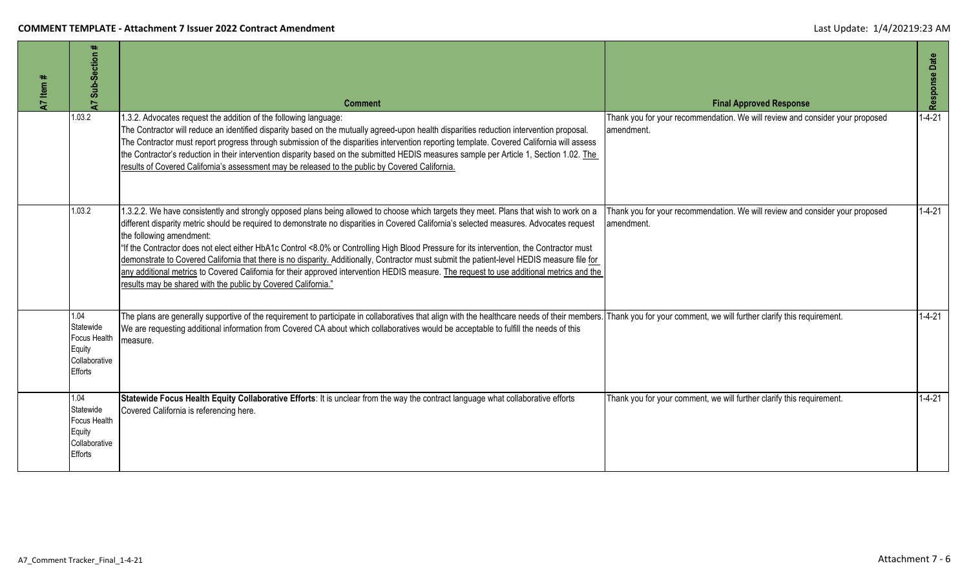| $'$ Item #<br>7 | Sub-Section #<br>5                                                                    | <b>Comment</b>                                                                                                                                                                                                                                                                                                                                                                                                                                                                                                                                                                                                                                                                                                                                                                                                           | <b>Final Approved Response</b>                                                             | Response Date |
|-----------------|---------------------------------------------------------------------------------------|--------------------------------------------------------------------------------------------------------------------------------------------------------------------------------------------------------------------------------------------------------------------------------------------------------------------------------------------------------------------------------------------------------------------------------------------------------------------------------------------------------------------------------------------------------------------------------------------------------------------------------------------------------------------------------------------------------------------------------------------------------------------------------------------------------------------------|--------------------------------------------------------------------------------------------|---------------|
|                 | 1.03.2                                                                                | 1.3.2. Advocates request the addition of the following language:<br>The Contractor will reduce an identified disparity based on the mutually agreed-upon health disparities reduction intervention proposal.<br>The Contractor must report progress through submission of the disparities intervention reporting template. Covered California will assess<br>the Contractor's reduction in their intervention disparity based on the submitted HEDIS measures sample per Article 1, Section 1.02. The<br>results of Covered California's assessment may be released to the public by Covered California.                                                                                                                                                                                                                 | Thank you for your recommendation. We will review and consider your proposed<br>amendment. | $1 - 4 - 21$  |
|                 | 1.03.2                                                                                | 1.3.2.2. We have consistently and strongly opposed plans being allowed to choose which targets they meet. Plans that wish to work on a<br>different disparity metric should be required to demonstrate no disparities in Covered California's selected measures. Advocates request<br>the following amendment:<br>"If the Contractor does not elect either HbA1c Control <8.0% or Controlling High Blood Pressure for its intervention, the Contractor must<br>demonstrate to Covered California that there is no disparity. Additionally, Contractor must submit the patient-level HEDIS measure file for<br>any additional metrics to Covered California for their approved intervention HEDIS measure. The request to use additional metrics and the<br>results may be shared with the public by Covered California." | Thank you for your recommendation. We will review and consider your proposed<br>amendment. | $1 - 4 - 21$  |
|                 | 1.04<br>Statewide<br><b>Focus Health</b><br>Equity<br>Collaborative<br><b>Efforts</b> | The plans are generally supportive of the requirement to participate in collaboratives that align with the healthcare needs of their members. Thank you for your comment, we will further clarify this requirement.<br>We are requesting additional information from Covered CA about which collaboratives would be acceptable to fulfill the needs of this<br>measure.                                                                                                                                                                                                                                                                                                                                                                                                                                                  |                                                                                            | $1 - 4 - 21$  |
|                 | 1.04<br>Statewide<br>Focus Health<br>Equity<br>Collaborative<br>Efforts               | Statewide Focus Health Equity Collaborative Efforts: It is unclear from the way the contract language what collaborative efforts<br>Covered California is referencing here.                                                                                                                                                                                                                                                                                                                                                                                                                                                                                                                                                                                                                                              | Thank you for your comment, we will further clarify this requirement.                      | $1 - 4 - 21$  |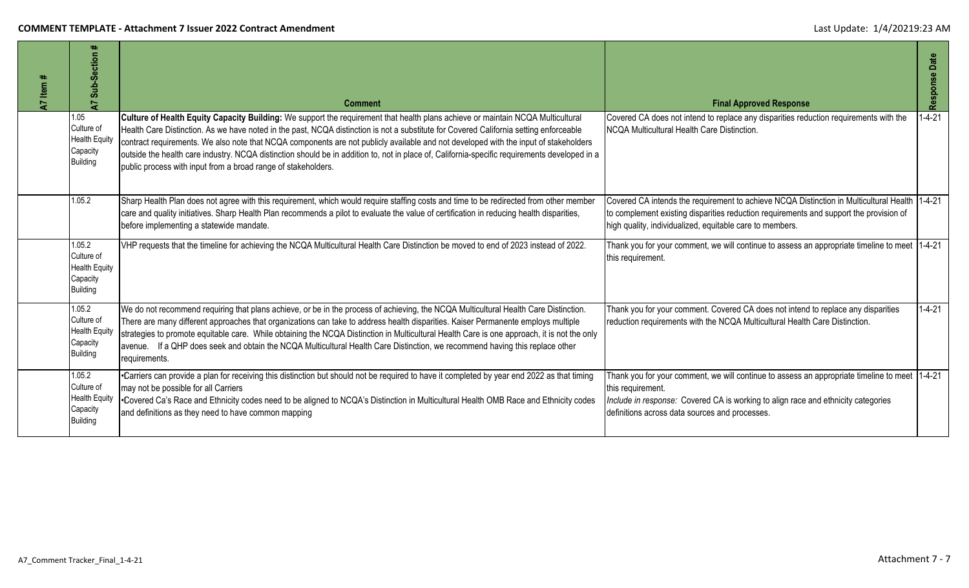| 47 Item # | ₩.<br>Sub-Section<br>7                                                      | <b>Comment</b>                                                                                                                                                                                                                                                                                                                                                                                                                                                                                                                                                                                                                      | <b>Final Approved Response</b>                                                                                                                                                                                                                            | Response Date |
|-----------|-----------------------------------------------------------------------------|-------------------------------------------------------------------------------------------------------------------------------------------------------------------------------------------------------------------------------------------------------------------------------------------------------------------------------------------------------------------------------------------------------------------------------------------------------------------------------------------------------------------------------------------------------------------------------------------------------------------------------------|-----------------------------------------------------------------------------------------------------------------------------------------------------------------------------------------------------------------------------------------------------------|---------------|
|           | 1.05<br>Culture of<br><b>Health Equity</b><br>Capacity<br><b>Building</b>   | Culture of Health Equity Capacity Building: We support the requirement that health plans achieve or maintain NCQA Multicultural<br>Health Care Distinction. As we have noted in the past, NCQA distinction is not a substitute for Covered California setting enforceable<br>contract requirements. We also note that NCQA components are not publicly available and not developed with the input of stakeholders<br>outside the health care industry. NCQA distinction should be in addition to, not in place of, California-specific requirements developed in a<br>public process with input from a broad range of stakeholders. | Covered CA does not intend to replace any disparities reduction requirements with the<br>NCQA Multicultural Health Care Distinction.                                                                                                                      | $1 - 4 - 21$  |
|           | 1.05.2                                                                      | Sharp Health Plan does not agree with this requirement, which would require staffing costs and time to be redirected from other member<br>care and quality initiatives. Sharp Health Plan recommends a pilot to evaluate the value of certification in reducing health disparities,<br>before implementing a statewide mandate.                                                                                                                                                                                                                                                                                                     | Covered CA intends the requirement to achieve NCQA Distinction in Multicultural Health 1-4-21<br>to complement existing disparities reduction requirements and support the provision of<br>high quality, individualized, equitable care to members.       |               |
|           | 1.05.2<br>Culture of<br><b>Health Equity</b><br>Capacity<br><b>Building</b> | VHP requests that the timeline for achieving the NCQA Multicultural Health Care Distinction be moved to end of 2023 instead of 2022.                                                                                                                                                                                                                                                                                                                                                                                                                                                                                                | Thank you for your comment, we will continue to assess an appropriate timeline to meet  1-4-21<br>this requirement.                                                                                                                                       |               |
|           | 1.05.2<br>Culture of<br><b>Health Equity</b><br>Capacity<br><b>Building</b> | We do not recommend requiring that plans achieve, or be in the process of achieving, the NCQA Multicultural Health Care Distinction.<br>There are many different approaches that organizations can take to address health disparities. Kaiser Permanente employs multiple<br>strategies to promote equitable care. While obtaining the NCQA Distinction in Multicultural Health Care is one approach, it is not the only<br>avenue. If a QHP does seek and obtain the NCQA Multicultural Health Care Distinction, we recommend having this replace other<br>requirements.                                                           | Thank you for your comment. Covered CA does not intend to replace any disparities<br>reduction requirements with the NCQA Multicultural Health Care Distinction.                                                                                          | $1 - 4 - 21$  |
|           | 1.05.2<br>Culture of<br><b>Health Equity</b><br>Capacity<br><b>Building</b> | •Carriers can provide a plan for receiving this distinction but should not be required to have it completed by year end 2022 as that timing<br>may not be possible for all Carriers<br>*Covered Ca's Race and Ethnicity codes need to be aligned to NCQA's Distinction in Multicultural Health OMB Race and Ethnicity codes<br>and definitions as they need to have common mapping                                                                                                                                                                                                                                                  | Thank you for your comment, we will continue to assess an appropriate timeline to meet 1-4-21<br>this requirement.<br>Include in response: Covered CA is working to align race and ethnicity categories<br>definitions across data sources and processes. |               |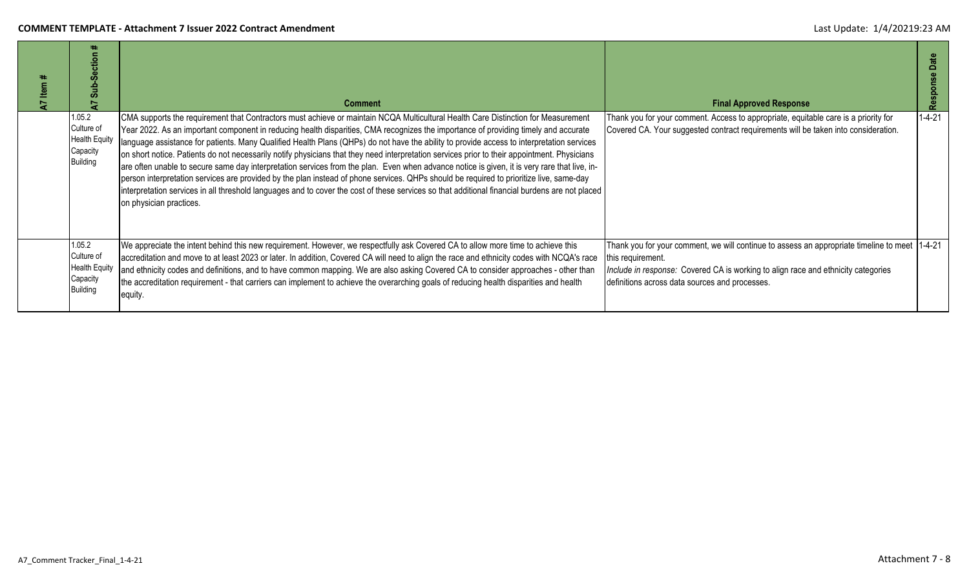| Item | ۰.<br><b>Section</b><br>Sub-                                                | <b>Comment</b>                                                                                                                                                                                                                                                                                                                                                                                                                                                                                                                                                                                                                                                                                                                                                                                                                                                                                                                                                                                                                                | <b>Final Approved Response</b>                                                                                                                                                                                                                            | Date<br>Respons |
|------|-----------------------------------------------------------------------------|-----------------------------------------------------------------------------------------------------------------------------------------------------------------------------------------------------------------------------------------------------------------------------------------------------------------------------------------------------------------------------------------------------------------------------------------------------------------------------------------------------------------------------------------------------------------------------------------------------------------------------------------------------------------------------------------------------------------------------------------------------------------------------------------------------------------------------------------------------------------------------------------------------------------------------------------------------------------------------------------------------------------------------------------------|-----------------------------------------------------------------------------------------------------------------------------------------------------------------------------------------------------------------------------------------------------------|-----------------|
|      | 1.05.2<br>Culture of<br><b>Health Equity</b><br>Capacity<br><b>Building</b> | CMA supports the requirement that Contractors must achieve or maintain NCQA Multicultural Health Care Distinction for Measurement<br>Year 2022. As an important component in reducing health disparities, CMA recognizes the importance of providing timely and accurate<br>language assistance for patients. Many Qualified Health Plans (QHPs) do not have the ability to provide access to interpretation services<br>on short notice. Patients do not necessarily notify physicians that they need interpretation services prior to their appointment. Physicians<br>are often unable to secure same day interpretation services from the plan. Even when advance notice is given, it is very rare that live, in-<br>person interpretation services are provided by the plan instead of phone services. QHPs should be required to prioritize live, same-day<br>interpretation services in all threshold languages and to cover the cost of these services so that additional financial burdens are not placed<br>on physician practices. | Thank you for your comment. Access to appropriate, equitable care is a priority for<br>Covered CA. Your suggested contract requirements will be taken into consideration.                                                                                 | $1 - 4 - 21$    |
|      | 1.05.2<br>Culture of<br><b>Health Equity</b><br>Capacity<br><b>Building</b> | We appreciate the intent behind this new requirement. However, we respectfully ask Covered CA to allow more time to achieve this<br>accreditation and move to at least 2023 or later. In addition, Covered CA will need to align the race and ethnicity codes with NCQA's race<br>and ethnicity codes and definitions, and to have common mapping. We are also asking Covered CA to consider approaches - other than<br>the accreditation requirement - that carriers can implement to achieve the overarching goals of reducing health disparities and health<br>equity.                                                                                                                                                                                                                                                                                                                                                                                                                                                                     | Thank you for your comment, we will continue to assess an appropriate timeline to meet 1-4-21<br>this requirement.<br>Include in response: Covered CA is working to align race and ethnicity categories<br>definitions across data sources and processes. |                 |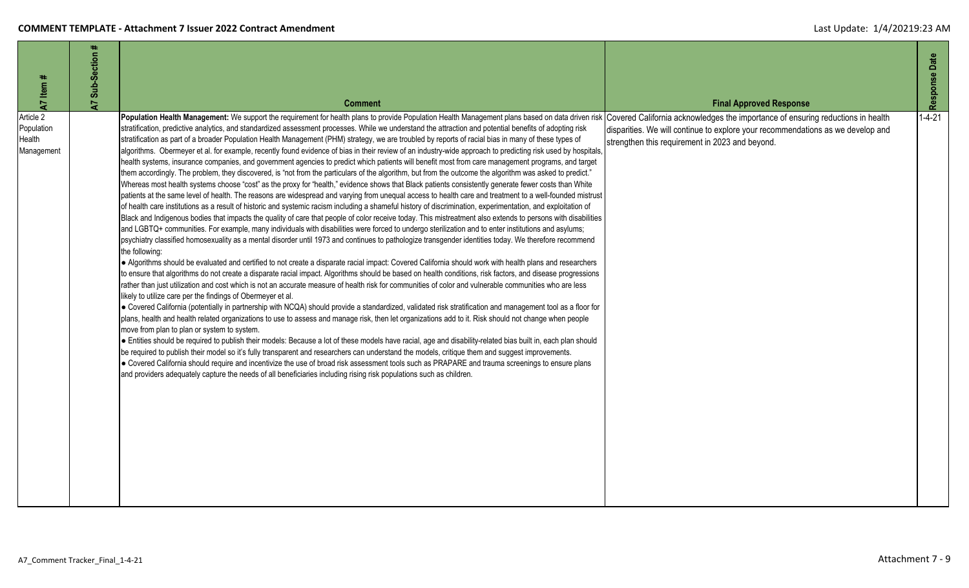| A7 Item #                                       | Sub-Section #<br>5 | <b>Comment</b>                                                                                                                                                                                                                                                                                                                                                                                                                                                                                                                                                                                                                                                                                                                                                                                                                                                                                                                                                                                                                                                                                                                                                                                                                                                                                                                                                                                                                                                                                                                                                                                                                                                                                                                                                                                                                                                                                                                                                                                                                                                                                                                                                                                                                                                                                                                                                                                                                                                                                                                                                                                                                                                                                                                                                                                                                                                                                                                                                                                                                                                                                                                                                                                                                                                                                                                                                                                                                                                       | <b>Final Approved Response</b>                                                                                                                                                                                        | Response Date |
|-------------------------------------------------|--------------------|----------------------------------------------------------------------------------------------------------------------------------------------------------------------------------------------------------------------------------------------------------------------------------------------------------------------------------------------------------------------------------------------------------------------------------------------------------------------------------------------------------------------------------------------------------------------------------------------------------------------------------------------------------------------------------------------------------------------------------------------------------------------------------------------------------------------------------------------------------------------------------------------------------------------------------------------------------------------------------------------------------------------------------------------------------------------------------------------------------------------------------------------------------------------------------------------------------------------------------------------------------------------------------------------------------------------------------------------------------------------------------------------------------------------------------------------------------------------------------------------------------------------------------------------------------------------------------------------------------------------------------------------------------------------------------------------------------------------------------------------------------------------------------------------------------------------------------------------------------------------------------------------------------------------------------------------------------------------------------------------------------------------------------------------------------------------------------------------------------------------------------------------------------------------------------------------------------------------------------------------------------------------------------------------------------------------------------------------------------------------------------------------------------------------------------------------------------------------------------------------------------------------------------------------------------------------------------------------------------------------------------------------------------------------------------------------------------------------------------------------------------------------------------------------------------------------------------------------------------------------------------------------------------------------------------------------------------------------------------------------------------------------------------------------------------------------------------------------------------------------------------------------------------------------------------------------------------------------------------------------------------------------------------------------------------------------------------------------------------------------------------------------------------------------------------------------------------------------|-----------------------------------------------------------------------------------------------------------------------------------------------------------------------------------------------------------------------|---------------|
| Article 2<br>Population<br>Health<br>Management |                    | Population Health Management: We support the requirement for health plans to provide Population Health Management plans based on data driven risk<br>stratification, predictive analytics, and standardized assessment processes. While we understand the attraction and potential benefits of adopting risk<br>stratification as part of a broader Population Health Management (PHM) strategy, we are troubled by reports of racial bias in many of these types of<br>algorithms. Obermeyer et al. for example, recently found evidence of bias in their review of an industry-wide approach to predicting risk used by hospitals,<br>health systems, insurance companies, and government agencies to predict which patients will benefit most from care management programs, and target<br>them accordingly. The problem, they discovered, is "not from the particulars of the algorithm, but from the outcome the algorithm was asked to predict."<br>Whereas most health systems choose "cost" as the proxy for "health," evidence shows that Black patients consistently generate fewer costs than White<br>patients at the same level of health. The reasons are widespread and varying from unequal access to health care and treatment to a well-founded mistrust<br>of health care institutions as a result of historic and systemic racism including a shameful history of discrimination, experimentation, and exploitation of<br>Black and Indigenous bodies that impacts the quality of care that people of color receive today. This mistreatment also extends to persons with disabilities<br>and LGBTQ+ communities. For example, many individuals with disabilities were forced to undergo sterilization and to enter institutions and asylums;<br>psychiatry classified homosexuality as a mental disorder until 1973 and continues to pathologize transgender identities today. We therefore recommend<br>the following:<br>• Algorithms should be evaluated and certified to not create a disparate racial impact: Covered California should work with health plans and researchers<br>to ensure that algorithms do not create a disparate racial impact. Algorithms should be based on health conditions, risk factors, and disease progressions<br>rather than just utilization and cost which is not an accurate measure of health risk for communities of color and vulnerable communities who are less<br>likely to utilize care per the findings of Obermeyer et al.<br>• Covered California (potentially in partnership with NCQA) should provide a standardized, validated risk stratification and management tool as a floor for<br>plans, health and health related organizations to use to assess and manage risk, then let organizations add to it. Risk should not change when people<br>move from plan to plan or system to system.<br>• Entities should be required to publish their models: Because a lot of these models have racial, age and disability-related bias built in, each plan should<br>be required to publish their model so it's fully transparent and researchers can understand the models, critique them and suggest improvements.<br>• Covered California should require and incentivize the use of broad risk assessment tools such as PRAPARE and trauma screenings to ensure plans<br>and providers adequately capture the needs of all beneficiaries including rising risk populations such as children. | Covered California acknowledges the importance of ensuring reductions in health<br>disparities. We will continue to explore your recommendations as we develop and<br>strengthen this requirement in 2023 and beyond. | $1 - 4 - 21$  |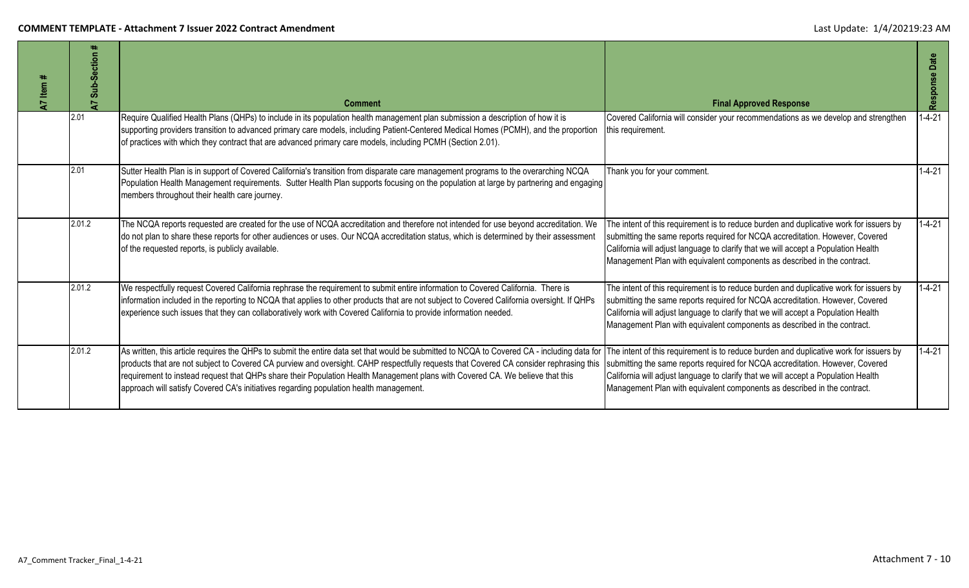| Item #<br>5 | ٠.<br>Sub-Section<br>$\overline{z}$ | <b>Comment</b>                                                                                                                                                                                                                                                                                                                                                                                                                                                                                                   | <b>Final Approved Response</b>                                                                                                                                                                                                                                                                                                            | Date<br>Response |
|-------------|-------------------------------------|------------------------------------------------------------------------------------------------------------------------------------------------------------------------------------------------------------------------------------------------------------------------------------------------------------------------------------------------------------------------------------------------------------------------------------------------------------------------------------------------------------------|-------------------------------------------------------------------------------------------------------------------------------------------------------------------------------------------------------------------------------------------------------------------------------------------------------------------------------------------|------------------|
|             | 2.01                                | Require Qualified Health Plans (QHPs) to include in its population health management plan submission a description of how it is<br>supporting providers transition to advanced primary care models, including Patient-Centered Medical Homes (PCMH), and the proportion<br>of practices with which they contract that are advanced primary care models, including PCMH (Section 2.01).                                                                                                                           | Covered California will consider your recommendations as we develop and strengthen<br>this requirement.                                                                                                                                                                                                                                   | $1 - 4 - 21$     |
|             | 2.01                                | Sutter Health Plan is in support of Covered California's transition from disparate care management programs to the overarching NCQA<br>Population Health Management requirements. Sutter Health Plan supports focusing on the population at large by partnering and engaging<br>members throughout their health care journey.                                                                                                                                                                                    | Thank you for your comment.                                                                                                                                                                                                                                                                                                               | $1 - 4 - 21$     |
|             | 2.01.2                              | The NCQA reports requested are created for the use of NCQA accreditation and therefore not intended for use beyond accreditation. We<br>do not plan to share these reports for other audiences or uses. Our NCQA accreditation status, which is determined by their assessment<br>of the requested reports, is publicly available.                                                                                                                                                                               | The intent of this requirement is to reduce burden and duplicative work for issuers by<br>submitting the same reports required for NCQA accreditation. However, Covered<br>California will adjust language to clarify that we will accept a Population Health<br>Management Plan with equivalent components as described in the contract. | $1 - 4 - 21$     |
|             | 2.01.2                              | We respectfully request Covered California rephrase the requirement to submit entire information to Covered California. There is<br>information included in the reporting to NCQA that applies to other products that are not subject to Covered California oversight. If QHPs<br>experience such issues that they can collaboratively work with Covered California to provide information needed.                                                                                                               | The intent of this requirement is to reduce burden and duplicative work for issuers by<br>submitting the same reports required for NCQA accreditation. However, Covered<br>California will adjust language to clarify that we will accept a Population Health<br>Management Plan with equivalent components as described in the contract. | $1 - 4 - 21$     |
|             | 2.01.2                              | As written, this article requires the QHPs to submit the entire data set that would be submitted to NCQA to Covered CA - including data for<br>products that are not subject to Covered CA purview and oversight. CAHP respectfully requests that Covered CA consider rephrasing this<br>requirement to instead request that QHPs share their Population Health Management plans with Covered CA. We believe that this<br>approach will satisfy Covered CA's initiatives regarding population health management. | The intent of this requirement is to reduce burden and duplicative work for issuers by<br>submitting the same reports required for NCQA accreditation. However, Covered<br>California will adjust language to clarify that we will accept a Population Health<br>Management Plan with equivalent components as described in the contract. | $1 - 4 - 21$     |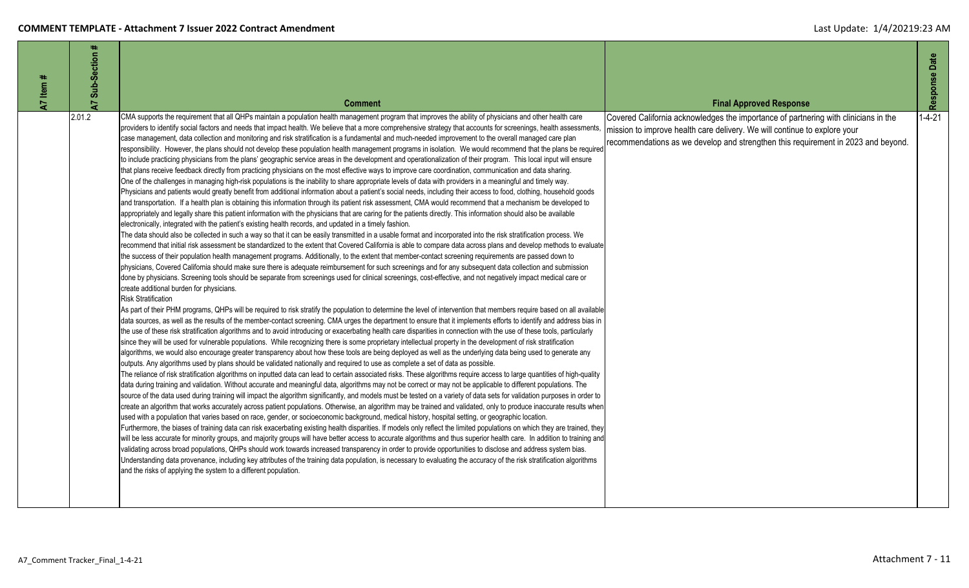| Item#<br>$\overline{a}$ | ₩.<br>Sub-Section<br>5 | <b>Comment</b>                                                                                                                                                                                                                                                                                                                                                                                                                                                                                                                                                                                                                                                                                                                                                                                                                                                                                                                                                                                                                                                                                                                                                                                                                                                                                                                                                                                                                                                                                                                                                                                                                                                                                                                                                                                                                                                                                                                                                                                                                                                                                                                                                                                                                                                                                                                                                                                                                                                                                                                                                                                                                                                                                                                                                                                                                                                                                                                                                                                                                                                                                                                                                                                                                                                                                                                                                                                                                                                                                                                                                                                                                                                                                                                                                                                                                                                                                                                                                                                                                                                                                                                                                                                                                                                                                                                                                                                                                                                                                                                                                                                                                                                                                                                                                                                                                                                                                                                                                                                                                                                                                                                                                                                                                                                                                                                | <b>Final Approved Response</b>                                                                                                                                                                                                                        | Response Date |
|-------------------------|------------------------|-------------------------------------------------------------------------------------------------------------------------------------------------------------------------------------------------------------------------------------------------------------------------------------------------------------------------------------------------------------------------------------------------------------------------------------------------------------------------------------------------------------------------------------------------------------------------------------------------------------------------------------------------------------------------------------------------------------------------------------------------------------------------------------------------------------------------------------------------------------------------------------------------------------------------------------------------------------------------------------------------------------------------------------------------------------------------------------------------------------------------------------------------------------------------------------------------------------------------------------------------------------------------------------------------------------------------------------------------------------------------------------------------------------------------------------------------------------------------------------------------------------------------------------------------------------------------------------------------------------------------------------------------------------------------------------------------------------------------------------------------------------------------------------------------------------------------------------------------------------------------------------------------------------------------------------------------------------------------------------------------------------------------------------------------------------------------------------------------------------------------------------------------------------------------------------------------------------------------------------------------------------------------------------------------------------------------------------------------------------------------------------------------------------------------------------------------------------------------------------------------------------------------------------------------------------------------------------------------------------------------------------------------------------------------------------------------------------------------------------------------------------------------------------------------------------------------------------------------------------------------------------------------------------------------------------------------------------------------------------------------------------------------------------------------------------------------------------------------------------------------------------------------------------------------------------------------------------------------------------------------------------------------------------------------------------------------------------------------------------------------------------------------------------------------------------------------------------------------------------------------------------------------------------------------------------------------------------------------------------------------------------------------------------------------------------------------------------------------------------------------------------------------------------------------------------------------------------------------------------------------------------------------------------------------------------------------------------------------------------------------------------------------------------------------------------------------------------------------------------------------------------------------------------------------------------------------------------------------------------------------------------------------------------------------------------------------------------------------------------------------------------------------------------------------------------------------------------------------------------------------------------------------------------------------------------------------------------------------------------------------------------------------------------------------------------------------------------------------------------------------------------------------------------------------------------------------------------------------------------------------------------------------------------------------------------------------------------------------------------------------------------------------------------------------------------------------------------------------------------------------------------------------------------------------------------------------------------------------------------------------------------------------------------------------------------------------------|-------------------------------------------------------------------------------------------------------------------------------------------------------------------------------------------------------------------------------------------------------|---------------|
|                         | 2.01.2                 | CMA supports the requirement that all QHPs maintain a population health management program that improves the ability of physicians and other health care<br>providers to identify social factors and needs that impact health. We believe that a more comprehensive strategy that accounts for screenings, health assessments,<br>case management, data collection and monitoring and risk stratification is a fundamental and much-needed improvement to the overall managed care plan<br>responsibility. However, the plans should not develop these population health management programs in isolation. We would recommend that the plans be required<br>to include practicing physicians from the plans' geographic service areas in the development and operationalization of their program. This local input will ensure<br>that plans receive feedback directly from practicing physicians on the most effective ways to improve care coordination, communication and data sharing.<br>One of the challenges in managing high-risk populations is the inability to share appropriate levels of data with providers in a meaningful and timely way.<br>Physicians and patients would greatly benefit from additional information about a patient's social needs, including their access to food, clothing, household goods<br>and transportation. If a health plan is obtaining this information through its patient risk assessment, CMA would recommend that a mechanism be developed to<br>appropriately and legally share this patient information with the physicians that are caring for the patients directly. This information should also be available<br>electronically, integrated with the patient's existing health records, and updated in a timely fashion.<br>The data should also be collected in such a way so that it can be easily transmitted in a usable format and incorporated into the risk stratification process. We<br>recommend that initial risk assessment be standardized to the extent that Covered California is able to compare data across plans and develop methods to evaluate<br>the success of their population health management programs. Additionally, to the extent that member-contact screening requirements are passed down to<br>physicians, Covered California should make sure there is adequate reimbursement for such screenings and for any subsequent data collection and submission<br>done by physicians. Screening tools should be separate from screenings used for clinical screenings, cost-effective, and not negatively impact medical care or<br>create additional burden for physicians.<br><b>Risk Stratification</b><br>As part of their PHM programs, QHPs will be required to risk stratify the population to determine the level of intervention that members require based on all available<br>data sources, as well as the results of the member-contact screening. CMA urges the department to ensure that it implements efforts to identify and address bias in<br>the use of these risk stratification algorithms and to avoid introducing or exacerbating health care disparities in connection with the use of these tools, particularly<br>since they will be used for vulnerable populations. While recognizing there is some proprietary intellectual property in the development of risk stratification<br>algorithms, we would also encourage greater transparency about how these tools are being deployed as well as the underlying data being used to generate any<br>outputs. Any algorithms used by plans should be validated nationally and required to use as complete a set of data as possible.<br>The reliance of risk stratification algorithms on inputted data can lead to certain associated risks. These algorithms require access to large quantities of high-quality<br>data during training and validation. Without accurate and meaningful data, algorithms may not be correct or may not be applicable to different populations. The<br>source of the data used during training will impact the algorithm significantly, and models must be tested on a variety of data sets for validation purposes in order to<br>create an algorithm that works accurately across patient populations. Otherwise, an algorithm may be trained and validated, only to produce inaccurate results when<br>used with a population that varies based on race, gender, or socioeconomic background, medical history, hospital setting, or geographic location.<br>Furthermore, the biases of training data can risk exacerbating existing health disparities. If models only reflect the limited populations on which they are trained, they<br>will be less accurate for minority groups, and majority groups will have better access to accurate algorithms and thus superior health care. In addition to training and<br>validating across broad populations, QHPs should work towards increased transparency in order to provide opportunities to disclose and address system bias.<br>Understanding data provenance, including key attributes of the training data population, is necessary to evaluating the accuracy of the risk stratification algorithms<br>and the risks of applying the system to a different population. | Covered California acknowledges the importance of partnering with clinicians in the<br>mission to improve health care delivery. We will continue to explore your<br>recommendations as we develop and strengthen this requirement in 2023 and beyond. | $1 - 4 - 21$  |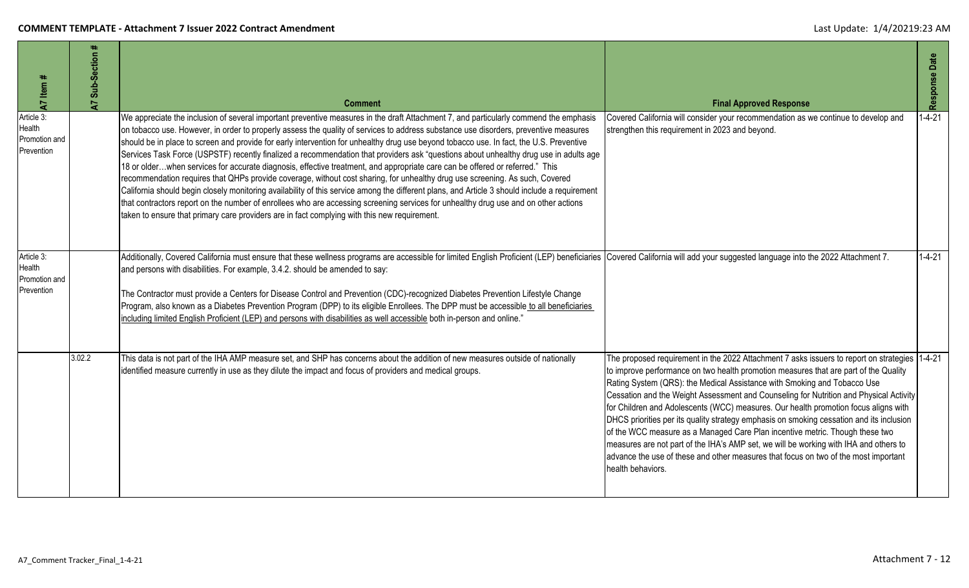| A7 Item #                                           | Sub-Section<br>$\overline{A}$ | <b>Comment</b>                                                                                                                                                                                                                                                                                                                                                                                                                                                                                                                                                                                                                                                                                                                                                                                                                                                                                                                                                                                                                                                                                                                                                                                                            | <b>Final Approved Response</b>                                                                                                                                                                                                                                                                                                                                                                                                                                                                                                                                                                                                                                                                                                                                                                                                      | Response Date |
|-----------------------------------------------------|-------------------------------|---------------------------------------------------------------------------------------------------------------------------------------------------------------------------------------------------------------------------------------------------------------------------------------------------------------------------------------------------------------------------------------------------------------------------------------------------------------------------------------------------------------------------------------------------------------------------------------------------------------------------------------------------------------------------------------------------------------------------------------------------------------------------------------------------------------------------------------------------------------------------------------------------------------------------------------------------------------------------------------------------------------------------------------------------------------------------------------------------------------------------------------------------------------------------------------------------------------------------|-------------------------------------------------------------------------------------------------------------------------------------------------------------------------------------------------------------------------------------------------------------------------------------------------------------------------------------------------------------------------------------------------------------------------------------------------------------------------------------------------------------------------------------------------------------------------------------------------------------------------------------------------------------------------------------------------------------------------------------------------------------------------------------------------------------------------------------|---------------|
| Article 3:<br>Health<br>Promotion and<br>Prevention |                               | We appreciate the inclusion of several important preventive measures in the draft Attachment 7, and particularly commend the emphasis<br>on tobacco use. However, in order to properly assess the quality of services to address substance use disorders, preventive measures<br>should be in place to screen and provide for early intervention for unhealthy drug use beyond tobacco use. In fact, the U.S. Preventive<br>Services Task Force (USPSTF) recently finalized a recommendation that providers ask "questions about unhealthy drug use in adults age<br>18 or olderwhen services for accurate diagnosis, effective treatment, and appropriate care can be offered or referred." This<br>recommendation requires that QHPs provide coverage, without cost sharing, for unhealthy drug use screening. As such, Covered<br>California should begin closely monitoring availability of this service among the different plans, and Article 3 should include a requirement<br>that contractors report on the number of enrollees who are accessing screening services for unhealthy drug use and on other actions<br>taken to ensure that primary care providers are in fact complying with this new requirement. | Covered California will consider your recommendation as we continue to develop and<br>strengthen this requirement in 2023 and beyond.                                                                                                                                                                                                                                                                                                                                                                                                                                                                                                                                                                                                                                                                                               | $-4-21$       |
| Article 3:<br>Health<br>Promotion and<br>Prevention |                               | Additionally, Covered California must ensure that these wellness programs are accessible for limited English Proficient (LEP) beneficiaries Covered California will add your suggested language into the 2022 Attachment 7.<br>and persons with disabilities. For example, 3.4.2. should be amended to say:<br>The Contractor must provide a Centers for Disease Control and Prevention (CDC)-recognized Diabetes Prevention Lifestyle Change<br>Program, also known as a Diabetes Prevention Program (DPP) to its eligible Enrollees. The DPP must be accessible to all beneficiaries<br>including limited English Proficient (LEP) and persons with disabilities as well accessible both in-person and online."                                                                                                                                                                                                                                                                                                                                                                                                                                                                                                         |                                                                                                                                                                                                                                                                                                                                                                                                                                                                                                                                                                                                                                                                                                                                                                                                                                     | $1 - 4 - 21$  |
|                                                     | 3.02.2                        | This data is not part of the IHA AMP measure set, and SHP has concerns about the addition of new measures outside of nationally<br>identified measure currently in use as they dilute the impact and focus of providers and medical groups.                                                                                                                                                                                                                                                                                                                                                                                                                                                                                                                                                                                                                                                                                                                                                                                                                                                                                                                                                                               | The proposed requirement in the 2022 Attachment 7 asks issuers to report on strategies 1-4-21<br>to improve performance on two health promotion measures that are part of the Quality<br>Rating System (QRS): the Medical Assistance with Smoking and Tobacco Use<br>Cessation and the Weight Assessment and Counseling for Nutrition and Physical Activity<br>for Children and Adolescents (WCC) measures. Our health promotion focus aligns with<br>DHCS priorities per its quality strategy emphasis on smoking cessation and its inclusion<br>of the WCC measure as a Managed Care Plan incentive metric. Though these two<br>measures are not part of the IHA's AMP set, we will be working with IHA and others to<br>advance the use of these and other measures that focus on two of the most important<br>health behaviors. |               |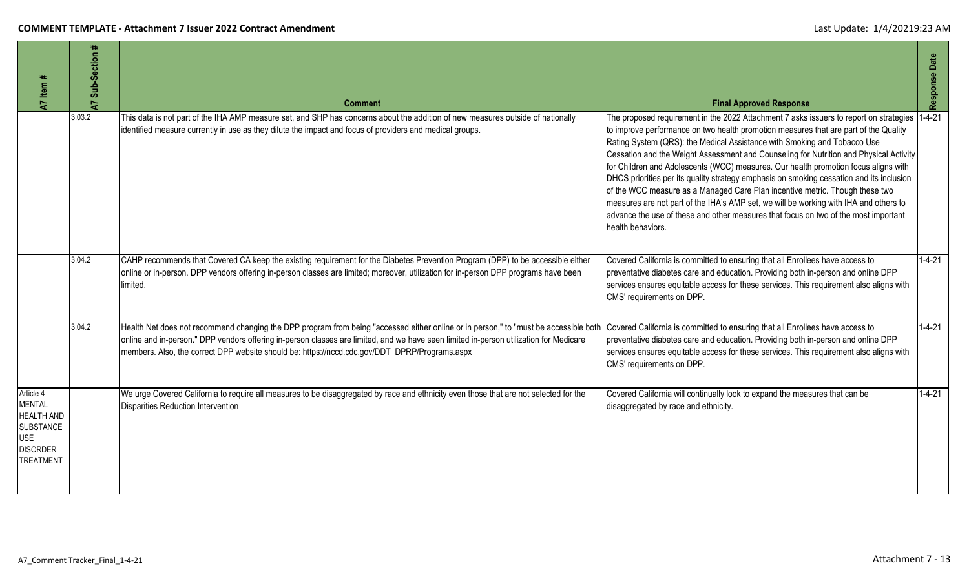| 47 Item #                                                                                                                | A7 Sub-Section # | <b>Comment</b>                                                                                                                                                                                                                                                                                                                                                                  | <b>Final Approved Response</b>                                                                                                                                                                                                                                                                                                                                                                                                                                                                                                                                                                                                                                                                                                                                                                                               | Response Date |
|--------------------------------------------------------------------------------------------------------------------------|------------------|---------------------------------------------------------------------------------------------------------------------------------------------------------------------------------------------------------------------------------------------------------------------------------------------------------------------------------------------------------------------------------|------------------------------------------------------------------------------------------------------------------------------------------------------------------------------------------------------------------------------------------------------------------------------------------------------------------------------------------------------------------------------------------------------------------------------------------------------------------------------------------------------------------------------------------------------------------------------------------------------------------------------------------------------------------------------------------------------------------------------------------------------------------------------------------------------------------------------|---------------|
|                                                                                                                          | 3.03.2           | This data is not part of the IHA AMP measure set, and SHP has concerns about the addition of new measures outside of nationally<br>identified measure currently in use as they dilute the impact and focus of providers and medical groups.                                                                                                                                     | The proposed requirement in the 2022 Attachment 7 asks issuers to report on strategies<br>to improve performance on two health promotion measures that are part of the Quality<br>Rating System (QRS): the Medical Assistance with Smoking and Tobacco Use<br>Cessation and the Weight Assessment and Counseling for Nutrition and Physical Activity<br>for Children and Adolescents (WCC) measures. Our health promotion focus aligns with<br>DHCS priorities per its quality strategy emphasis on smoking cessation and its inclusion<br>of the WCC measure as a Managed Care Plan incentive metric. Though these two<br>measures are not part of the IHA's AMP set, we will be working with IHA and others to<br>advance the use of these and other measures that focus on two of the most important<br>health behaviors. | $1 - 4 - 21$  |
|                                                                                                                          | 3.04.2           | CAHP recommends that Covered CA keep the existing requirement for the Diabetes Prevention Program (DPP) to be accessible either<br>online or in-person. DPP vendors offering in-person classes are limited; moreover, utilization for in-person DPP programs have been<br>limited.                                                                                              | Covered California is committed to ensuring that all Enrollees have access to<br>preventative diabetes care and education. Providing both in-person and online DPP<br>services ensures equitable access for these services. This requirement also aligns with<br>CMS' requirements on DPP.                                                                                                                                                                                                                                                                                                                                                                                                                                                                                                                                   | $1 - 4 - 21$  |
|                                                                                                                          | 3.04.2           | Health Net does not recommend changing the DPP program from being "accessed either online or in person," to "must be accessible both<br>online and in-person." DPP vendors offering in-person classes are limited, and we have seen limited in-person utilization for Medicare<br>members. Also, the correct DPP website should be: https://nccd.cdc.gov/DDT_DPRP/Programs.aspx | Covered California is committed to ensuring that all Enrollees have access to<br>preventative diabetes care and education. Providing both in-person and online DPP<br>services ensures equitable access for these services. This requirement also aligns with<br>CMS' requirements on DPP.                                                                                                                                                                                                                                                                                                                                                                                                                                                                                                                                   | $1 - 4 - 21$  |
| Article 4<br><b>MENTAL</b><br><b>HEALTH AND</b><br><b>SUBSTANCE</b><br><b>USE</b><br><b>DISORDER</b><br><b>TREATMENT</b> |                  | We urge Covered California to require all measures to be disaggregated by race and ethnicity even those that are not selected for the<br>Disparities Reduction Intervention                                                                                                                                                                                                     | Covered California will continually look to expand the measures that can be<br>disaggregated by race and ethnicity.                                                                                                                                                                                                                                                                                                                                                                                                                                                                                                                                                                                                                                                                                                          | $1 - 4 - 21$  |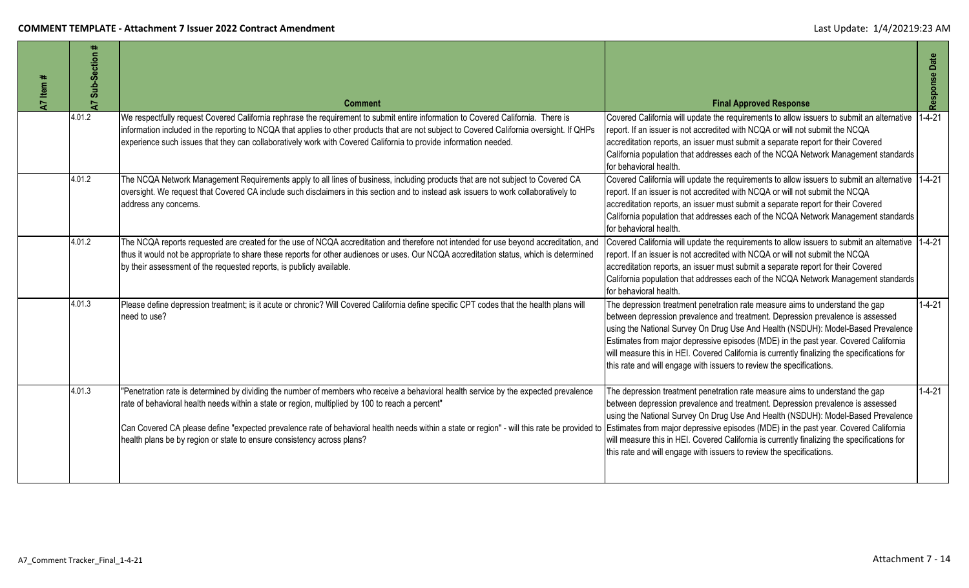| ltem#<br>$\overline{A}$ | ₩<br>Sub-Section<br>$\overline{a}$ | <b>Comment</b>                                                                                                                                                                                                                                                                                                                                                                                                                                                                                                                                      | <b>Final Approved Response</b>                                                                                                                                                                                                                                                                                                                                                                                                                                                                                   | Response Date |
|-------------------------|------------------------------------|-----------------------------------------------------------------------------------------------------------------------------------------------------------------------------------------------------------------------------------------------------------------------------------------------------------------------------------------------------------------------------------------------------------------------------------------------------------------------------------------------------------------------------------------------------|------------------------------------------------------------------------------------------------------------------------------------------------------------------------------------------------------------------------------------------------------------------------------------------------------------------------------------------------------------------------------------------------------------------------------------------------------------------------------------------------------------------|---------------|
|                         | 4.01.2                             | We respectfully request Covered California rephrase the requirement to submit entire information to Covered California. There is<br>information included in the reporting to NCQA that applies to other products that are not subject to Covered California oversight. If QHPs<br>experience such issues that they can collaboratively work with Covered California to provide information needed.                                                                                                                                                  | Covered California will update the requirements to allow issuers to submit an alternative<br>report. If an issuer is not accredited with NCQA or will not submit the NCQA<br>accreditation reports, an issuer must submit a separate report for their Covered<br>California population that addresses each of the NCQA Network Management standards<br>for behavioral health.                                                                                                                                    | $1 - 4 - 21$  |
|                         | 4.01.2                             | The NCQA Network Management Requirements apply to all lines of business, including products that are not subject to Covered CA<br>oversight. We request that Covered CA include such disclaimers in this section and to instead ask issuers to work collaboratively to<br>address any concerns.                                                                                                                                                                                                                                                     | Covered California will update the requirements to allow issuers to submit an alternative 1-4-21<br>report. If an issuer is not accredited with NCQA or will not submit the NCQA<br>accreditation reports, an issuer must submit a separate report for their Covered<br>California population that addresses each of the NCQA Network Management standards<br>for behavioral health.                                                                                                                             |               |
|                         | 4.01.2                             | The NCQA reports requested are created for the use of NCQA accreditation and therefore not intended for use beyond accreditation, and<br>thus it would not be appropriate to share these reports for other audiences or uses. Our NCQA accreditation status, which is determined<br>by their assessment of the requested reports, is publicly available.                                                                                                                                                                                            | Covered California will update the requirements to allow issuers to submit an alternative 1-4-21<br>report. If an issuer is not accredited with NCQA or will not submit the NCQA<br>accreditation reports, an issuer must submit a separate report for their Covered<br>California population that addresses each of the NCQA Network Management standards<br>for behavioral health.                                                                                                                             |               |
|                         | 4.01.3                             | Please define depression treatment; is it acute or chronic? Will Covered California define specific CPT codes that the health plans will<br>need to use?                                                                                                                                                                                                                                                                                                                                                                                            | The depression treatment penetration rate measure aims to understand the gap<br>between depression prevalence and treatment. Depression prevalence is assessed<br>using the National Survey On Drug Use And Health (NSDUH): Model-Based Prevalence<br>Estimates from major depressive episodes (MDE) in the past year. Covered California<br>will measure this in HEI. Covered California is currently finalizing the specifications for<br>this rate and will engage with issuers to review the specifications. | $1 - 4 - 21$  |
|                         | 4.01.3                             | "Penetration rate is determined by dividing the number of members who receive a behavioral health service by the expected prevalence<br>rate of behavioral health needs within a state or region, multiplied by 100 to reach a percent"<br>Can Covered CA please define "expected prevalence rate of behavioral health needs within a state or region" - will this rate be provided to Estimates from major depressive episodes (MDE) in the past year. Covered Californi<br>health plans be by region or state to ensure consistency across plans? | The depression treatment penetration rate measure aims to understand the gap<br>between depression prevalence and treatment. Depression prevalence is assessed<br>using the National Survey On Drug Use And Health (NSDUH): Model-Based Prevalence<br>will measure this in HEI. Covered California is currently finalizing the specifications for<br>this rate and will engage with issuers to review the specifications.                                                                                        | $1 - 4 - 21$  |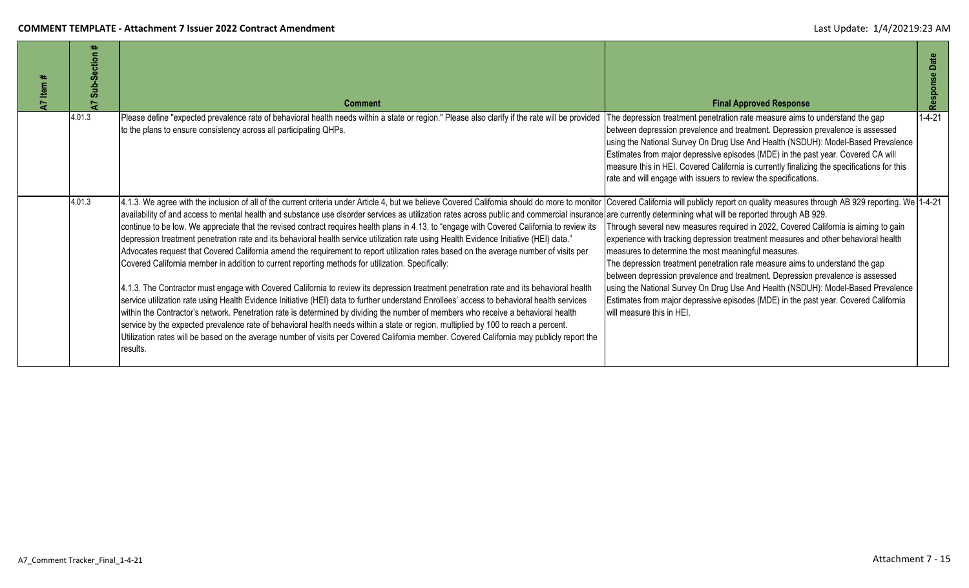| Item<br>$\overline{A}$ | Sub-Section<br>$\overline{a}$ | <b>Comment</b>                                                                                                                                                                                                                                                                                                                                                                                                                                                                                                                                                                                                                                                                                                                                                                                                                                                                                                                                                                                                                                                                                                                                                                                                                                                                                                                                                                                                                                                                                                                                                                                                                    | <b>Final Approved Response</b>                                                                                                                                                                                                                                                                                                                                                                                                                                                                                                                                                                                                                                                                                | Date<br>Response |
|------------------------|-------------------------------|-----------------------------------------------------------------------------------------------------------------------------------------------------------------------------------------------------------------------------------------------------------------------------------------------------------------------------------------------------------------------------------------------------------------------------------------------------------------------------------------------------------------------------------------------------------------------------------------------------------------------------------------------------------------------------------------------------------------------------------------------------------------------------------------------------------------------------------------------------------------------------------------------------------------------------------------------------------------------------------------------------------------------------------------------------------------------------------------------------------------------------------------------------------------------------------------------------------------------------------------------------------------------------------------------------------------------------------------------------------------------------------------------------------------------------------------------------------------------------------------------------------------------------------------------------------------------------------------------------------------------------------|---------------------------------------------------------------------------------------------------------------------------------------------------------------------------------------------------------------------------------------------------------------------------------------------------------------------------------------------------------------------------------------------------------------------------------------------------------------------------------------------------------------------------------------------------------------------------------------------------------------------------------------------------------------------------------------------------------------|------------------|
|                        | 4.01.3                        | Please define "expected prevalence rate of behavioral health needs within a state or region." Please also clarify if the rate will be provided<br>to the plans to ensure consistency across all participating QHPs.                                                                                                                                                                                                                                                                                                                                                                                                                                                                                                                                                                                                                                                                                                                                                                                                                                                                                                                                                                                                                                                                                                                                                                                                                                                                                                                                                                                                               | The depression treatment penetration rate measure aims to understand the gap<br>between depression prevalence and treatment. Depression prevalence is assessed<br>using the National Survey On Drug Use And Health (NSDUH): Model-Based Prevalence<br>Estimates from major depressive episodes (MDE) in the past year. Covered CA will<br>measure this in HEI. Covered California is currently finalizing the specifications for this<br>rate and will engage with issuers to review the specifications.                                                                                                                                                                                                      | $1 - 4 - 21$     |
|                        | 4.01.3                        | 4.1.3. We agree with the inclusion of all of the current criteria under Article 4, but we believe Covered California should do more to monitor<br>availability of and access to mental health and substance use disorder services as utilization rates across public and commercial insurance are currently determining what will be reported through AB 929.<br>continue to be low. We appreciate that the revised contract requires health plans in 4.13. to "engage with Covered California to review its<br>depression treatment penetration rate and its behavioral health service utilization rate using Health Evidence Initiative (HEI) data."<br>Advocates request that Covered California amend the requirement to report utilization rates based on the average number of visits per<br>Covered California member in addition to current reporting methods for utilization. Specifically:<br>4.1.3. The Contractor must engage with Covered California to review its depression treatment penetration rate and its behavioral health<br>service utilization rate using Health Evidence Initiative (HEI) data to further understand Enrollees' access to behavioral health services<br>within the Contractor's network. Penetration rate is determined by dividing the number of members who receive a behavioral health<br>service by the expected prevalence rate of behavioral health needs within a state or region, multiplied by 100 to reach a percent.<br>Utilization rates will be based on the average number of visits per Covered California member. Covered California may publicly report the<br>results. | Covered California will publicly report on quality measures through AB 929 reporting. We 1-4-21<br>Through several new measures required in 2022, Covered California is aiming to gain<br>experience with tracking depression treatment measures and other behavioral health<br>measures to determine the most meaningful measures.<br>The depression treatment penetration rate measure aims to understand the gap<br>between depression prevalence and treatment. Depression prevalence is assessed<br>using the National Survey On Drug Use And Health (NSDUH): Model-Based Prevalence<br>Estimates from major depressive episodes (MDE) in the past year. Covered California<br>will measure this in HEI. |                  |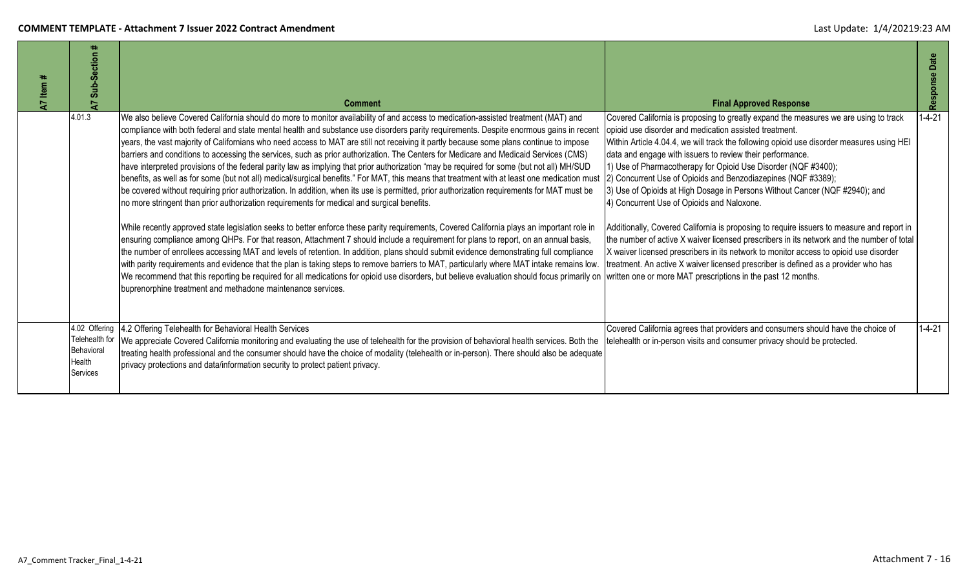| Sub-Section                                                         | <b>Comment</b>                                                                                                                                                                                                                                                                                                                                                                                                                                                                                                                                                                                                                                                                                                                                                                                                                                                                                                                                                                                                                                                                                                                                                                                                                                                                                                                                                                                                                                                                                                                                                                                                                                                                                                                                                                                                                                                                                                                                                  | <b>Final Approved Response</b>                                                                                                                                                                                                                                                                                                                                                                                                                                                                                                                                                                                                                                                                                                                                                                                                                                                                                                                    | Date<br>Response |
|---------------------------------------------------------------------|-----------------------------------------------------------------------------------------------------------------------------------------------------------------------------------------------------------------------------------------------------------------------------------------------------------------------------------------------------------------------------------------------------------------------------------------------------------------------------------------------------------------------------------------------------------------------------------------------------------------------------------------------------------------------------------------------------------------------------------------------------------------------------------------------------------------------------------------------------------------------------------------------------------------------------------------------------------------------------------------------------------------------------------------------------------------------------------------------------------------------------------------------------------------------------------------------------------------------------------------------------------------------------------------------------------------------------------------------------------------------------------------------------------------------------------------------------------------------------------------------------------------------------------------------------------------------------------------------------------------------------------------------------------------------------------------------------------------------------------------------------------------------------------------------------------------------------------------------------------------------------------------------------------------------------------------------------------------|---------------------------------------------------------------------------------------------------------------------------------------------------------------------------------------------------------------------------------------------------------------------------------------------------------------------------------------------------------------------------------------------------------------------------------------------------------------------------------------------------------------------------------------------------------------------------------------------------------------------------------------------------------------------------------------------------------------------------------------------------------------------------------------------------------------------------------------------------------------------------------------------------------------------------------------------------|------------------|
| 4.01.3                                                              | We also believe Covered California should do more to monitor availability of and access to medication-assisted treatment (MAT) and<br>compliance with both federal and state mental health and substance use disorders parity requirements. Despite enormous gains in recen<br>years, the vast majority of Californians who need access to MAT are still not receiving it partly because some plans continue to impose<br>(Darriers and conditions to accessing the services, such as prior authorization. The Centers for Medicare and Medicaid Services (CMS)<br>have interpreted provisions of the federal parity law as implying that prior authorization "may be required for some (but not all) MH/SUD<br>benefits, as well as for some (but not all) medical/surgical benefits." For MAT, this means that treatment with at least one medication must<br>be covered without requiring prior authorization. In addition, when its use is permitted, prior authorization requirements for MAT must be<br>no more stringent than prior authorization requirements for medical and surgical benefits.<br>While recently approved state legislation seeks to better enforce these parity requirements, Covered California plays an important role in<br>ensuring compliance among QHPs. For that reason, Attachment 7 should include a requirement for plans to report, on an annual basis,<br>the number of enrollees accessing MAT and levels of retention. In addition, plans should submit evidence demonstrating full compliance<br>with parity requirements and evidence that the plan is taking steps to remove barriers to MAT, particularly where MAT intake remains low.<br>We recommend that this reporting be required for all medications for opioid use disorders, but believe evaluation should focus primarily on written one or more MAT prescriptions in the past 12 months.<br>buprenorphine treatment and methadone maintenance services. | Covered California is proposing to greatly expand the measures we are using to track<br>opioid use disorder and medication assisted treatment.<br>Within Article 4.04.4, we will track the following opioid use disorder measures using HEI<br>data and engage with issuers to review their performance.<br>1) Use of Pharmacotherapy for Opioid Use Disorder (NQF #3400);<br>2) Concurrent Use of Opioids and Benzodiazepines (NQF #3389);<br>3) Use of Opioids at High Dosage in Persons Without Cancer (NQF #2940); and<br>4) Concurrent Use of Opioids and Naloxone.<br>Additionally, Covered California is proposing to require issuers to measure and report in<br>the number of active X waiver licensed prescribers in its network and the number of total<br>X waiver licensed prescribers in its network to monitor access to opioid use disorder<br>treatment. An active X waiver licensed prescriber is defined as a provider who has | $1 - 4 - 21$     |
| 4.02 Offering<br>Telehealth for<br>Behavioral<br>Health<br>Services | 4.2 Offering Telehealth for Behavioral Health Services<br>We appreciate Covered California monitoring and evaluating the use of telehealth for the provision of behavioral health services. Both the<br>treating health professional and the consumer should have the choice of modality (telehealth or in-person). There should also be adequate<br>privacy protections and data/information security to protect patient privacy.                                                                                                                                                                                                                                                                                                                                                                                                                                                                                                                                                                                                                                                                                                                                                                                                                                                                                                                                                                                                                                                                                                                                                                                                                                                                                                                                                                                                                                                                                                                              | Covered California agrees that providers and consumers should have the choice of<br>telehealth or in-person visits and consumer privacy should be protected.                                                                                                                                                                                                                                                                                                                                                                                                                                                                                                                                                                                                                                                                                                                                                                                      | $1 - 4 - 21$     |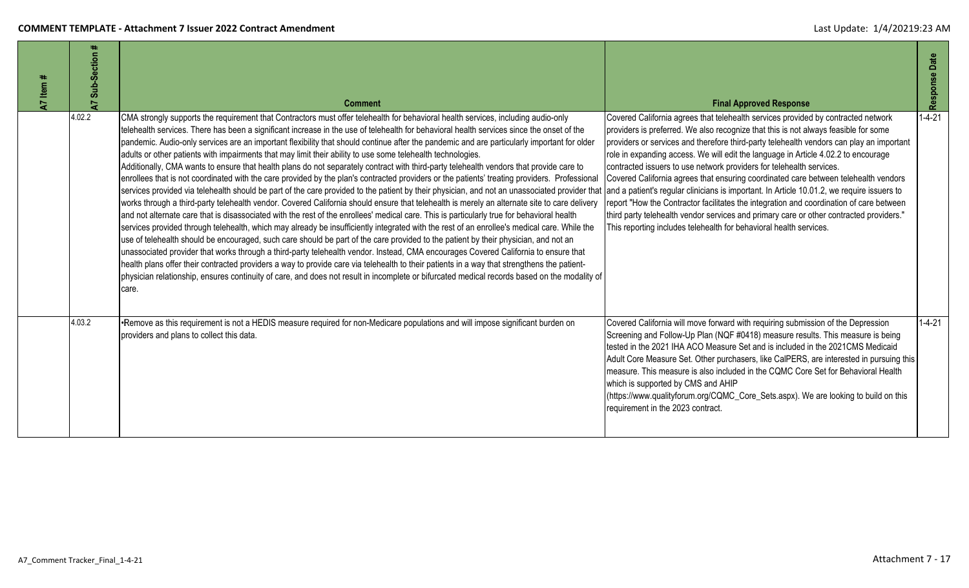| Item $#$<br>$\overline{z}$ | ₩.<br>Sub-Section<br>7 | <b>Comment</b>                                                                                                                                                                                                                                                                                                                                                                                                                                                                                                                                                                                                                                                                                                                                                                                                                                                                                                                                                                                                                                                                                                                                                                                                                                                                                                                                                                                                                                                                                                                                                                                                                                                                                                                                                                                                                                                                                                                                                                                                                                                                                               | <b>Final Approved Response</b>                                                                                                                                                                                                                                                                                                                                                                                                                                                                                                                                                                                                                                                                                                                                                        | Response Date |
|----------------------------|------------------------|--------------------------------------------------------------------------------------------------------------------------------------------------------------------------------------------------------------------------------------------------------------------------------------------------------------------------------------------------------------------------------------------------------------------------------------------------------------------------------------------------------------------------------------------------------------------------------------------------------------------------------------------------------------------------------------------------------------------------------------------------------------------------------------------------------------------------------------------------------------------------------------------------------------------------------------------------------------------------------------------------------------------------------------------------------------------------------------------------------------------------------------------------------------------------------------------------------------------------------------------------------------------------------------------------------------------------------------------------------------------------------------------------------------------------------------------------------------------------------------------------------------------------------------------------------------------------------------------------------------------------------------------------------------------------------------------------------------------------------------------------------------------------------------------------------------------------------------------------------------------------------------------------------------------------------------------------------------------------------------------------------------------------------------------------------------------------------------------------------------|---------------------------------------------------------------------------------------------------------------------------------------------------------------------------------------------------------------------------------------------------------------------------------------------------------------------------------------------------------------------------------------------------------------------------------------------------------------------------------------------------------------------------------------------------------------------------------------------------------------------------------------------------------------------------------------------------------------------------------------------------------------------------------------|---------------|
|                            | 4.02.2                 | CMA strongly supports the requirement that Contractors must offer telehealth for behavioral health services, including audio-only<br>telehealth services. There has been a significant increase in the use of telehealth for behavioral health services since the onset of the<br>pandemic. Audio-only services are an important flexibility that should continue after the pandemic and are particularly important for older<br>adults or other patients with impairments that may limit their ability to use some telehealth technologies.<br>Additionally, CMA wants to ensure that health plans do not separately contract with third-party telehealth vendors that provide care to<br>enrollees that is not coordinated with the care provided by the plan's contracted providers or the patients' treating providers. Professional<br>services provided via telehealth should be part of the care provided to the patient by their physician, and not an unassociated provider that and a patient's regular clinicians is important. In Article 10.01.2, we require<br>works through a third-party telehealth vendor. Covered California should ensure that telehealth is merely an alternate site to care delivery<br>and not alternate care that is disassociated with the rest of the enrollees' medical care. This is particularly true for behavioral health<br>services provided through telehealth, which may already be insufficiently integrated with the rest of an enrollee's medical care. While the<br>use of telehealth should be encouraged, such care should be part of the care provided to the patient by their physician, and not an<br>unassociated provider that works through a third-party telehealth vendor. Instead, CMA encourages Covered California to ensure that<br>health plans offer their contracted providers a way to provide care via telehealth to their patients in a way that strengthens the patient-<br>physician relationship, ensures continuity of care, and does not result in incomplete or bifurcated medical records based on the modality of<br>care. | Covered California agrees that telehealth services provided by contracted network<br>providers is preferred. We also recognize that this is not always feasible for some<br>providers or services and therefore third-party telehealth vendors can play an important<br>role in expanding access. We will edit the language in Article 4.02.2 to encourage<br>contracted issuers to use network providers for telehealth services.<br>Covered California agrees that ensuring coordinated care between telehealth vendors<br>report "How the Contractor facilitates the integration and coordination of care between<br>third party telehealth vendor services and primary care or other contracted providers."<br>This reporting includes telehealth for behavioral health services. | $1 - 4 - 21$  |
|                            | 4.03.2                 | •Remove as this requirement is not a HEDIS measure required for non-Medicare populations and will impose significant burden on<br>providers and plans to collect this data.                                                                                                                                                                                                                                                                                                                                                                                                                                                                                                                                                                                                                                                                                                                                                                                                                                                                                                                                                                                                                                                                                                                                                                                                                                                                                                                                                                                                                                                                                                                                                                                                                                                                                                                                                                                                                                                                                                                                  | Covered California will move forward with requiring submission of the Depression<br>Screening and Follow-Up Plan (NQF #0418) measure results. This measure is being<br>tested in the 2021 IHA ACO Measure Set and is included in the 2021CMS Medicaid<br>Adult Core Measure Set. Other purchasers, like CalPERS, are interested in pursuing this<br>measure. This measure is also included in the CQMC Core Set for Behavioral Health<br>which is supported by CMS and AHIP<br>(https://www.qualityforum.org/CQMC_Core_Sets.aspx). We are looking to build on this<br>requirement in the 2023 contract.                                                                                                                                                                               | $1 - 4 - 21$  |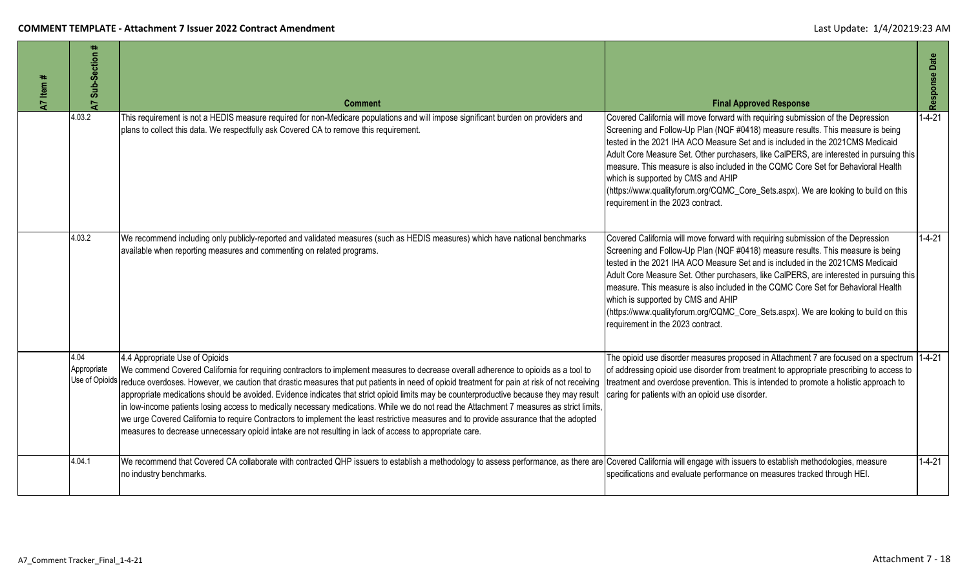| A7 Item # | #<br>Sub-Section<br>$\overline{a}$    | <b>Comment</b>                                                                                                                                                                                                                                                                                                                                                                                                                                                                                                                                                                                                                                                                                                                                                                                                                                                      | <b>Final Approved Response</b>                                                                                                                                                                                                                                                                                                                                                                                                                                                                                                                                                                          | Response Date |
|-----------|---------------------------------------|---------------------------------------------------------------------------------------------------------------------------------------------------------------------------------------------------------------------------------------------------------------------------------------------------------------------------------------------------------------------------------------------------------------------------------------------------------------------------------------------------------------------------------------------------------------------------------------------------------------------------------------------------------------------------------------------------------------------------------------------------------------------------------------------------------------------------------------------------------------------|---------------------------------------------------------------------------------------------------------------------------------------------------------------------------------------------------------------------------------------------------------------------------------------------------------------------------------------------------------------------------------------------------------------------------------------------------------------------------------------------------------------------------------------------------------------------------------------------------------|---------------|
|           | 4.03.2                                | This requirement is not a HEDIS measure required for non-Medicare populations and will impose significant burden on providers and<br>plans to collect this data. We respectfully ask Covered CA to remove this requirement.                                                                                                                                                                                                                                                                                                                                                                                                                                                                                                                                                                                                                                         | Covered California will move forward with requiring submission of the Depression<br>Screening and Follow-Up Plan (NQF #0418) measure results. This measure is being<br>tested in the 2021 IHA ACO Measure Set and is included in the 2021CMS Medicaid<br>Adult Core Measure Set. Other purchasers, like CalPERS, are interested in pursuing this<br>measure. This measure is also included in the CQMC Core Set for Behavioral Health<br>which is supported by CMS and AHIP<br>(https://www.qualityforum.org/CQMC_Core_Sets.aspx). We are looking to build on this<br>requirement in the 2023 contract. | $1 - 4 - 21$  |
|           | 4.03.2                                | We recommend including only publicly-reported and validated measures (such as HEDIS measures) which have national benchmarks<br>available when reporting measures and commenting on related programs.                                                                                                                                                                                                                                                                                                                                                                                                                                                                                                                                                                                                                                                               | Covered California will move forward with requiring submission of the Depression<br>Screening and Follow-Up Plan (NQF #0418) measure results. This measure is being<br>tested in the 2021 IHA ACO Measure Set and is included in the 2021CMS Medicaid<br>Adult Core Measure Set. Other purchasers, like CalPERS, are interested in pursuing this<br>measure. This measure is also included in the CQMC Core Set for Behavioral Health<br>which is supported by CMS and AHIP<br>(https://www.qualityforum.org/CQMC_Core_Sets.aspx). We are looking to build on this<br>requirement in the 2023 contract. | $1 - 4 - 21$  |
|           | 4.04<br>Appropriate<br>Use of Opioids | 4.4 Appropriate Use of Opioids<br>We commend Covered California for requiring contractors to implement measures to decrease overall adherence to opioids as a tool to<br>reduce overdoses. However, we caution that drastic measures that put patients in need of opioid treatment for pain at risk of not receiving<br>appropriate medications should be avoided. Evidence indicates that strict opioid limits may be counterproductive because they may result<br>in low-income patients losing access to medically necessary medications. While we do not read the Attachment 7 measures as strict limits,<br>we urge Covered California to require Contractors to implement the least restrictive measures and to provide assurance that the adopted<br>measures to decrease unnecessary opioid intake are not resulting in lack of access to appropriate care. | The opioid use disorder measures proposed in Attachment 7 are focused on a spectrum 1-4-21<br>of addressing opioid use disorder from treatment to appropriate prescribing to access to<br>treatment and overdose prevention. This is intended to promote a holistic approach to<br>caring for patients with an opioid use disorder.                                                                                                                                                                                                                                                                     |               |
|           | 4.04.1                                | We recommend that Covered CA collaborate with contracted QHP issuers to establish a methodology to assess performance, as there are Covered California will engage with issuers to establish methodologies, measure<br>no industry benchmarks.                                                                                                                                                                                                                                                                                                                                                                                                                                                                                                                                                                                                                      | specifications and evaluate performance on measures tracked through HEI.                                                                                                                                                                                                                                                                                                                                                                                                                                                                                                                                | $1 - 4 - 21$  |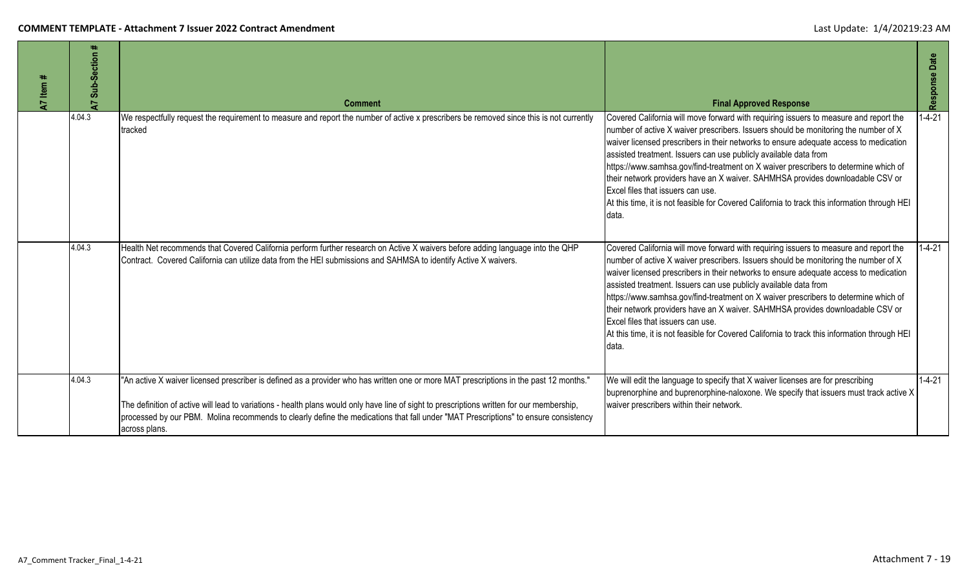| 47 Item # | Sub-Section<br>$\overline{A}$ | <b>Comment</b>                                                                                                                                                                                                                                                                                                                                                                                                                               | <b>Final Approved Response</b>                                                                                                                                                                                                                                                                                                                                                                                                                                                                                                                                                                                                                                    | Response Date |
|-----------|-------------------------------|----------------------------------------------------------------------------------------------------------------------------------------------------------------------------------------------------------------------------------------------------------------------------------------------------------------------------------------------------------------------------------------------------------------------------------------------|-------------------------------------------------------------------------------------------------------------------------------------------------------------------------------------------------------------------------------------------------------------------------------------------------------------------------------------------------------------------------------------------------------------------------------------------------------------------------------------------------------------------------------------------------------------------------------------------------------------------------------------------------------------------|---------------|
|           | 4.04.3                        | We respectfully request the requirement to measure and report the number of active x prescribers be removed since this is not currently<br>tracked                                                                                                                                                                                                                                                                                           | Covered California will move forward with requiring issuers to measure and report the<br>number of active X waiver prescribers. Issuers should be monitoring the number of X<br>waiver licensed prescribers in their networks to ensure adequate access to medication<br>assisted treatment. Issuers can use publicly available data from<br>https://www.samhsa.gov/find-treatment on X waiver prescribers to determine which of<br>their network providers have an X waiver. SAHMHSA provides downloadable CSV or<br>Excel files that issuers can use.<br>At this time, it is not feasible for Covered California to track this information through HEI<br>data. | $1 - 4 - 21$  |
|           | 4.04.3                        | Health Net recommends that Covered California perform further research on Active X waivers before adding language into the QHP<br>Contract. Covered California can utilize data from the HEI submissions and SAHMSA to identify Active X waivers.                                                                                                                                                                                            | Covered California will move forward with requiring issuers to measure and report the<br>number of active X waiver prescribers. Issuers should be monitoring the number of X<br>waiver licensed prescribers in their networks to ensure adequate access to medication<br>assisted treatment. Issuers can use publicly available data from<br>https://www.samhsa.gov/find-treatment on X waiver prescribers to determine which of<br>their network providers have an X waiver. SAHMHSA provides downloadable CSV or<br>Excel files that issuers can use.<br>At this time, it is not feasible for Covered California to track this information through HEI<br>data. | $1 - 4 - 21$  |
|           | 4.04.3                        | "An active X waiver licensed prescriber is defined as a provider who has written one or more MAT prescriptions in the past 12 months."<br>The definition of active will lead to variations - health plans would only have line of sight to prescriptions written for our membership,<br>processed by our PBM. Molina recommends to clearly define the medications that fall under "MAT Prescriptions" to ensure consistency<br>across plans. | We will edit the language to specify that X waiver licenses are for prescribing<br>buprenorphine and buprenorphine-naloxone. We specify that issuers must track active X<br>waiver prescribers within their network.                                                                                                                                                                                                                                                                                                                                                                                                                                              | $1 - 4 - 21$  |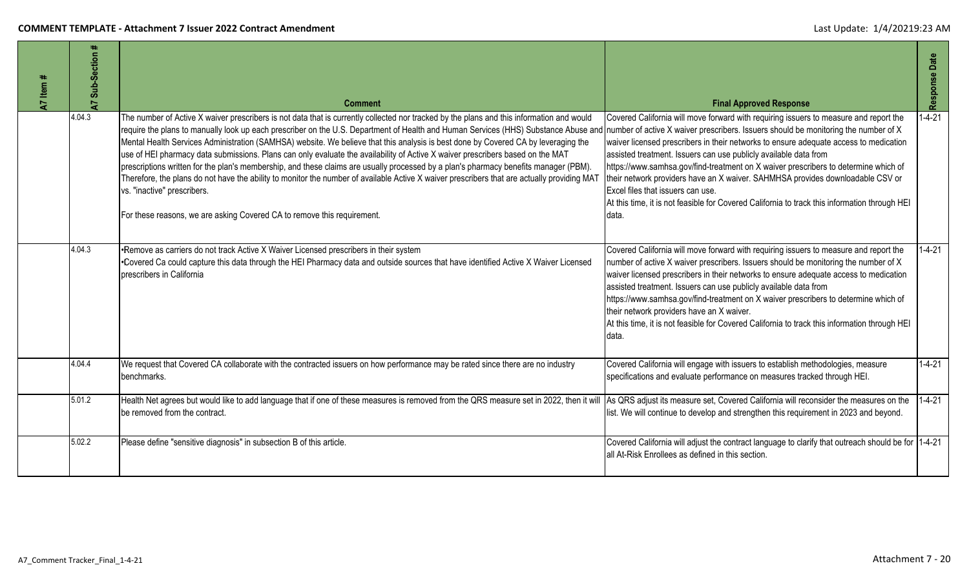| 47 Item # | Sub-Section<br>5 | <b>Comment</b>                                                                                                                                                                                                                                                                                                                                                                                                                                                                                                                                                                                                                                                                                                                                                                                                                                                                                                                                                                                                                               | <b>Final Approved Response</b>                                                                                                                                                                                                                                                                                                                                                                                                                                                                                                                                                          | Response Date |
|-----------|------------------|----------------------------------------------------------------------------------------------------------------------------------------------------------------------------------------------------------------------------------------------------------------------------------------------------------------------------------------------------------------------------------------------------------------------------------------------------------------------------------------------------------------------------------------------------------------------------------------------------------------------------------------------------------------------------------------------------------------------------------------------------------------------------------------------------------------------------------------------------------------------------------------------------------------------------------------------------------------------------------------------------------------------------------------------|-----------------------------------------------------------------------------------------------------------------------------------------------------------------------------------------------------------------------------------------------------------------------------------------------------------------------------------------------------------------------------------------------------------------------------------------------------------------------------------------------------------------------------------------------------------------------------------------|---------------|
|           | 4.04.3           | The number of Active X waiver prescribers is not data that is currently collected nor tracked by the plans and this information and would<br>require the plans to manually look up each prescriber on the U.S. Department of Health and Human Services (HHS) Substance Abuse and number of active X waiver prescribers. Issuers should be monitoring the number of X<br>Mental Health Services Administration (SAMHSA) website. We believe that this analysis is best done by Covered CA by leveraging the<br>use of HEI pharmacy data submissions. Plans can only evaluate the availability of Active X waiver prescribers based on the MAT<br>prescriptions written for the plan's membership, and these claims are usually processed by a plan's pharmacy benefits manager (PBM)<br>Therefore, the plans do not have the ability to monitor the number of available Active X waiver prescribers that are actually providing MAT<br>vs. "inactive" prescribers.<br>For these reasons, we are asking Covered CA to remove this requirement. | Covered California will move forward with requiring issuers to measure and report the<br>waiver licensed prescribers in their networks to ensure adequate access to medication<br>assisted treatment. Issuers can use publicly available data from<br>https://www.samhsa.gov/find-treatment on X waiver prescribers to determine which of<br>their network providers have an X waiver. SAHMHSA provides downloadable CSV or<br>Excel files that issuers can use.<br>At this time, it is not feasible for Covered California to track this information through HEI<br>Idata.             | $1 - 4 - 21$  |
|           | 4.04.3           | •Remove as carriers do not track Active X Waiver Licensed prescribers in their system<br>•Covered Ca could capture this data through the HEI Pharmacy data and outside sources that have identified Active X Waiver Licensed<br>prescribers in California                                                                                                                                                                                                                                                                                                                                                                                                                                                                                                                                                                                                                                                                                                                                                                                    | Covered California will move forward with requiring issuers to measure and report the<br>number of active X waiver prescribers. Issuers should be monitoring the number of X<br>waiver licensed prescribers in their networks to ensure adequate access to medication<br>assisted treatment. Issuers can use publicly available data from<br>https://www.samhsa.gov/find-treatment on X waiver prescribers to determine which of<br>their network providers have an X waiver.<br>At this time, it is not feasible for Covered California to track this information through HEI<br>data. | $1 - 4 - 21$  |
|           | 4.04.4           | We request that Covered CA collaborate with the contracted issuers on how performance may be rated since there are no industry<br>benchmarks.                                                                                                                                                                                                                                                                                                                                                                                                                                                                                                                                                                                                                                                                                                                                                                                                                                                                                                | Covered California will engage with issuers to establish methodologies, measure<br>specifications and evaluate performance on measures tracked through HEI.                                                                                                                                                                                                                                                                                                                                                                                                                             | $1 - 4 - 21$  |
|           | 5.01.2           | Health Net agrees but would like to add language that if one of these measures is removed from the QRS measure set in 2022, then it will As QRS adjust its measure set, Covered California will reconsider the measures on the<br>be removed from the contract.                                                                                                                                                                                                                                                                                                                                                                                                                                                                                                                                                                                                                                                                                                                                                                              | list. We will continue to develop and strengthen this requirement in 2023 and beyond.                                                                                                                                                                                                                                                                                                                                                                                                                                                                                                   | $1 - 4 - 21$  |
|           | 5.02.2           | Please define "sensitive diagnosis" in subsection B of this article.                                                                                                                                                                                                                                                                                                                                                                                                                                                                                                                                                                                                                                                                                                                                                                                                                                                                                                                                                                         | Covered California will adjust the contract language to clarify that outreach should be for 1-4-21<br>all At-Risk Enrollees as defined in this section.                                                                                                                                                                                                                                                                                                                                                                                                                                 |               |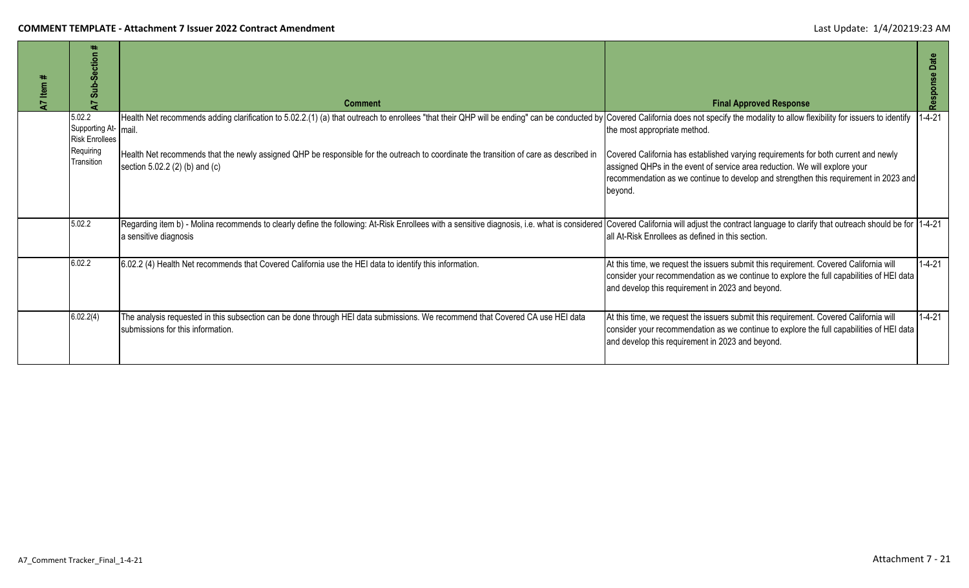| Item<br>7 | ٠.<br><b>Section</b><br>$\frac{1}{2}$                                             | <b>Comment</b>                                                                                                                                                                                                                                                                                                                                                                                            | <b>Final Approved Response</b>                                                                                                                                                                                                                                                                      | Date<br>Response |
|-----------|-----------------------------------------------------------------------------------|-----------------------------------------------------------------------------------------------------------------------------------------------------------------------------------------------------------------------------------------------------------------------------------------------------------------------------------------------------------------------------------------------------------|-----------------------------------------------------------------------------------------------------------------------------------------------------------------------------------------------------------------------------------------------------------------------------------------------------|------------------|
|           | 5.02.2<br>Supporting At- mail<br><b>Risk Enrollees</b><br>Requiring<br>Transition | Health Net recommends adding clarification to 5.02.2.(1) (a) that outreach to enrollees "that their QHP will be ending" can be conducted by Covered California does not specify the modality to allow flexibility for issuers<br>Health Net recommends that the newly assigned QHP be responsible for the outreach to coordinate the transition of care as described in<br>section 5.02.2 (2) (b) and (c) | the most appropriate method.<br>Covered California has established varying requirements for both current and newly<br>assigned QHPs in the event of service area reduction. We will explore your<br>recommendation as we continue to develop and strengthen this requirement in 2023 and<br>beyond. | $1 - 4 - 21$     |
|           | 5.02.2                                                                            | Regarding item b) - Molina recommends to clearly define the following: At-Risk Enrollees with a sensitive diagnosis, i.e. what is considered<br>a sensitive diagnosis                                                                                                                                                                                                                                     | Covered California will adjust the contract language to clarify that outreach should be for 1-4-21<br>lall At-Risk Enrollees as defined in this section.                                                                                                                                            |                  |
|           | 6.02.2                                                                            | 6.02.2 (4) Health Net recommends that Covered California use the HEI data to identify this information.                                                                                                                                                                                                                                                                                                   | At this time, we request the issuers submit this requirement. Covered California will<br>consider your recommendation as we continue to explore the full capabilities of HEI data<br>and develop this requirement in 2023 and beyond.                                                               | $1 - 4 - 21$     |
|           | 6.02.2(4)                                                                         | The analysis requested in this subsection can be done through HEI data submissions. We recommend that Covered CA use HEI data<br>submissions for this information.                                                                                                                                                                                                                                        | At this time, we request the issuers submit this requirement. Covered California will<br>consider your recommendation as we continue to explore the full capabilities of HEI data<br>and develop this requirement in 2023 and beyond.                                                               | $1 - 4 - 21$     |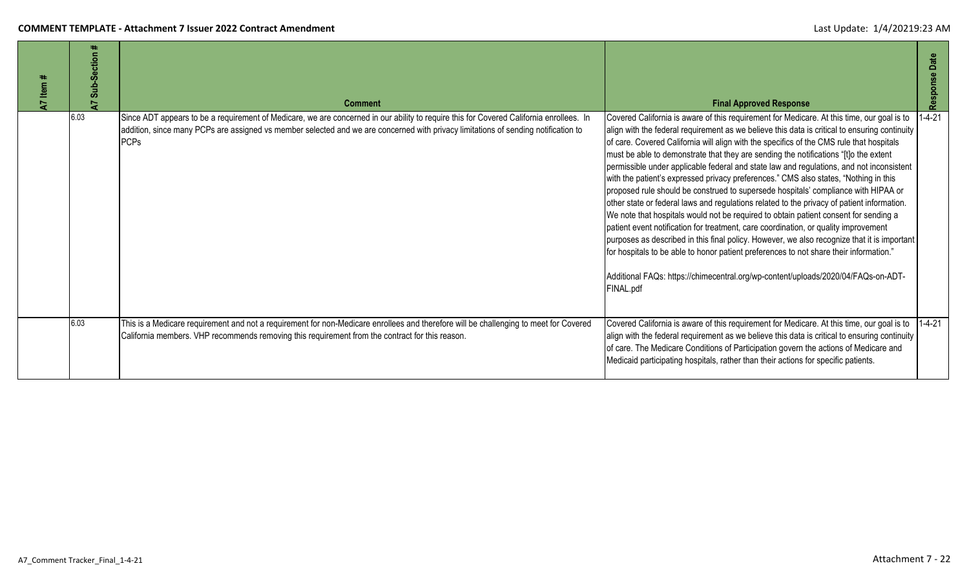| Item #<br>$\mathbf{z}$ | Sub-Section #<br>5 | <b>Comment</b>                                                                                                                                                                                                                                                                               | <b>Final Approved Response</b>                                                                                                                                                                                                                                                                                                                                                                                                                                                                                                                                                                                                                                                                                                                                                                                                                                                                                                                                                                                                                                                                                                                                                                                                    | Date<br>Response |
|------------------------|--------------------|----------------------------------------------------------------------------------------------------------------------------------------------------------------------------------------------------------------------------------------------------------------------------------------------|-----------------------------------------------------------------------------------------------------------------------------------------------------------------------------------------------------------------------------------------------------------------------------------------------------------------------------------------------------------------------------------------------------------------------------------------------------------------------------------------------------------------------------------------------------------------------------------------------------------------------------------------------------------------------------------------------------------------------------------------------------------------------------------------------------------------------------------------------------------------------------------------------------------------------------------------------------------------------------------------------------------------------------------------------------------------------------------------------------------------------------------------------------------------------------------------------------------------------------------|------------------|
|                        | 6.03               | Since ADT appears to be a requirement of Medicare, we are concerned in our ability to require this for Covered California enrollees. In<br>addition, since many PCPs are assigned vs member selected and we are concerned with privacy limitations of sending notification to<br><b>PCPs</b> | Covered California is aware of this requirement for Medicare. At this time, our goal is to<br>align with the federal requirement as we believe this data is critical to ensuring continuity<br>of care. Covered California will align with the specifics of the CMS rule that hospitals<br>must be able to demonstrate that they are sending the notifications "[t]o the extent<br>permissible under applicable federal and state law and regulations, and not inconsistent<br>with the patient's expressed privacy preferences." CMS also states, "Nothing in this<br>proposed rule should be construed to supersede hospitals' compliance with HIPAA or<br>other state or federal laws and regulations related to the privacy of patient information.<br>We note that hospitals would not be required to obtain patient consent for sending a<br>patient event notification for treatment, care coordination, or quality improvement<br>purposes as described in this final policy. However, we also recognize that it is important<br>for hospitals to be able to honor patient preferences to not share their information."<br>Additional FAQs: https://chimecentral.org/wp-content/uploads/2020/04/FAQs-on-ADT-<br>FINAL.pdf | $1 - 4 - 21$     |
|                        | 6.03               | This is a Medicare requirement and not a requirement for non-Medicare enrollees and therefore will be challenging to meet for Covered<br>California members. VHP recommends removing this requirement from the contract for this reason.                                                     | Covered California is aware of this requirement for Medicare. At this time, our goal is to<br>align with the federal requirement as we believe this data is critical to ensuring continuity<br>of care. The Medicare Conditions of Participation govern the actions of Medicare and<br>Medicaid participating hospitals, rather than their actions for specific patients.                                                                                                                                                                                                                                                                                                                                                                                                                                                                                                                                                                                                                                                                                                                                                                                                                                                         | $1-4-21$         |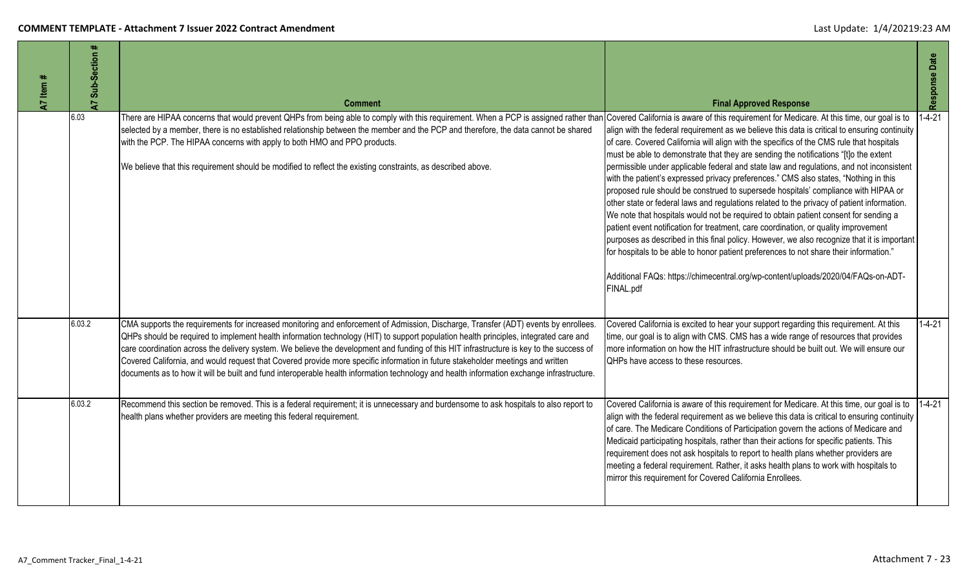| A7 Item # | Sub-Section #<br>$\overline{A}$ | <b>Comment</b>                                                                                                                                                                                                                                                                                                                                                                                                                                                                                                                                                                                                                                                                                           | <b>Final Approved Response</b>                                                                                                                                                                                                                                                                                                                                                                                                                                                                                                                                                                                                                                                                                                                                                                                                                                                                                                                                                                                                                                                                                                      | Response Date |
|-----------|---------------------------------|----------------------------------------------------------------------------------------------------------------------------------------------------------------------------------------------------------------------------------------------------------------------------------------------------------------------------------------------------------------------------------------------------------------------------------------------------------------------------------------------------------------------------------------------------------------------------------------------------------------------------------------------------------------------------------------------------------|-------------------------------------------------------------------------------------------------------------------------------------------------------------------------------------------------------------------------------------------------------------------------------------------------------------------------------------------------------------------------------------------------------------------------------------------------------------------------------------------------------------------------------------------------------------------------------------------------------------------------------------------------------------------------------------------------------------------------------------------------------------------------------------------------------------------------------------------------------------------------------------------------------------------------------------------------------------------------------------------------------------------------------------------------------------------------------------------------------------------------------------|---------------|
|           | 6.03                            | There are HIPAA concerns that would prevent QHPs from being able to comply with this requirement. When a PCP is assigned rather than Covered California is aware of this requirement for Medicare. At this time, our goal is t<br>selected by a member, there is no established relationship between the member and the PCP and therefore, the data cannot be shared<br>with the PCP. The HIPAA concerns with apply to both HMO and PPO products.<br>We believe that this requirement should be modified to reflect the existing constraints, as described above.                                                                                                                                        | align with the federal requirement as we believe this data is critical to ensuring continuity<br>of care. Covered California will align with the specifics of the CMS rule that hospitals<br>must be able to demonstrate that they are sending the notifications "[t]o the extent<br>permissible under applicable federal and state law and regulations, and not inconsistent<br>with the patient's expressed privacy preferences." CMS also states, "Nothing in this<br>proposed rule should be construed to supersede hospitals' compliance with HIPAA or<br>other state or federal laws and regulations related to the privacy of patient information.<br>We note that hospitals would not be required to obtain patient consent for sending a<br>patient event notification for treatment, care coordination, or quality improvement<br>purposes as described in this final policy. However, we also recognize that it is important<br>for hospitals to be able to honor patient preferences to not share their information."<br>Additional FAQs: https://chimecentral.org/wp-content/uploads/2020/04/FAQs-on-ADT-<br>FINAL.pdf | $1 - 4 - 21$  |
|           | 6.03.2                          | CMA supports the requirements for increased monitoring and enforcement of Admission, Discharge, Transfer (ADT) events by enrollees.<br>QHPs should be required to implement health information technology (HIT) to support population health principles, integrated care and<br>care coordination across the delivery system. We believe the development and funding of this HIT infrastructure is key to the success of<br>Covered California, and would request that Covered provide more specific information in future stakeholder meetings and written<br>documents as to how it will be built and fund interoperable health information technology and health information exchange infrastructure. | Covered California is excited to hear your support regarding this requirement. At this<br>time, our goal is to align with CMS. CMS has a wide range of resources that provides<br>more information on how the HIT infrastructure should be built out. We will ensure our<br><b>QHPs have access to these resources.</b>                                                                                                                                                                                                                                                                                                                                                                                                                                                                                                                                                                                                                                                                                                                                                                                                             | $1 - 4 - 21$  |
|           | 6.03.2                          | Recommend this section be removed. This is a federal requirement; it is unnecessary and burdensome to ask hospitals to also report to<br>health plans whether providers are meeting this federal requirement.                                                                                                                                                                                                                                                                                                                                                                                                                                                                                            | Covered California is aware of this requirement for Medicare. At this time, our goal is to 1-4-21<br>align with the federal requirement as we believe this data is critical to ensuring continuity<br>of care. The Medicare Conditions of Participation govern the actions of Medicare and<br>Medicaid participating hospitals, rather than their actions for specific patients. This<br>requirement does not ask hospitals to report to health plans whether providers are<br>meeting a federal requirement. Rather, it asks health plans to work with hospitals to<br>mirror this requirement for Covered California Enrollees.                                                                                                                                                                                                                                                                                                                                                                                                                                                                                                   |               |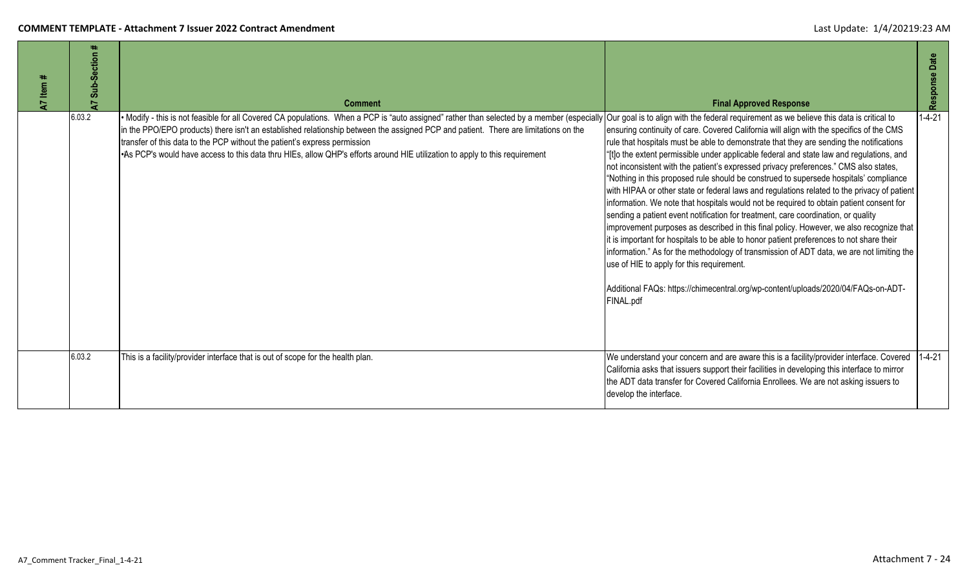| Item #<br>5 | Sub-Section #<br>2 | <b>Comment</b>                                                                                                                                                                                                                                                                                                                                                                                                                                                                                                                                                                     | <b>Final Approved Response</b>                                                                                                                                                                                                                                                                                                                                                                                                                                                                                                                                                                                                                                                                                                                                                                                                                                                                                                                                                                                                                                                                                                                                                     | Date<br>Response |
|-------------|--------------------|------------------------------------------------------------------------------------------------------------------------------------------------------------------------------------------------------------------------------------------------------------------------------------------------------------------------------------------------------------------------------------------------------------------------------------------------------------------------------------------------------------------------------------------------------------------------------------|------------------------------------------------------------------------------------------------------------------------------------------------------------------------------------------------------------------------------------------------------------------------------------------------------------------------------------------------------------------------------------------------------------------------------------------------------------------------------------------------------------------------------------------------------------------------------------------------------------------------------------------------------------------------------------------------------------------------------------------------------------------------------------------------------------------------------------------------------------------------------------------------------------------------------------------------------------------------------------------------------------------------------------------------------------------------------------------------------------------------------------------------------------------------------------|------------------|
|             | 6.03.2             | • Modify - this is not feasible for all Covered CA populations. When a PCP is "auto assigned" rather than selected by a member (especially Our goal is to align with the federal requirement as we believe this data is critic<br>in the PPO/EPO products) there isn't an established relationship between the assigned PCP and patient. There are limitations on the<br>transfer of this data to the PCP without the patient's express permission<br>. As PCP's would have access to this data thru HIEs, allow QHP's efforts around HIE utilization to apply to this requirement | ensuring continuity of care. Covered California will align with the specifics of the CMS<br>rule that hospitals must be able to demonstrate that they are sending the notifications<br>"[t]o the extent permissible under applicable federal and state law and regulations, and<br>not inconsistent with the patient's expressed privacy preferences." CMS also states,<br>"Nothing in this proposed rule should be construed to supersede hospitals' compliance<br>with HIPAA or other state or federal laws and regulations related to the privacy of patient<br>information. We note that hospitals would not be required to obtain patient consent for<br>sending a patient event notification for treatment, care coordination, or quality<br>improvement purposes as described in this final policy. However, we also recognize that<br>it is important for hospitals to be able to honor patient preferences to not share their<br>information." As for the methodology of transmission of ADT data, we are not limiting the<br>use of HIE to apply for this requirement.<br>Additional FAQs: https://chimecentral.org/wp-content/uploads/2020/04/FAQs-on-ADT-<br>FINAL.pdf | $1 - 4 - 21$     |
|             | 6.03.2             | This is a facility/provider interface that is out of scope for the health plan.                                                                                                                                                                                                                                                                                                                                                                                                                                                                                                    | We understand your concern and are aware this is a facility/provider interface. Covered 1-4-21<br>California asks that issuers support their facilities in developing this interface to mirror<br>the ADT data transfer for Covered California Enrollees. We are not asking issuers to<br>develop the interface.                                                                                                                                                                                                                                                                                                                                                                                                                                                                                                                                                                                                                                                                                                                                                                                                                                                                   |                  |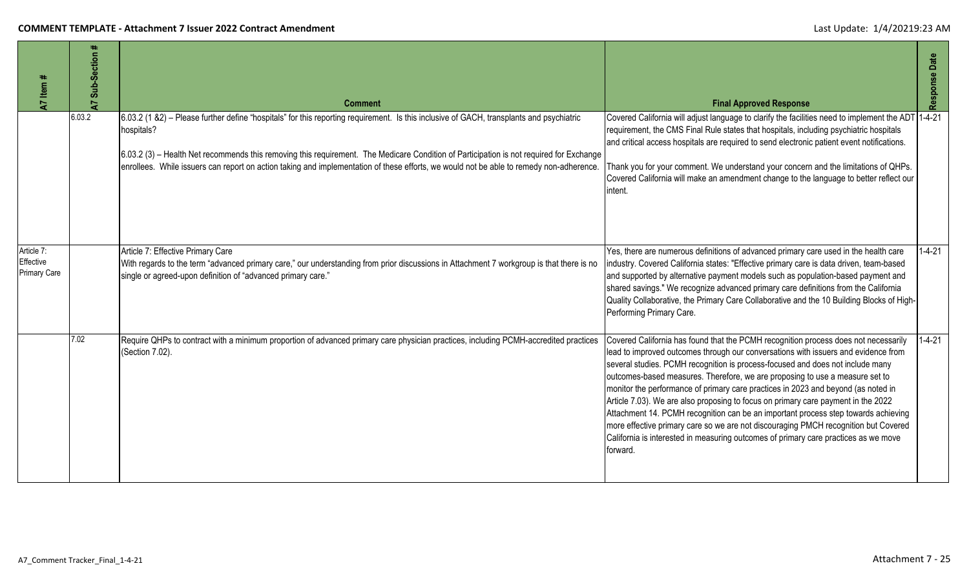| A7 Item #                               | #<br>Sub-Section<br>$\overline{a}$ | <b>Comment</b>                                                                                                                                                                                                                                                                                                                                                                                                                               | <b>Final Approved Response</b>                                                                                                                                                                                                                                                                                                                                                                                                                                                                                                                                                                                                                                                                                                                                                                        | Response Date |
|-----------------------------------------|------------------------------------|----------------------------------------------------------------------------------------------------------------------------------------------------------------------------------------------------------------------------------------------------------------------------------------------------------------------------------------------------------------------------------------------------------------------------------------------|-------------------------------------------------------------------------------------------------------------------------------------------------------------------------------------------------------------------------------------------------------------------------------------------------------------------------------------------------------------------------------------------------------------------------------------------------------------------------------------------------------------------------------------------------------------------------------------------------------------------------------------------------------------------------------------------------------------------------------------------------------------------------------------------------------|---------------|
|                                         | 6.03.2                             | 6.03.2 (1 &2) – Please further define "hospitals" for this reporting requirement. Is this inclusive of GACH, transplants and psychiatric<br>hospitals?<br>6.03.2 (3) - Health Net recommends this removing this requirement. The Medicare Condition of Participation is not required for Exchange<br>enrollees. While issuers can report on action taking and implementation of these efforts, we would not be able to remedy non-adherence. | Covered California will adjust language to clarify the facilities need to implement the ADT<br>requirement, the CMS Final Rule states that hospitals, including psychiatric hospitals<br>and critical access hospitals are required to send electronic patient event notifications.<br>Thank you for your comment. We understand your concern and the limitations of QHPs.<br>Covered California will make an amendment change to the language to better reflect our<br>intent.                                                                                                                                                                                                                                                                                                                       | $1 - 4 - 21$  |
| Article 7:<br>Effective<br>Primary Care |                                    | Article 7: Effective Primary Care<br>With regards to the term "advanced primary care," our understanding from prior discussions in Attachment 7 workgroup is that there is no<br>single or agreed-upon definition of "advanced primary care."                                                                                                                                                                                                | Yes, there are numerous definitions of advanced primary care used in the health care<br>industry. Covered California states: "Effective primary care is data driven, team-based<br>and supported by alternative payment models such as population-based payment and<br>shared savings." We recognize advanced primary care definitions from the California<br>Quality Collaborative, the Primary Care Collaborative and the 10 Building Blocks of High-<br>Performing Primary Care.                                                                                                                                                                                                                                                                                                                   | $1 - 4 - 21$  |
|                                         | 7.02                               | Require QHPs to contract with a minimum proportion of advanced primary care physician practices, including PCMH-accredited practices<br>(Section 7.02).                                                                                                                                                                                                                                                                                      | Covered California has found that the PCMH recognition process does not necessarily<br>lead to improved outcomes through our conversations with issuers and evidence from<br>several studies. PCMH recognition is process-focused and does not include many<br>outcomes-based measures. Therefore, we are proposing to use a measure set to<br>monitor the performance of primary care practices in 2023 and beyond (as noted in<br>Article 7.03). We are also proposing to focus on primary care payment in the 2022<br>Attachment 14. PCMH recognition can be an important process step towards achieving<br>more effective primary care so we are not discouraging PMCH recognition but Covered<br>California is interested in measuring outcomes of primary care practices as we move<br>forward. | $1 - 4 - 21$  |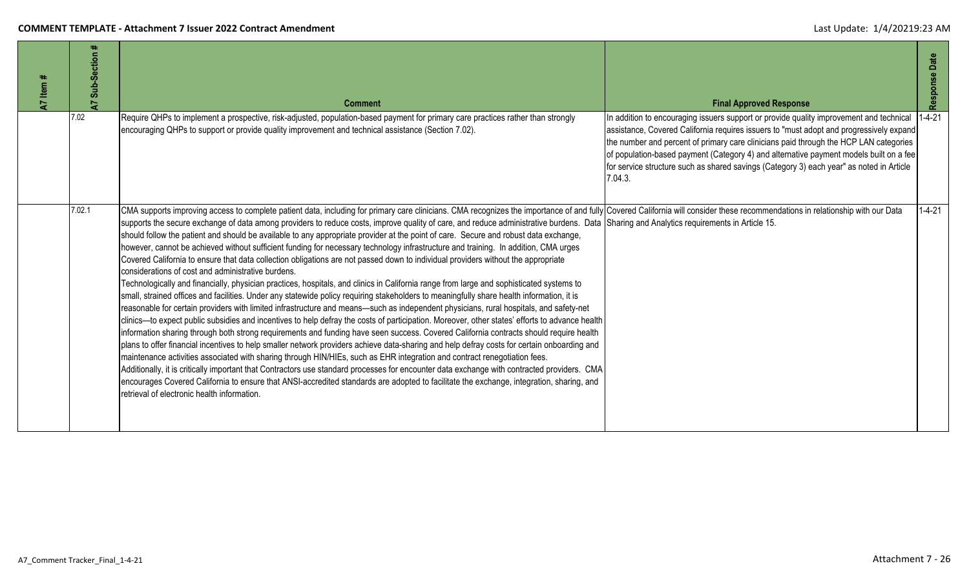| <b>A7</b> Item # | Sub-Section<br>7 | <b>Comment</b>                                                                                                                                                                                                                                                                                                                                                                                                                                                                                                                                                                                                                                                                                                                                                                                                                                                                                                                                                                                                                                                                                                                                                                                                                                                                                                                                                                                                                                                                                                                                                                                                                                                                                                                                                                                                                                                                                                                                                                                                                                                                                                                                                                                                                                            | <b>Final Approved Response</b>                                                                                                                                                                                                                                                                                                                                                                                                                                               | Response Date |
|------------------|------------------|-----------------------------------------------------------------------------------------------------------------------------------------------------------------------------------------------------------------------------------------------------------------------------------------------------------------------------------------------------------------------------------------------------------------------------------------------------------------------------------------------------------------------------------------------------------------------------------------------------------------------------------------------------------------------------------------------------------------------------------------------------------------------------------------------------------------------------------------------------------------------------------------------------------------------------------------------------------------------------------------------------------------------------------------------------------------------------------------------------------------------------------------------------------------------------------------------------------------------------------------------------------------------------------------------------------------------------------------------------------------------------------------------------------------------------------------------------------------------------------------------------------------------------------------------------------------------------------------------------------------------------------------------------------------------------------------------------------------------------------------------------------------------------------------------------------------------------------------------------------------------------------------------------------------------------------------------------------------------------------------------------------------------------------------------------------------------------------------------------------------------------------------------------------------------------------------------------------------------------------------------------------|------------------------------------------------------------------------------------------------------------------------------------------------------------------------------------------------------------------------------------------------------------------------------------------------------------------------------------------------------------------------------------------------------------------------------------------------------------------------------|---------------|
|                  | 7.02             | Require QHPs to implement a prospective, risk-adjusted, population-based payment for primary care practices rather than strongly<br>encouraging QHPs to support or provide quality improvement and technical assistance (Section 7.02).                                                                                                                                                                                                                                                                                                                                                                                                                                                                                                                                                                                                                                                                                                                                                                                                                                                                                                                                                                                                                                                                                                                                                                                                                                                                                                                                                                                                                                                                                                                                                                                                                                                                                                                                                                                                                                                                                                                                                                                                                   | In addition to encouraging issuers support or provide quality improvement and technical<br>assistance, Covered California requires issuers to "must adopt and progressively expand<br>the number and percent of primary care clinicians paid through the HCP LAN categories<br>of population-based payment (Category 4) and alternative payment models built on a fee<br>for service structure such as shared savings (Category 3) each year" as noted in Article<br>7.04.3. | $1 - 4 - 21$  |
|                  | 7.02.1           | CMA supports improving access to complete patient data, including for primary care clinicians. CMA recognizes the importance of and fully Covered California will consider these recommendations in relationship with our Data<br>supports the secure exchange of data among providers to reduce costs, improve quality of care, and reduce administrative burdens. Data Sharing and Analytics requirements in Article 15.<br>should follow the patient and should be available to any appropriate provider at the point of care. Secure and robust data exchange,<br>however, cannot be achieved without sufficient funding for necessary technology infrastructure and training. In addition, CMA urges<br>Covered California to ensure that data collection obligations are not passed down to individual providers without the appropriate<br>considerations of cost and administrative burdens.<br>Technologically and financially, physician practices, hospitals, and clinics in California range from large and sophisticated systems to<br>small, strained offices and facilities. Under any statewide policy requiring stakeholders to meaningfully share health information, it is<br>reasonable for certain providers with limited infrastructure and means—such as independent physicians, rural hospitals, and safety-net<br>clinics—to expect public subsidies and incentives to help defray the costs of participation. Moreover, other states' efforts to advance health<br>information sharing through both strong requirements and funding have seen success. Covered California contracts should require health<br>plans to offer financial incentives to help smaller network providers achieve data-sharing and help defray costs for certain onboarding and<br>maintenance activities associated with sharing through HIN/HIEs, such as EHR integration and contract renegotiation fees.<br>Additionally, it is critically important that Contractors use standard processes for encounter data exchange with contracted providers. CMA<br>encourages Covered California to ensure that ANSI-accredited standards are adopted to facilitate the exchange, integration, sharing, and<br>retrieval of electronic health information. |                                                                                                                                                                                                                                                                                                                                                                                                                                                                              | $1 - 4 - 21$  |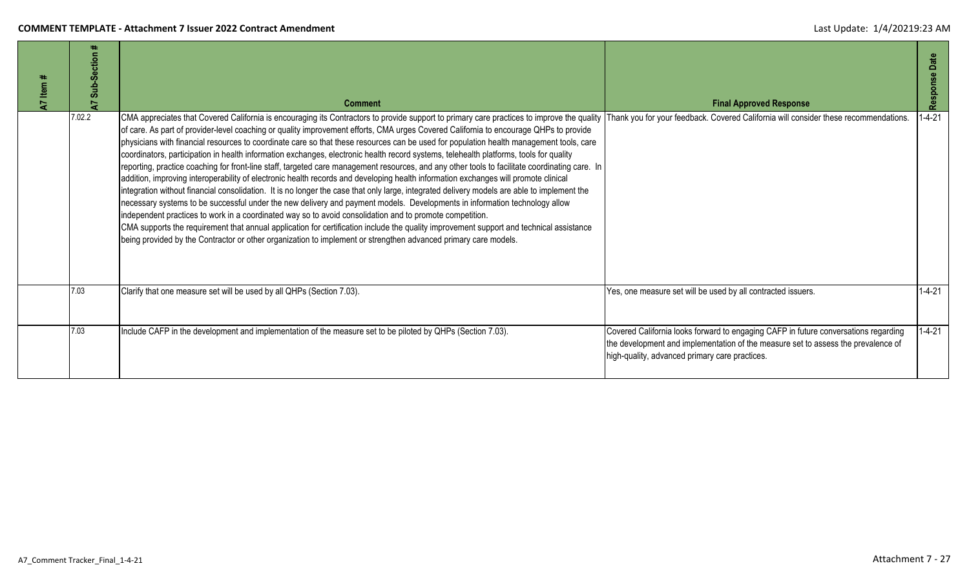| A7 Item | ∓⊧<br>Sub-Section<br>5 | <b>Comment</b>                                                                                                                                                                                                                                                                                                                                                                                                                                                                                                                                                                                                                                                                                                                                                                                                                                                                                                                                                                                                                                                                                                                                                                                                                                                                                                                                                                                                                                                                                                           | <b>Final Approved Response</b>                                                                                                                                                                                             | Date<br>Response |
|---------|------------------------|--------------------------------------------------------------------------------------------------------------------------------------------------------------------------------------------------------------------------------------------------------------------------------------------------------------------------------------------------------------------------------------------------------------------------------------------------------------------------------------------------------------------------------------------------------------------------------------------------------------------------------------------------------------------------------------------------------------------------------------------------------------------------------------------------------------------------------------------------------------------------------------------------------------------------------------------------------------------------------------------------------------------------------------------------------------------------------------------------------------------------------------------------------------------------------------------------------------------------------------------------------------------------------------------------------------------------------------------------------------------------------------------------------------------------------------------------------------------------------------------------------------------------|----------------------------------------------------------------------------------------------------------------------------------------------------------------------------------------------------------------------------|------------------|
|         | 7.02.2                 | CMA appreciates that Covered California is encouraging its Contractors to provide support to primary care practices to improve the quality<br>of care. As part of provider-level coaching or quality improvement efforts, CMA urges Covered California to encourage QHPs to provide<br>physicians with financial resources to coordinate care so that these resources can be used for population health management tools, care<br>coordinators, participation in health information exchanges, electronic health record systems, telehealth platforms, tools for quality<br>reporting, practice coaching for front-line staff, targeted care management resources, and any other tools to facilitate coordinating care. In<br>addition, improving interoperability of electronic health records and developing health information exchanges will promote clinical<br>integration without financial consolidation. It is no longer the case that only large, integrated delivery models are able to implement the<br>necessary systems to be successful under the new delivery and payment models. Developments in information technology allow<br>independent practices to work in a coordinated way so to avoid consolidation and to promote competition.<br>CMA supports the requirement that annual application for certification include the quality improvement support and technical assistance<br>being provided by the Contractor or other organization to implement or strengthen advanced primary care models. | Thank you for your feedback. Covered California will consider these recommendations.                                                                                                                                       | $1 - 4 - 21$     |
|         | 7.03                   | Clarify that one measure set will be used by all QHPs (Section 7.03).                                                                                                                                                                                                                                                                                                                                                                                                                                                                                                                                                                                                                                                                                                                                                                                                                                                                                                                                                                                                                                                                                                                                                                                                                                                                                                                                                                                                                                                    | Yes, one measure set will be used by all contracted issuers.                                                                                                                                                               | $1 - 4 - 21$     |
|         | 7.03                   | Include CAFP in the development and implementation of the measure set to be piloted by QHPs (Section 7.03).                                                                                                                                                                                                                                                                                                                                                                                                                                                                                                                                                                                                                                                                                                                                                                                                                                                                                                                                                                                                                                                                                                                                                                                                                                                                                                                                                                                                              | Covered California looks forward to engaging CAFP in future conversations regarding<br>the development and implementation of the measure set to assess the prevalence of<br>high-quality, advanced primary care practices. | $1 - 4 - 21$     |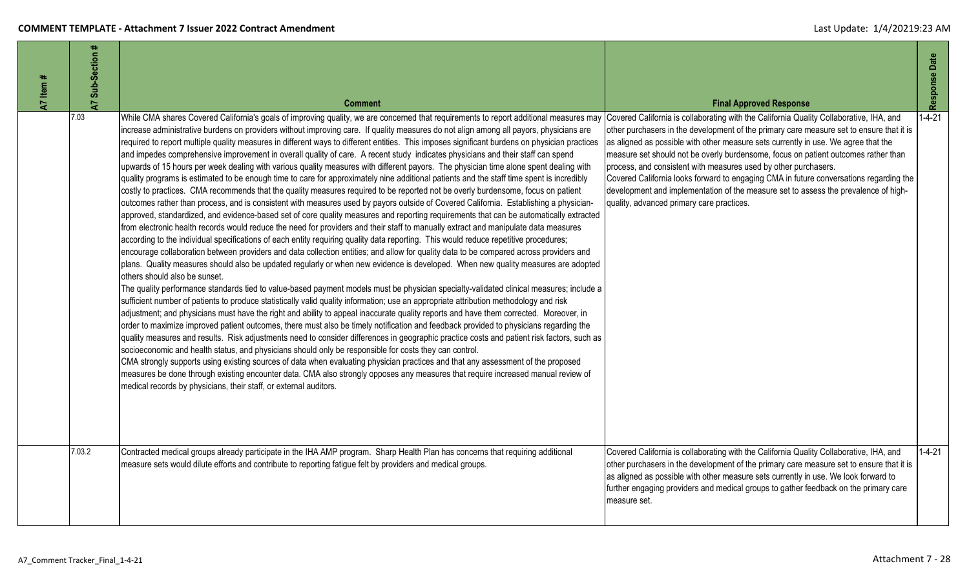| A7 Item # | #<br>A7 Sub-Section | <b>Comment</b>                                                                                                                                                                                                                                                                                                                                                                                                                                                                                                                                                                                                                                                                                                                                                                                                                                                                                                                                                                                                                                                                                                                                                                                                                                                                                                                                                                                                                                                                                                                                                                                                                                                                                                                                                                                                                                                                                                                                                                                                                                                                                                                                                                                                                                                                                                                                                                                                                                                                                                                                                                                                                                                                                                                                                                                                                                                                                                                                                                                                                                              | <b>Final Approved Response</b>                                                                                                                                                                                                                                                                                                                                                                                                                                                                                                                                                                                                                                   | Response Date |
|-----------|---------------------|-------------------------------------------------------------------------------------------------------------------------------------------------------------------------------------------------------------------------------------------------------------------------------------------------------------------------------------------------------------------------------------------------------------------------------------------------------------------------------------------------------------------------------------------------------------------------------------------------------------------------------------------------------------------------------------------------------------------------------------------------------------------------------------------------------------------------------------------------------------------------------------------------------------------------------------------------------------------------------------------------------------------------------------------------------------------------------------------------------------------------------------------------------------------------------------------------------------------------------------------------------------------------------------------------------------------------------------------------------------------------------------------------------------------------------------------------------------------------------------------------------------------------------------------------------------------------------------------------------------------------------------------------------------------------------------------------------------------------------------------------------------------------------------------------------------------------------------------------------------------------------------------------------------------------------------------------------------------------------------------------------------------------------------------------------------------------------------------------------------------------------------------------------------------------------------------------------------------------------------------------------------------------------------------------------------------------------------------------------------------------------------------------------------------------------------------------------------------------------------------------------------------------------------------------------------------------------------------------------------------------------------------------------------------------------------------------------------------------------------------------------------------------------------------------------------------------------------------------------------------------------------------------------------------------------------------------------------------------------------------------------------------------------------------------------------|------------------------------------------------------------------------------------------------------------------------------------------------------------------------------------------------------------------------------------------------------------------------------------------------------------------------------------------------------------------------------------------------------------------------------------------------------------------------------------------------------------------------------------------------------------------------------------------------------------------------------------------------------------------|---------------|
|           | 7.03                | While CMA shares Covered California's goals of improving quality, we are concerned that requirements to report additional measures may<br>increase administrative burdens on providers without improving care. If quality measures do not align among all payors, physicians are<br>required to report multiple quality measures in different ways to different entities. This imposes significant burdens on physician practices<br>and impedes comprehensive improvement in overall quality of care. A recent study indicates physicians and their staff can spend<br>upwards of 15 hours per week dealing with various quality measures with different payors. The physician time alone spent dealing with<br>quality programs is estimated to be enough time to care for approximately nine additional patients and the staff time spent is incredibly<br>costly to practices. CMA recommends that the quality measures required to be reported not be overly burdensome, focus on patient<br>outcomes rather than process, and is consistent with measures used by payors outside of Covered California. Establishing a physician-<br>approved, standardized, and evidence-based set of core quality measures and reporting requirements that can be automatically extracted<br>from electronic health records would reduce the need for providers and their staff to manually extract and manipulate data measures<br>according to the individual specifications of each entity requiring quality data reporting. This would reduce repetitive procedures;<br>encourage collaboration between providers and data collection entities; and allow for quality data to be compared across providers and<br>plans. Quality measures should also be updated regularly or when new evidence is developed. When new quality measures are adopted<br>others should also be sunset.<br>The quality performance standards tied to value-based payment models must be physician specialty-validated clinical measures; include a<br>sufficient number of patients to produce statistically valid quality information; use an appropriate attribution methodology and risk<br>adjustment; and physicians must have the right and ability to appeal inaccurate quality reports and have them corrected. Moreover, in<br>order to maximize improved patient outcomes, there must also be timely notification and feedback provided to physicians regarding the<br>quality measures and results. Risk adjustments need to consider differences in geographic practice costs and patient risk factors, such as<br>socioeconomic and health status, and physicians should only be responsible for costs they can control.<br>CMA strongly supports using existing sources of data when evaluating physician practices and that any assessment of the proposed<br>measures be done through existing encounter data. CMA also strongly opposes any measures that require increased manual review of<br>medical records by physicians, their staff, or external auditors. | Covered California is collaborating with the California Quality Collaborative, IHA, and<br>other purchasers in the development of the primary care measure set to ensure that it is<br>as aligned as possible with other measure sets currently in use. We agree that the<br>measure set should not be overly burdensome, focus on patient outcomes rather than<br>process, and consistent with measures used by other purchasers.<br>Covered California looks forward to engaging CMA in future conversations regarding the<br>development and implementation of the measure set to assess the prevalence of high-<br>quality, advanced primary care practices. | $1 - 4 - 21$  |
|           | 7.03.2              | Contracted medical groups already participate in the IHA AMP program. Sharp Health Plan has concerns that requiring additional<br>measure sets would dilute efforts and contribute to reporting fatigue felt by providers and medical groups.                                                                                                                                                                                                                                                                                                                                                                                                                                                                                                                                                                                                                                                                                                                                                                                                                                                                                                                                                                                                                                                                                                                                                                                                                                                                                                                                                                                                                                                                                                                                                                                                                                                                                                                                                                                                                                                                                                                                                                                                                                                                                                                                                                                                                                                                                                                                                                                                                                                                                                                                                                                                                                                                                                                                                                                                               | Covered California is collaborating with the California Quality Collaborative, IHA, and<br>other purchasers in the development of the primary care measure set to ensure that it is<br>as aligned as possible with other measure sets currently in use. We look forward to<br>further engaging providers and medical groups to gather feedback on the primary care<br>measure set.                                                                                                                                                                                                                                                                               | $1 - 4 - 21$  |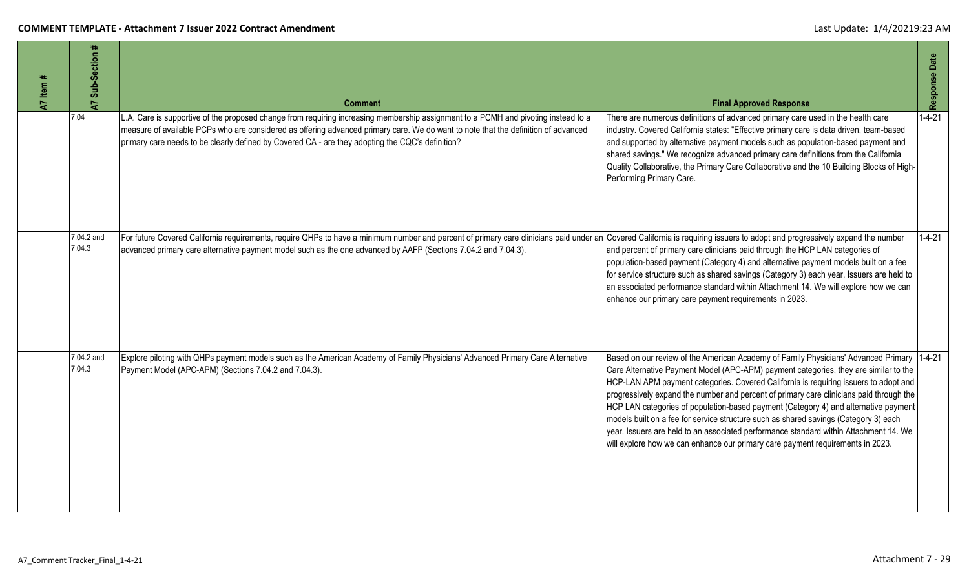| A7 Item # | Sub-Section<br>$\overline{a}$ | <b>Comment</b>                                                                                                                                                                                                                                                                                                                                                             | <b>Final Approved Response</b>                                                                                                                                                                                                                                                                                                                                                                                                                                                                                                                                                                                                                                                                                                  | Response Date |
|-----------|-------------------------------|----------------------------------------------------------------------------------------------------------------------------------------------------------------------------------------------------------------------------------------------------------------------------------------------------------------------------------------------------------------------------|---------------------------------------------------------------------------------------------------------------------------------------------------------------------------------------------------------------------------------------------------------------------------------------------------------------------------------------------------------------------------------------------------------------------------------------------------------------------------------------------------------------------------------------------------------------------------------------------------------------------------------------------------------------------------------------------------------------------------------|---------------|
|           | 7.04                          | A. Care is supportive of the proposed change from requiring increasing membership assignment to a PCMH and pivoting instead to a<br>measure of available PCPs who are considered as offering advanced primary care. We do want to note that the definition of advanced<br>primary care needs to be clearly defined by Covered CA - are they adopting the CQC's definition? | There are numerous definitions of advanced primary care used in the health care<br>industry. Covered California states: "Effective primary care is data driven, team-based<br>and supported by alternative payment models such as population-based payment and<br>shared savings." We recognize advanced primary care definitions from the California<br>Quality Collaborative, the Primary Care Collaborative and the 10 Building Blocks of High-<br>Performing Primary Care.                                                                                                                                                                                                                                                  | $1 - 4 - 21$  |
|           | 7.04.2 and<br>7.04.3          | For future Covered California requirements, require QHPs to have a minimum number and percent of primary care clinicians paid under an Covered California is requiring issuers to adopt and progressively expand the number<br>advanced primary care alternative payment model such as the one advanced by AAFP (Sections 7.04.2 and 7.04.3).                              | and percent of primary care clinicians paid through the HCP LAN categories of<br>population-based payment (Category 4) and alternative payment models built on a fee<br>for service structure such as shared savings (Category 3) each year. Issuers are held to<br>an associated performance standard within Attachment 14. We will explore how we can<br>enhance our primary care payment requirements in 2023.                                                                                                                                                                                                                                                                                                               | $1 - 4 - 21$  |
|           | 7.04.2 and<br>7.04.3          | Explore piloting with QHPs payment models such as the American Academy of Family Physicians' Advanced Primary Care Alternative<br>Payment Model (APC-APM) (Sections 7.04.2 and 7.04.3).                                                                                                                                                                                    | Based on our review of the American Academy of Family Physicians' Advanced Primary 14-4-21<br>Care Alternative Payment Model (APC-APM) payment categories, they are similar to the<br>HCP-LAN APM payment categories. Covered California is requiring issuers to adopt and<br>progressively expand the number and percent of primary care clinicians paid through the<br>HCP LAN categories of population-based payment (Category 4) and alternative payment<br>models built on a fee for service structure such as shared savings (Category 3) each<br>year. Issuers are held to an associated performance standard within Attachment 14. We<br>will explore how we can enhance our primary care payment requirements in 2023. |               |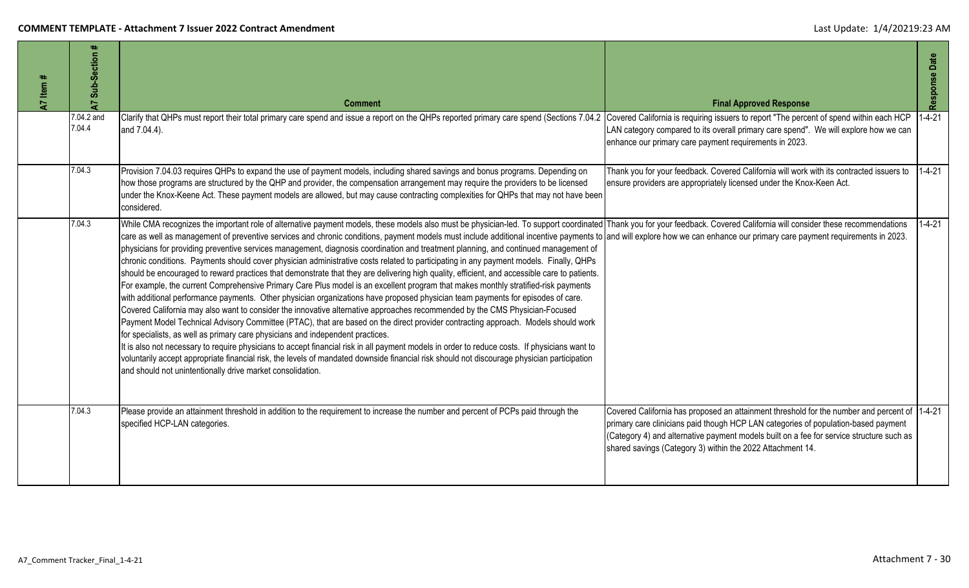| A7 Item # | #<br>Sub-Section<br>$\overline{A}$ | <b>Comment</b>                                                                                                                                                                                                                                                                                                                                                                                                                                                                                                                                                                                                                                                                                                                                                                                                                                                                                                                                                                                                                                                                                                                                                                                                                                                                                                                                                                                                                                                                                                                                                                                                                                                                                                                                                                                                                                                                        | <b>Final Approved Response</b>                                                                                                                                                                                                                                                                                                               | Response Date |
|-----------|------------------------------------|---------------------------------------------------------------------------------------------------------------------------------------------------------------------------------------------------------------------------------------------------------------------------------------------------------------------------------------------------------------------------------------------------------------------------------------------------------------------------------------------------------------------------------------------------------------------------------------------------------------------------------------------------------------------------------------------------------------------------------------------------------------------------------------------------------------------------------------------------------------------------------------------------------------------------------------------------------------------------------------------------------------------------------------------------------------------------------------------------------------------------------------------------------------------------------------------------------------------------------------------------------------------------------------------------------------------------------------------------------------------------------------------------------------------------------------------------------------------------------------------------------------------------------------------------------------------------------------------------------------------------------------------------------------------------------------------------------------------------------------------------------------------------------------------------------------------------------------------------------------------------------------|----------------------------------------------------------------------------------------------------------------------------------------------------------------------------------------------------------------------------------------------------------------------------------------------------------------------------------------------|---------------|
|           | 7.04.2 and<br>7.04.4               | Clarify that QHPs must report their total primary care spend and issue a report on the QHPs reported primary care spend (Sections 7.04.2<br>and 7.04.4).                                                                                                                                                                                                                                                                                                                                                                                                                                                                                                                                                                                                                                                                                                                                                                                                                                                                                                                                                                                                                                                                                                                                                                                                                                                                                                                                                                                                                                                                                                                                                                                                                                                                                                                              | Covered California is requiring issuers to report "The percent of spend within each HCP<br>LAN category compared to its overall primary care spend". We will explore how we can<br>enhance our primary care payment requirements in 2023.                                                                                                    | $1 - 4 - 21$  |
|           | 7.04.3                             | Provision 7.04.03 requires QHPs to expand the use of payment models, including shared savings and bonus programs. Depending on<br>now those programs are structured by the QHP and provider, the compensation arrangement may require the providers to be licensed<br>under the Knox-Keene Act. These payment models are allowed, but may cause contracting complexities for QHPs that may not have been<br>considered.                                                                                                                                                                                                                                                                                                                                                                                                                                                                                                                                                                                                                                                                                                                                                                                                                                                                                                                                                                                                                                                                                                                                                                                                                                                                                                                                                                                                                                                               | Thank you for your feedback. Covered California will work with its contracted issuers to<br>ensure providers are appropriately licensed under the Knox-Keen Act.                                                                                                                                                                             | $1 - 4 - 21$  |
|           | 7.04.3                             | While CMA recognizes the important role of alternative payment models, these models also must be physician-led. To support coordinated Thank you for your feedback. Covered California will consider these recommendations<br>care as well as management of preventive services and chronic conditions, payment models must include additional incentive payments to and will explore how we can enhance our primary care payment requirements in 2023.<br>physicians for providing preventive services management, diagnosis coordination and treatment planning, and continued management of<br>chronic conditions. Payments should cover physician administrative costs related to participating in any payment models. Finally, QHPs<br>should be encouraged to reward practices that demonstrate that they are delivering high quality, efficient, and accessible care to patients.<br>For example, the current Comprehensive Primary Care Plus model is an excellent program that makes monthly stratified-risk payments<br>with additional performance payments. Other physician organizations have proposed physician team payments for episodes of care.<br>Covered California may also want to consider the innovative alternative approaches recommended by the CMS Physician-Focused<br>Payment Model Technical Advisory Committee (PTAC), that are based on the direct provider contracting approach. Models should work<br>for specialists, as well as primary care physicians and independent practices.<br>It is also not necessary to require physicians to accept financial risk in all payment models in order to reduce costs. If physicians want to<br>voluntarily accept appropriate financial risk, the levels of mandated downside financial risk should not discourage physician participation<br>and should not unintentionally drive market consolidation. |                                                                                                                                                                                                                                                                                                                                              | $1 - 4 - 21$  |
|           | 7.04.3                             | Please provide an attainment threshold in addition to the requirement to increase the number and percent of PCPs paid through the<br>specified HCP-LAN categories.                                                                                                                                                                                                                                                                                                                                                                                                                                                                                                                                                                                                                                                                                                                                                                                                                                                                                                                                                                                                                                                                                                                                                                                                                                                                                                                                                                                                                                                                                                                                                                                                                                                                                                                    | Covered California has proposed an attainment threshold for the number and percent of 1-4-21<br>primary care clinicians paid though HCP LAN categories of population-based payment<br>(Category 4) and alternative payment models built on a fee for service structure such as<br>shared savings (Category 3) within the 2022 Attachment 14. |               |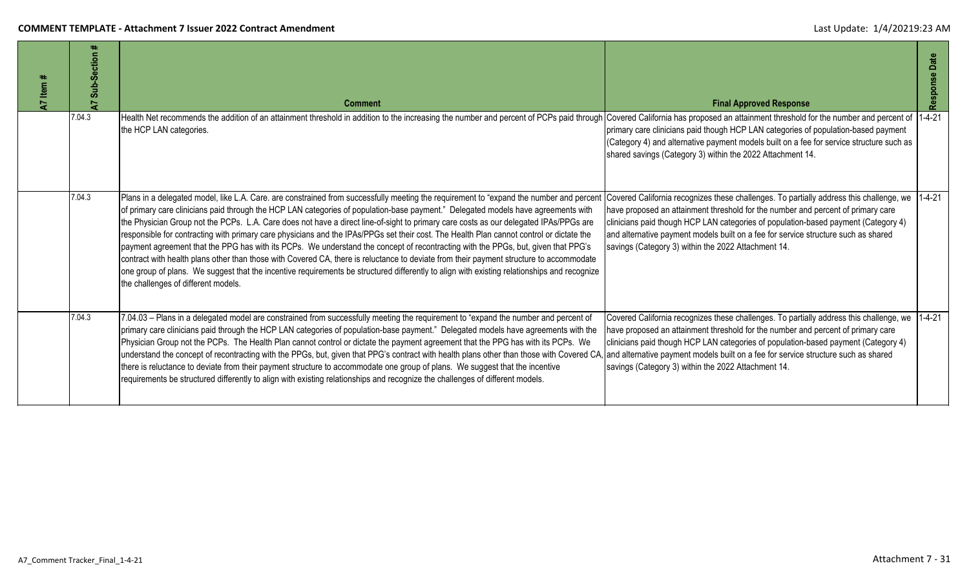| Item<br>5 | ction<br>Sub-Se<br>5 | <b>Comment</b>                                                                                                                                                                                                                                                                                                                                                                                                                                                                                                                                                                                                                                                                                                                                                                                                                                                                                                                                                                                                                          | <b>Final Approved Response</b>                                                                                                                                                                                                                                                                                                                                                                                        | Date<br>Response |
|-----------|----------------------|-----------------------------------------------------------------------------------------------------------------------------------------------------------------------------------------------------------------------------------------------------------------------------------------------------------------------------------------------------------------------------------------------------------------------------------------------------------------------------------------------------------------------------------------------------------------------------------------------------------------------------------------------------------------------------------------------------------------------------------------------------------------------------------------------------------------------------------------------------------------------------------------------------------------------------------------------------------------------------------------------------------------------------------------|-----------------------------------------------------------------------------------------------------------------------------------------------------------------------------------------------------------------------------------------------------------------------------------------------------------------------------------------------------------------------------------------------------------------------|------------------|
|           | 7.04.3               | Health Net recommends the addition of an attainment threshold in addition to the increasing the number and percent of PCPs paid through<br>the HCP LAN categories.                                                                                                                                                                                                                                                                                                                                                                                                                                                                                                                                                                                                                                                                                                                                                                                                                                                                      | Covered California has proposed an attainment threshold for the number and percent of<br>primary care clinicians paid though HCP LAN categories of population-based payment<br>(Category 4) and alternative payment models built on a fee for service structure such as<br>shared savings (Category 3) within the 2022 Attachment 14.                                                                                 | $1 - 4 - 21$     |
|           | 7.04.3               | Plans in a delegated model, like L.A. Care. are constrained from successfully meeting the requirement to "expand the number and percent<br>of primary care clinicians paid through the HCP LAN categories of population-base payment." Delegated models have agreements with<br>the Physician Group not the PCPs. L.A. Care does not have a direct line-of-sight to primary care costs as our delegated IPAs/PPGs are<br>responsible for contracting with primary care physicians and the IPAs/PPGs set their cost. The Health Plan cannot control or dictate the<br>payment agreement that the PPG has with its PCPs. We understand the concept of recontracting with the PPGs, but, given that PPG's<br>contract with health plans other than those with Covered CA, there is reluctance to deviate from their payment structure to accommodate<br>one group of plans. We suggest that the incentive requirements be structured differently to align with existing relationships and recognize<br>the challenges of different models. | Covered California recognizes these challenges. To partially address this challenge, we 1-4-21<br>have proposed an attainment threshold for the number and percent of primary care<br>clinicians paid though HCP LAN categories of population-based payment (Category 4)<br>and alternative payment models built on a fee for service structure such as shared<br>savings (Category 3) within the 2022 Attachment 14. |                  |
|           | 7.04.3               | 7.04.03 - Plans in a delegated model are constrained from successfully meeting the requirement to "expand the number and percent of<br>primary care clinicians paid through the HCP LAN categories of population-base payment." Delegated models have agreements with the<br>Physician Group not the PCPs. The Health Plan cannot control or dictate the payment agreement that the PPG has with its PCPs. We<br>understand the concept of recontracting with the PPGs, but, given that PPG's contract with health plans other than those with Covered CA,<br>there is reluctance to deviate from their payment structure to accommodate one group of plans. We suggest that the incentive<br>requirements be structured differently to align with existing relationships and recognize the challenges of different models.                                                                                                                                                                                                             | Covered California recognizes these challenges. To partially address this challenge, we 1-4-21<br>have proposed an attainment threshold for the number and percent of primary care<br>clinicians paid though HCP LAN categories of population-based payment (Category 4)<br>and alternative payment models built on a fee for service structure such as shared<br>savings (Category 3) within the 2022 Attachment 14. |                  |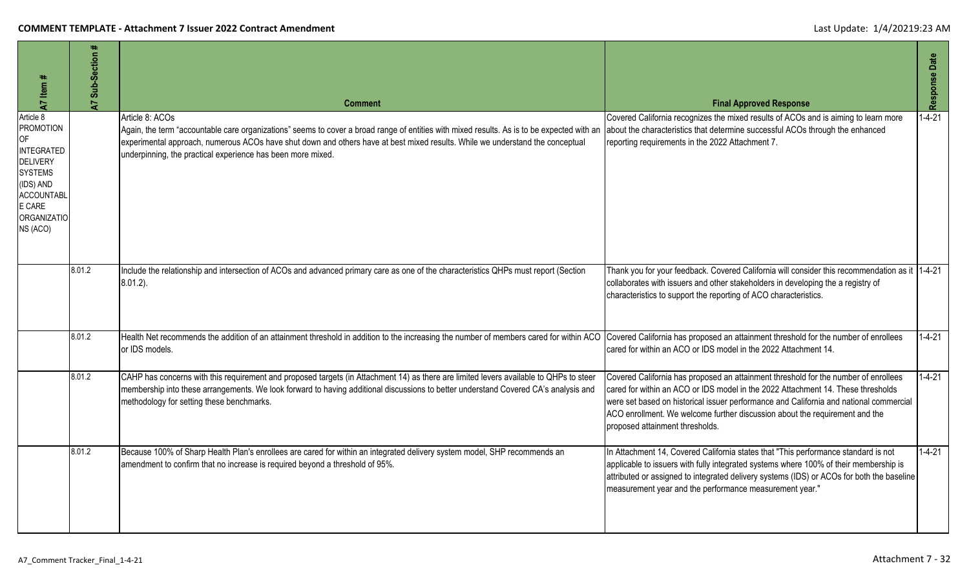| A7 Item #                                                                                                                                       | #<br>Sub-Section<br>5 | <b>Comment</b>                                                                                                                                                                                                                                                                                                                                                | <b>Final Approved Response</b>                                                                                                                                                                                                                                                                                                                                                      | Response Date |
|-------------------------------------------------------------------------------------------------------------------------------------------------|-----------------------|---------------------------------------------------------------------------------------------------------------------------------------------------------------------------------------------------------------------------------------------------------------------------------------------------------------------------------------------------------------|-------------------------------------------------------------------------------------------------------------------------------------------------------------------------------------------------------------------------------------------------------------------------------------------------------------------------------------------------------------------------------------|---------------|
| Article 8<br>PROMOTION<br>OF<br>INTEGRATED<br><b>DELIVERY</b><br><b>SYSTEMS</b><br>(IDS) AND<br>ACCOUNTABL<br>E CARE<br>ORGANIZATIO<br>NS (ACO) |                       | Article 8: ACOs<br>Again, the term "accountable care organizations" seems to cover a broad range of entities with mixed results. As is to be expected with an<br>experimental approach, numerous ACOs have shut down and others have at best mixed results. While we understand the conceptual<br>underpinning, the practical experience has been more mixed. | Covered California recognizes the mixed results of ACOs and is aiming to learn more<br>about the characteristics that determine successful ACOs through the enhanced<br>reporting requirements in the 2022 Attachment 7.                                                                                                                                                            | $1 - 4 - 21$  |
|                                                                                                                                                 | 8.01.2                | Include the relationship and intersection of ACOs and advanced primary care as one of the characteristics QHPs must report (Section<br>$8.01.2$ ).                                                                                                                                                                                                            | Thank you for your feedback. Covered California will consider this recommendation as it 1-4-21<br>collaborates with issuers and other stakeholders in developing the a registry of<br>characteristics to support the reporting of ACO characteristics.                                                                                                                              |               |
|                                                                                                                                                 | 8.01.2                | Health Net recommends the addition of an attainment threshold in addition to the increasing the number of members cared for within ACO Covered California has proposed an attainment threshold for the number of enrollees<br>or IDS models.                                                                                                                  | cared for within an ACO or IDS model in the 2022 Attachment 14.                                                                                                                                                                                                                                                                                                                     | $1 - 4 - 21$  |
|                                                                                                                                                 | 8.01.2                | CAHP has concerns with this requirement and proposed targets (in Attachment 14) as there are limited levers available to QHPs to steer<br>membership into these arrangements. We look forward to having additional discussions to better understand Covered CA's analysis and<br>methodology for setting these benchmarks.                                    | Covered California has proposed an attainment threshold for the number of enrollees<br>cared for within an ACO or IDS model in the 2022 Attachment 14. These thresholds<br>were set based on historical issuer performance and California and national commercial<br>ACO enrollment. We welcome further discussion about the requirement and the<br>proposed attainment thresholds. | $1 - 4 - 21$  |
|                                                                                                                                                 | 8.01.2                | Because 100% of Sharp Health Plan's enrollees are cared for within an integrated delivery system model, SHP recommends an<br>amendment to confirm that no increase is required beyond a threshold of 95%.                                                                                                                                                     | In Attachment 14, Covered California states that "This performance standard is not<br>applicable to issuers with fully integrated systems where 100% of their membership is<br>attributed or assigned to integrated delivery systems (IDS) or ACOs for both the baseline<br>measurement year and the performance measurement year."                                                 | $1 - 4 - 21$  |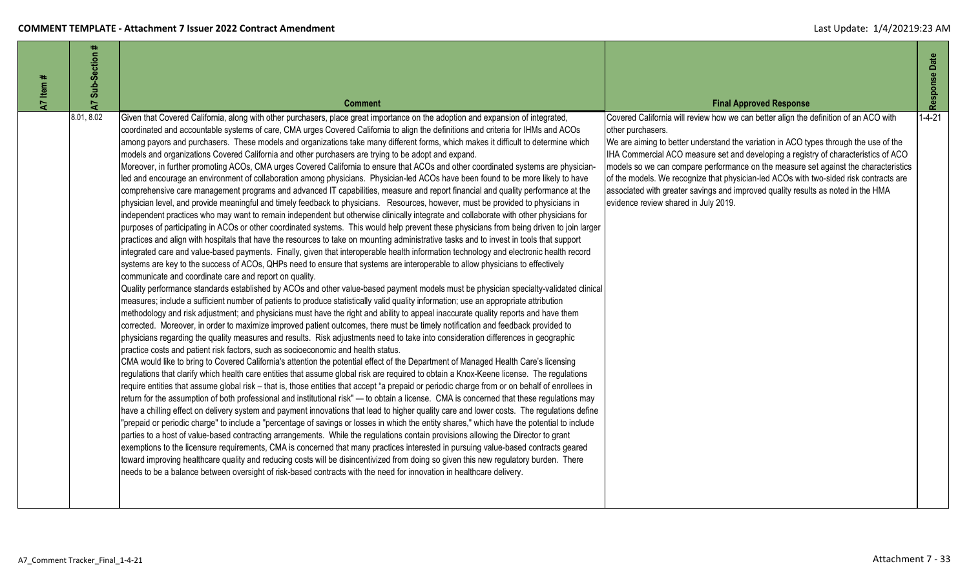| $47$ Item # | ₩<br>Sub-Section<br>$\overline{A}$ | <b>Comment</b>                                                                                                                                                                                                                                                                                                                                                                                                                                                                                                                                                                                                                                                                                                                                                                                                                                                                                                                                                                                                                                                                                                                                                                                                                                                                                                                                                                                                                                                                                                                                                                                                                                                                                                                                                                                                                                                                                                                                                                                                                                                                                                                                                                                                                                                                                                                                                                                                                                                                                                                                                                                                                                                                                                                                                                                                                                                                                                                                                                                                                                                                                                                                                                                                                                                                                                                                                                                                                                                                                                                                                                                                                                                                                                                                                                                                                                                                                                                                                                                                                                           | <b>Final Approved Response</b>                                                                                                                                                                                                                                                                                                                                                                                                                                                                                                                                                                      | Response Date |
|-------------|------------------------------------|----------------------------------------------------------------------------------------------------------------------------------------------------------------------------------------------------------------------------------------------------------------------------------------------------------------------------------------------------------------------------------------------------------------------------------------------------------------------------------------------------------------------------------------------------------------------------------------------------------------------------------------------------------------------------------------------------------------------------------------------------------------------------------------------------------------------------------------------------------------------------------------------------------------------------------------------------------------------------------------------------------------------------------------------------------------------------------------------------------------------------------------------------------------------------------------------------------------------------------------------------------------------------------------------------------------------------------------------------------------------------------------------------------------------------------------------------------------------------------------------------------------------------------------------------------------------------------------------------------------------------------------------------------------------------------------------------------------------------------------------------------------------------------------------------------------------------------------------------------------------------------------------------------------------------------------------------------------------------------------------------------------------------------------------------------------------------------------------------------------------------------------------------------------------------------------------------------------------------------------------------------------------------------------------------------------------------------------------------------------------------------------------------------------------------------------------------------------------------------------------------------------------------------------------------------------------------------------------------------------------------------------------------------------------------------------------------------------------------------------------------------------------------------------------------------------------------------------------------------------------------------------------------------------------------------------------------------------------------------------------------------------------------------------------------------------------------------------------------------------------------------------------------------------------------------------------------------------------------------------------------------------------------------------------------------------------------------------------------------------------------------------------------------------------------------------------------------------------------------------------------------------------------------------------------------------------------------------------------------------------------------------------------------------------------------------------------------------------------------------------------------------------------------------------------------------------------------------------------------------------------------------------------------------------------------------------------------------------------------------------------------------------------------------------------------|-----------------------------------------------------------------------------------------------------------------------------------------------------------------------------------------------------------------------------------------------------------------------------------------------------------------------------------------------------------------------------------------------------------------------------------------------------------------------------------------------------------------------------------------------------------------------------------------------------|---------------|
|             | 8.01, 8.02                         | Given that Covered California, along with other purchasers, place great importance on the adoption and expansion of integrated,<br>coordinated and accountable systems of care, CMA urges Covered California to align the definitions and criteria for IHMs and ACOs<br>among payors and purchasers. These models and organizations take many different forms, which makes it difficult to determine which<br>models and organizations Covered California and other purchasers are trying to be adopt and expand.<br>Moreover, in further promoting ACOs, CMA urges Covered California to ensure that ACOs and other coordinated systems are physician-<br>led and encourage an environment of collaboration among physicians. Physician-led ACOs have been found to be more likely to have<br>comprehensive care management programs and advanced IT capabilities, measure and report financial and quality performance at the<br>physician level, and provide meaningful and timely feedback to physicians. Resources, however, must be provided to physicians in<br>independent practices who may want to remain independent but otherwise clinically integrate and collaborate with other physicians for<br>purposes of participating in ACOs or other coordinated systems. This would help prevent these physicians from being driven to join larger<br>practices and align with hospitals that have the resources to take on mounting administrative tasks and to invest in tools that support<br>integrated care and value-based payments. Finally, given that interoperable health information technology and electronic health record<br>systems are key to the success of ACOs, QHPs need to ensure that systems are interoperable to allow physicians to effectively<br>communicate and coordinate care and report on quality.<br>Quality performance standards established by ACOs and other value-based payment models must be physician specialty-validated clinical<br>measures; include a sufficient number of patients to produce statistically valid quality information; use an appropriate attribution<br>methodology and risk adjustment; and physicians must have the right and ability to appeal inaccurate quality reports and have them<br>corrected. Moreover, in order to maximize improved patient outcomes, there must be timely notification and feedback provided to<br>physicians regarding the quality measures and results. Risk adjustments need to take into consideration differences in geographic<br>practice costs and patient risk factors, such as socioeconomic and health status.<br>CMA would like to bring to Covered California's attention the potential effect of the Department of Managed Health Care's licensing<br>regulations that clarify which health care entities that assume global risk are required to obtain a Knox-Keene license. The regulations<br>require entities that assume global risk - that is, those entities that accept "a prepaid or periodic charge from or on behalf of enrollees in<br>return for the assumption of both professional and institutional risk" — to obtain a license. CMA is concerned that these regulations may<br>have a chilling effect on delivery system and payment innovations that lead to higher quality care and lower costs. The regulations define<br>"prepaid or periodic charge" to include a "percentage of savings or losses in which the entity shares," which have the potential to include<br>parties to a host of value-based contracting arrangements. While the regulations contain provisions allowing the Director to grant<br>exemptions to the licensure requirements, CMA is concerned that many practices interested in pursuing value-based contracts geared<br>toward improving healthcare quality and reducing costs will be disincentivized from doing so given this new regulatory burden. There<br>needs to be a balance between oversight of risk-based contracts with the need for innovation in healthcare delivery. | Covered California will review how we can better align the definition of an ACO with<br>other purchasers.<br>We are aiming to better understand the variation in ACO types through the use of the<br>IHA Commercial ACO measure set and developing a registry of characteristics of ACO<br>models so we can compare performance on the measure set against the characteristics<br>of the models. We recognize that physician-led ACOs with two-sided risk contracts are<br>associated with greater savings and improved quality results as noted in the HMA<br>evidence review shared in July 2019. | $1 - 4 - 21$  |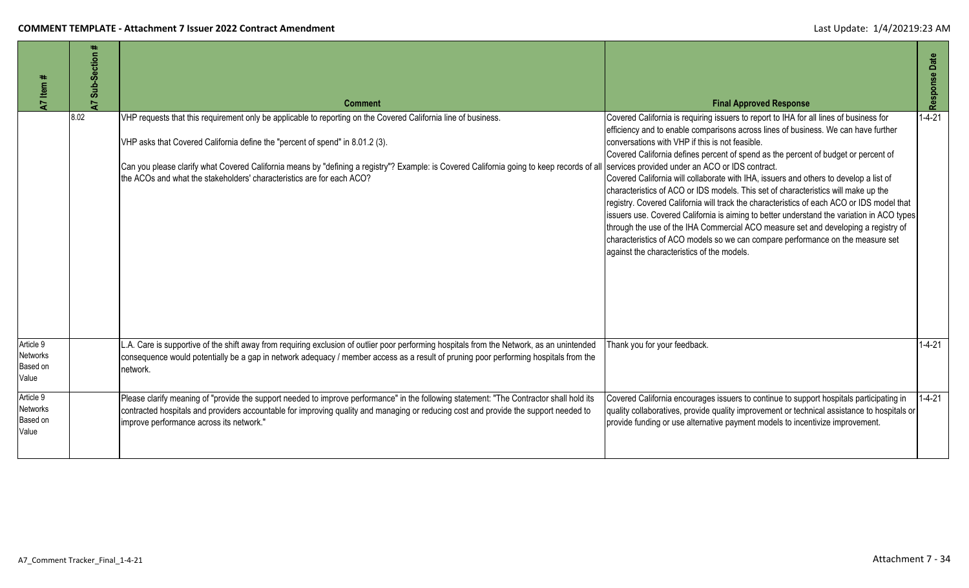| 47 Item #                                         | #<br>Sub-Section<br>2 | <b>Comment</b>                                                                                                                                                                                                                                                                                                                                                                                                                                                         | <b>Final Approved Response</b>                                                                                                                                                                                                                                                                                                                                                                                                                                                                                                                                                                                                                                                                                                                                                                                                                                                                                       | Response Date |
|---------------------------------------------------|-----------------------|------------------------------------------------------------------------------------------------------------------------------------------------------------------------------------------------------------------------------------------------------------------------------------------------------------------------------------------------------------------------------------------------------------------------------------------------------------------------|----------------------------------------------------------------------------------------------------------------------------------------------------------------------------------------------------------------------------------------------------------------------------------------------------------------------------------------------------------------------------------------------------------------------------------------------------------------------------------------------------------------------------------------------------------------------------------------------------------------------------------------------------------------------------------------------------------------------------------------------------------------------------------------------------------------------------------------------------------------------------------------------------------------------|---------------|
|                                                   | 8.02                  | VHP requests that this requirement only be applicable to reporting on the Covered California line of business.<br>VHP asks that Covered California define the "percent of spend" in 8.01.2 (3).<br>Can you please clarify what Covered California means by "defining a registry"? Example: is Covered California going to keep records of all services provided under an ACO or IDS contract.<br>the ACOs and what the stakeholders' characteristics are for each ACO? | Covered California is requiring issuers to report to IHA for all lines of business for<br>efficiency and to enable comparisons across lines of business. We can have further<br>conversations with VHP if this is not feasible.<br>Covered California defines percent of spend as the percent of budget or percent of<br>Covered California will collaborate with IHA, issuers and others to develop a list of<br>characteristics of ACO or IDS models. This set of characteristics will make up the<br>registry. Covered California will track the characteristics of each ACO or IDS model that<br>issuers use. Covered California is aiming to better understand the variation in ACO types<br>through the use of the IHA Commercial ACO measure set and developing a registry of<br>characteristics of ACO models so we can compare performance on the measure set<br>against the characteristics of the models. | $1 - 4 - 21$  |
| Article 9<br><b>Networks</b><br>Based on<br>Value |                       | L.A. Care is supportive of the shift away from requiring exclusion of outlier poor performing hospitals from the Network, as an unintended<br>consequence would potentially be a gap in network adequacy / member access as a result of pruning poor performing hospitals from the<br>network.                                                                                                                                                                         | Thank you for your feedback.                                                                                                                                                                                                                                                                                                                                                                                                                                                                                                                                                                                                                                                                                                                                                                                                                                                                                         | $1 - 4 - 21$  |
| Article 9<br><b>Networks</b><br>Based on<br>Value |                       | Please clarify meaning of "provide the support needed to improve performance" in the following statement: "The Contractor shall hold its<br>contracted hospitals and providers accountable for improving quality and managing or reducing cost and provide the support needed to<br>improve performance across its network."                                                                                                                                           | Covered California encourages issuers to continue to support hospitals participating in<br>quality collaboratives, provide quality improvement or technical assistance to hospitals or<br>provide funding or use alternative payment models to incentivize improvement.                                                                                                                                                                                                                                                                                                                                                                                                                                                                                                                                                                                                                                              | $1 - 4 - 21$  |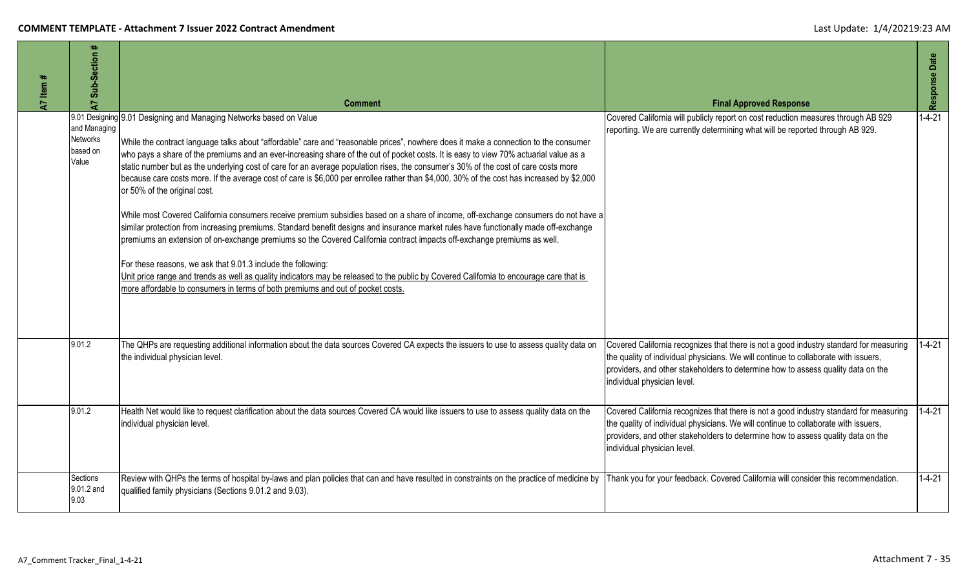| Item#<br>$\overline{A}$ | Sub-Section #<br>5                                   | <b>Comment</b>                                                                                                                                                                                                                                                                                                                                                                                                                                                                                                                                                                                                                                                                                                                                                                                                                                                                                                                                                                                                                                                                                                                                                                                                                                                                                                                                                                  | <b>Final Approved Response</b>                                                                                                                                                                                                                                                                   | Response Date |
|-------------------------|------------------------------------------------------|---------------------------------------------------------------------------------------------------------------------------------------------------------------------------------------------------------------------------------------------------------------------------------------------------------------------------------------------------------------------------------------------------------------------------------------------------------------------------------------------------------------------------------------------------------------------------------------------------------------------------------------------------------------------------------------------------------------------------------------------------------------------------------------------------------------------------------------------------------------------------------------------------------------------------------------------------------------------------------------------------------------------------------------------------------------------------------------------------------------------------------------------------------------------------------------------------------------------------------------------------------------------------------------------------------------------------------------------------------------------------------|--------------------------------------------------------------------------------------------------------------------------------------------------------------------------------------------------------------------------------------------------------------------------------------------------|---------------|
|                         | and Managing<br><b>Networks</b><br>based on<br>Value | 9.01 Designing 9.01 Designing and Managing Networks based on Value<br>While the contract language talks about "affordable" care and "reasonable prices", nowhere does it make a connection to the consumer<br>who pays a share of the premiums and an ever-increasing share of the out of pocket costs. It is easy to view 70% actuarial value as a<br>static number but as the underlying cost of care for an average population rises, the consumer's 30% of the cost of care costs more<br>because care costs more. If the average cost of care is \$6,000 per enrollee rather than \$4,000, 30% of the cost has increased by \$2,000<br>or 50% of the original cost.<br>While most Covered California consumers receive premium subsidies based on a share of income, off-exchange consumers do not have a<br>similar protection from increasing premiums. Standard benefit designs and insurance market rules have functionally made off-exchange<br>premiums an extension of on-exchange premiums so the Covered California contract impacts off-exchange premiums as well.<br>For these reasons, we ask that 9.01.3 include the following:<br>Unit price range and trends as well as quality indicators may be released to the public by Covered California to encourage care that is<br>more affordable to consumers in terms of both premiums and out of pocket costs. | Covered California will publicly report on cost reduction measures through AB 929<br>reporting. We are currently determining what will be reported through AB 929.                                                                                                                               | $1 - 4 - 21$  |
|                         | 9.01.2                                               | The QHPs are requesting additional information about the data sources Covered CA expects the issuers to use to assess quality data on<br>the individual physician level.                                                                                                                                                                                                                                                                                                                                                                                                                                                                                                                                                                                                                                                                                                                                                                                                                                                                                                                                                                                                                                                                                                                                                                                                        | Covered California recognizes that there is not a good industry standard for measuring<br>the quality of individual physicians. We will continue to collaborate with issuers,<br>providers, and other stakeholders to determine how to assess quality data on the<br>individual physician level. | $1 - 4 - 21$  |
|                         | 9.01.2                                               | Health Net would like to request clarification about the data sources Covered CA would like issuers to use to assess quality data on the<br>individual physician level.                                                                                                                                                                                                                                                                                                                                                                                                                                                                                                                                                                                                                                                                                                                                                                                                                                                                                                                                                                                                                                                                                                                                                                                                         | Covered California recognizes that there is not a good industry standard for measuring<br>the quality of individual physicians. We will continue to collaborate with issuers,<br>providers, and other stakeholders to determine how to assess quality data on the<br>individual physician level. | $1 - 4 - 21$  |
|                         | Sections<br>9.01.2 and<br>9.03                       | Review with QHPs the terms of hospital by-laws and plan policies that can and have resulted in constraints on the practice of medicine by<br>qualified family physicians (Sections 9.01.2 and 9.03).                                                                                                                                                                                                                                                                                                                                                                                                                                                                                                                                                                                                                                                                                                                                                                                                                                                                                                                                                                                                                                                                                                                                                                            | Thank you for your feedback. Covered California will consider this recommendation.                                                                                                                                                                                                               | $1 - 4 - 21$  |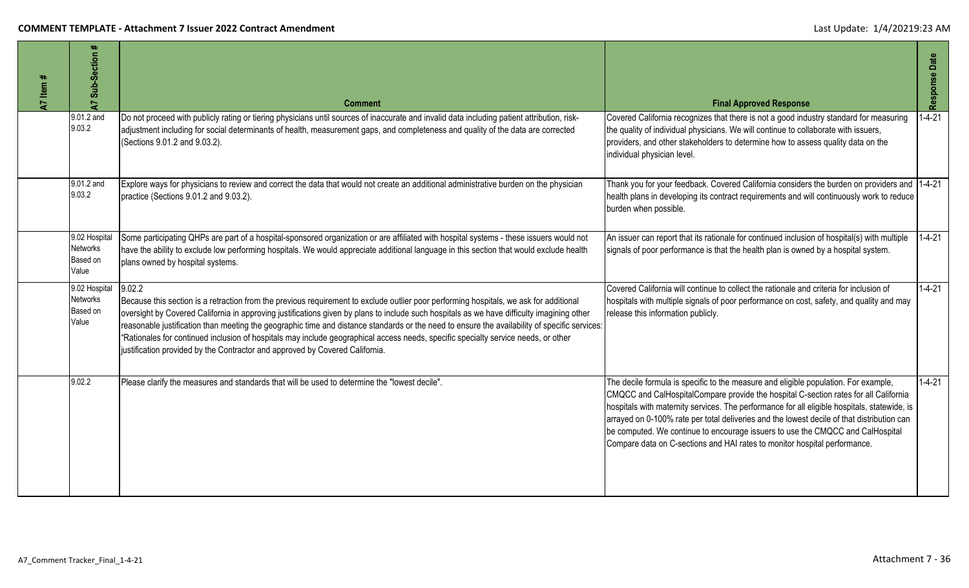| A7 Item # | #<br><b>A7 Sub-Section</b>                            | <b>Comment</b>                                                                                                                                                                                                                                                                                                                                                                                                                                                                                                                                                                                                                                                       | <b>Final Approved Response</b>                                                                                                                                                                                                                                                                                                                                                                                                                                                                                                           | Response Date |
|-----------|-------------------------------------------------------|----------------------------------------------------------------------------------------------------------------------------------------------------------------------------------------------------------------------------------------------------------------------------------------------------------------------------------------------------------------------------------------------------------------------------------------------------------------------------------------------------------------------------------------------------------------------------------------------------------------------------------------------------------------------|------------------------------------------------------------------------------------------------------------------------------------------------------------------------------------------------------------------------------------------------------------------------------------------------------------------------------------------------------------------------------------------------------------------------------------------------------------------------------------------------------------------------------------------|---------------|
|           | 9.01.2 and<br>9.03.2                                  | Do not proceed with publicly rating or tiering physicians until sources of inaccurate and invalid data including patient attribution, risk-<br>adjustment including for social determinants of health, measurement gaps, and completeness and quality of the data are corrected<br>(Sections 9.01.2 and 9.03.2).                                                                                                                                                                                                                                                                                                                                                     | Covered California recognizes that there is not a good industry standard for measuring<br>the quality of individual physicians. We will continue to collaborate with issuers,<br>providers, and other stakeholders to determine how to assess quality data on the<br>individual physician level.                                                                                                                                                                                                                                         | $-4-21$       |
|           | 9.01.2 and<br>9.03.2                                  | Explore ways for physicians to review and correct the data that would not create an additional administrative burden on the physician<br>practice (Sections 9.01.2 and 9.03.2).                                                                                                                                                                                                                                                                                                                                                                                                                                                                                      | Thank you for your feedback. Covered California considers the burden on providers and 1-4-21<br>health plans in developing its contract requirements and will continuously work to reduce<br>burden when possible.                                                                                                                                                                                                                                                                                                                       |               |
|           | 9.02 Hospital<br><b>Networks</b><br>Based on<br>Value | Some participating QHPs are part of a hospital-sponsored organization or are affiliated with hospital systems - these issuers would not<br>nave the ability to exclude low performing hospitals. We would appreciate additional language in this section that would exclude health<br>plans owned by hospital systems.                                                                                                                                                                                                                                                                                                                                               | An issuer can report that its rationale for continued inclusion of hospital(s) with multiple<br>signals of poor performance is that the health plan is owned by a hospital system.                                                                                                                                                                                                                                                                                                                                                       | $1 - 4 - 21$  |
|           | 9.02 Hospital<br><b>Networks</b><br>Based on<br>Value | 9.02.2<br>Because this section is a retraction from the previous requirement to exclude outlier poor performing hospitals, we ask for additional<br>oversight by Covered California in approving justifications given by plans to include such hospitals as we have difficulty imagining other<br>reasonable justification than meeting the geographic time and distance standards or the need to ensure the availability of specific services:<br>'Rationales for continued inclusion of hospitals may include geographical access needs, specific specialty service needs, or other<br>ustification provided by the Contractor and approved by Covered California. | Covered California will continue to collect the rationale and criteria for inclusion of<br>hospitals with multiple signals of poor performance on cost, safety, and quality and may<br>release this information publicly.                                                                                                                                                                                                                                                                                                                | $1 - 4 - 21$  |
|           | 9.02.2                                                | Please clarify the measures and standards that will be used to determine the "lowest decile".                                                                                                                                                                                                                                                                                                                                                                                                                                                                                                                                                                        | The decile formula is specific to the measure and eligible population. For example,<br>CMQCC and CalHospitalCompare provide the hospital C-section rates for all California<br>hospitals with maternity services. The performance for all eligible hospitals, statewide, is<br>arrayed on 0-100% rate per total deliveries and the lowest decile of that distribution can<br>be computed. We continue to encourage issuers to use the CMQCC and CalHospital<br>Compare data on C-sections and HAI rates to monitor hospital performance. | $1 - 4 - 21$  |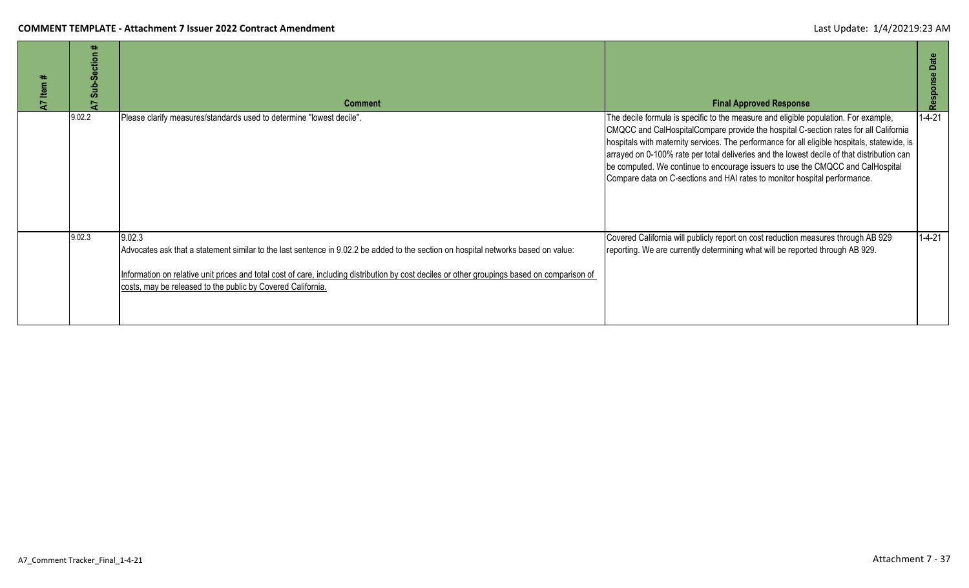| Item#<br>$\overline{A}$ | Section<br>$Sub-3$<br>₽ | <b>Comment</b>                                                                                                                                                                                                                                                                                                                                              | <b>Final Approved Response</b>                                                                                                                                                                                                                                                                                                                                                                                                                                                                                                           | Date<br>Response |
|-------------------------|-------------------------|-------------------------------------------------------------------------------------------------------------------------------------------------------------------------------------------------------------------------------------------------------------------------------------------------------------------------------------------------------------|------------------------------------------------------------------------------------------------------------------------------------------------------------------------------------------------------------------------------------------------------------------------------------------------------------------------------------------------------------------------------------------------------------------------------------------------------------------------------------------------------------------------------------------|------------------|
|                         | 9.02.2                  | Please clarify measures/standards used to determine "lowest decile".                                                                                                                                                                                                                                                                                        | The decile formula is specific to the measure and eligible population. For example,<br>CMQCC and CalHospitalCompare provide the hospital C-section rates for all California<br>hospitals with maternity services. The performance for all eligible hospitals, statewide, is<br>arrayed on 0-100% rate per total deliveries and the lowest decile of that distribution can<br>be computed. We continue to encourage issuers to use the CMQCC and CalHospital<br>Compare data on C-sections and HAI rates to monitor hospital performance. | $1 - 4 - 21$     |
|                         | 9.02.3                  | 9.02.3<br>Advocates ask that a statement similar to the last sentence in 9.02.2 be added to the section on hospital networks based on value:<br>Information on relative unit prices and total cost of care, including distribution by cost deciles or other groupings based on comparison of<br>costs, may be released to the public by Covered California. | Covered California will publicly report on cost reduction measures through AB 929<br>reporting. We are currently determining what will be reported through AB 929.                                                                                                                                                                                                                                                                                                                                                                       | $1 - 4 - 21$     |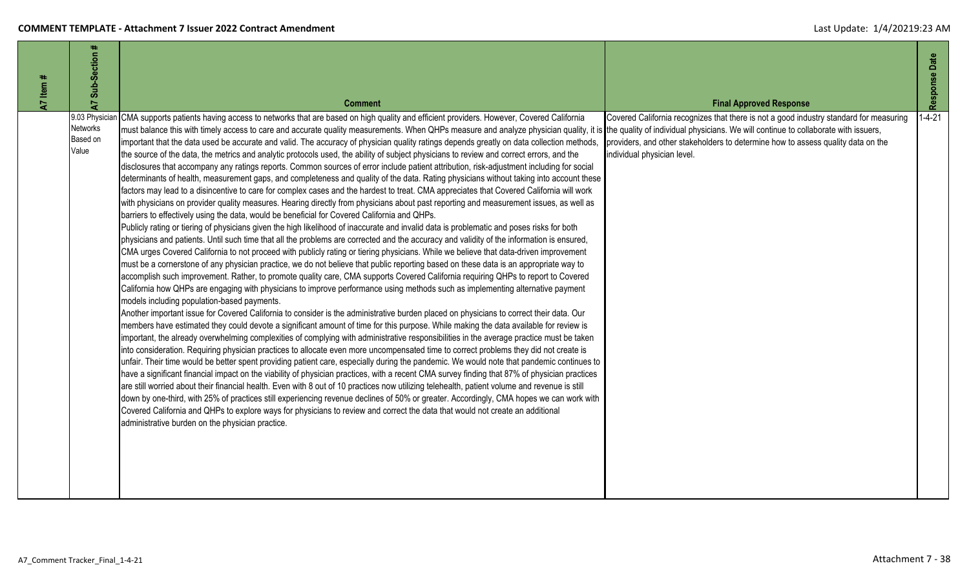| Sub-Section #<br>Item #<br>7<br>7    | <b>Comment</b>                                                                                                                                                                                                                                                                                                                                                                                                                                                                                                                                                                                                                                                                                                                                                                                                                                                                                                                                                                                                                                                                                                                                                                                                                                                                                                                                                                                                                                                                                                                                                                                                                                                                                                                                                                                                                                                                                                                                                                                                                                                                                                                                                                                                                                                                                                                                                                                                                                                                                                                                                                                                                                                                                                                                                                                                                                                                                                                                                                                                                                                                                                                                                                                                                                                                                                                                                                                                                                                                                                                                                                                                    | <b>Final Approved Response</b>                                                                                                                                                                            | Response Date |
|--------------------------------------|-------------------------------------------------------------------------------------------------------------------------------------------------------------------------------------------------------------------------------------------------------------------------------------------------------------------------------------------------------------------------------------------------------------------------------------------------------------------------------------------------------------------------------------------------------------------------------------------------------------------------------------------------------------------------------------------------------------------------------------------------------------------------------------------------------------------------------------------------------------------------------------------------------------------------------------------------------------------------------------------------------------------------------------------------------------------------------------------------------------------------------------------------------------------------------------------------------------------------------------------------------------------------------------------------------------------------------------------------------------------------------------------------------------------------------------------------------------------------------------------------------------------------------------------------------------------------------------------------------------------------------------------------------------------------------------------------------------------------------------------------------------------------------------------------------------------------------------------------------------------------------------------------------------------------------------------------------------------------------------------------------------------------------------------------------------------------------------------------------------------------------------------------------------------------------------------------------------------------------------------------------------------------------------------------------------------------------------------------------------------------------------------------------------------------------------------------------------------------------------------------------------------------------------------------------------------------------------------------------------------------------------------------------------------------------------------------------------------------------------------------------------------------------------------------------------------------------------------------------------------------------------------------------------------------------------------------------------------------------------------------------------------------------------------------------------------------------------------------------------------------------------------------------------------------------------------------------------------------------------------------------------------------------------------------------------------------------------------------------------------------------------------------------------------------------------------------------------------------------------------------------------------------------------------------------------------------------------------------------------------|-----------------------------------------------------------------------------------------------------------------------------------------------------------------------------------------------------------|---------------|
| <b>Networks</b><br>Based on<br>Value | 9.03 Physician CMA supports patients having access to networks that are based on high quality and efficient providers. However, Covered California<br>must balance this with timely access to care and accurate quality measurements. When QHPs measure and analyze physician quality, it is the quality of individual physicians. We will continue to collaborate with issuers,<br>important that the data used be accurate and valid. The accuracy of physician quality ratings depends greatly on data collection methods,<br>the source of the data, the metrics and analytic protocols used, the ability of subject physicians to review and correct errors, and the<br>disclosures that accompany any ratings reports. Common sources of error include patient attribution, risk-adjustment including for social<br>determinants of health, measurement gaps, and completeness and quality of the data. Rating physicians without taking into account these<br>factors may lead to a disincentive to care for complex cases and the hardest to treat. CMA appreciates that Covered California will work<br>with physicians on provider quality measures. Hearing directly from physicians about past reporting and measurement issues, as well as<br>barriers to effectively using the data, would be beneficial for Covered California and QHPs.<br>Publicly rating or tiering of physicians given the high likelihood of inaccurate and invalid data is problematic and poses risks for both<br>physicians and patients. Until such time that all the problems are corrected and the accuracy and validity of the information is ensured,<br>CMA urges Covered California to not proceed with publicly rating or tiering physicians. While we believe that data-driven improvement<br>must be a cornerstone of any physician practice, we do not believe that public reporting based on these data is an appropriate way to<br>accomplish such improvement. Rather, to promote quality care, CMA supports Covered California requiring QHPs to report to Covered<br>California how QHPs are engaging with physicians to improve performance using methods such as implementing alternative payment<br>models including population-based payments.<br>Another important issue for Covered California to consider is the administrative burden placed on physicians to correct their data. Our<br>members have estimated they could devote a significant amount of time for this purpose. While making the data available for review is<br>important, the already overwhelming complexities of complying with administrative responsibilities in the average practice must be taken<br>into consideration. Requiring physician practices to allocate even more uncompensated time to correct problems they did not create is<br>unfair. Their time would be better spent providing patient care, especially during the pandemic. We would note that pandemic continues to<br>have a significant financial impact on the viability of physician practices, with a recent CMA survey finding that 87% of physician practices<br>are still worried about their financial health. Even with 8 out of 10 practices now utilizing telehealth, patient volume and revenue is still<br>down by one-third, with 25% of practices still experiencing revenue declines of 50% or greater. Accordingly, CMA hopes we can work with<br>Covered California and QHPs to explore ways for physicians to review and correct the data that would not create an additional<br>administrative burden on the physician practice. | Covered California recognizes that there is not a good industry standard for measuring<br>providers, and other stakeholders to determine how to assess quality data on the<br>individual physician level. | $1 - 4 - 21$  |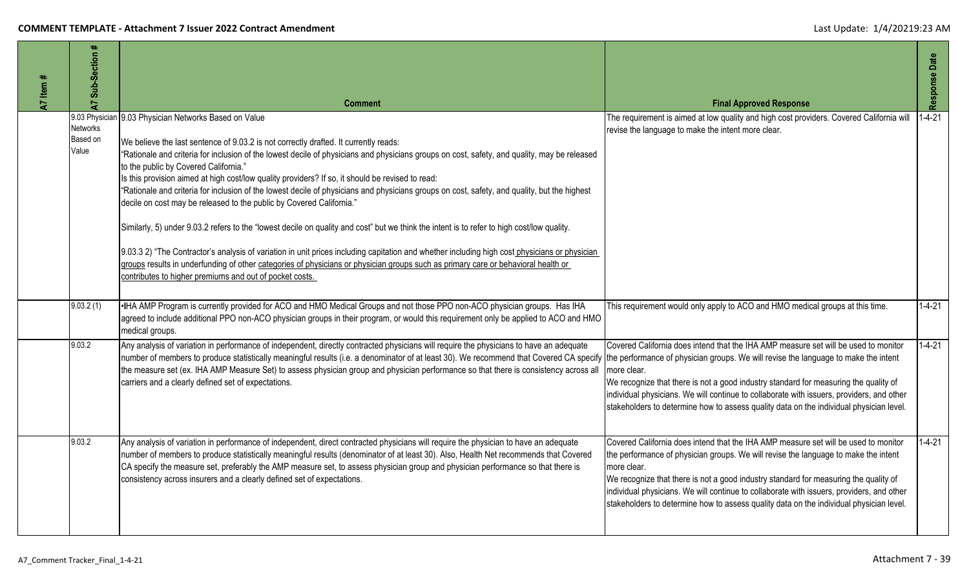| <b>A7</b> Item # | Sub-Section #<br>$\overline{a}$      | <b>Comment</b>                                                                                                                                                                                                                                                                                                                                                                                                                                                                                                                                                                                                                                                                                                                                                                                                                                                                                                                                                                                                                                                                                                                                                    | <b>Final Approved Response</b>                                                                                                                                                                                                                                                                                                                                                                                                                                            | Response Date |
|------------------|--------------------------------------|-------------------------------------------------------------------------------------------------------------------------------------------------------------------------------------------------------------------------------------------------------------------------------------------------------------------------------------------------------------------------------------------------------------------------------------------------------------------------------------------------------------------------------------------------------------------------------------------------------------------------------------------------------------------------------------------------------------------------------------------------------------------------------------------------------------------------------------------------------------------------------------------------------------------------------------------------------------------------------------------------------------------------------------------------------------------------------------------------------------------------------------------------------------------|---------------------------------------------------------------------------------------------------------------------------------------------------------------------------------------------------------------------------------------------------------------------------------------------------------------------------------------------------------------------------------------------------------------------------------------------------------------------------|---------------|
|                  | <b>Networks</b><br>Based on<br>Value | 9.03 Physician 9.03 Physician Networks Based on Value<br>We believe the last sentence of 9.03.2 is not correctly drafted. It currently reads:<br>"Rationale and criteria for inclusion of the lowest decile of physicians and physicians groups on cost, safety, and quality, may be released<br>to the public by Covered California."<br>Is this provision aimed at high cost/low quality providers? If so, it should be revised to read:<br>"Rationale and criteria for inclusion of the lowest decile of physicians and physicians groups on cost, safety, and quality, but the highest<br>decile on cost may be released to the public by Covered California."<br>Similarly, 5) under 9.03.2 refers to the "lowest decile on quality and cost" but we think the intent is to refer to high cost/low quality.<br>9.03.3 2) "The Contractor's analysis of variation in unit prices including capitation and whether including high cost physicians or physician<br>groups results in underfunding of other categories of physicians or physician groups such as primary care or behavioral health or<br>contributes to higher premiums and out of pocket costs. | The requirement is aimed at low quality and high cost providers. Covered California will<br>revise the language to make the intent more clear.                                                                                                                                                                                                                                                                                                                            | $1 - 4 - 21$  |
|                  | 9.03.2(1)                            | •IHA AMP Program is currently provided for ACO and HMO Medical Groups and not those PPO non-ACO physician groups. Has IHA<br>agreed to include additional PPO non-ACO physician groups in their program, or would this requirement only be applied to ACO and HMO<br>medical groups.                                                                                                                                                                                                                                                                                                                                                                                                                                                                                                                                                                                                                                                                                                                                                                                                                                                                              | This requirement would only apply to ACO and HMO medical groups at this time.                                                                                                                                                                                                                                                                                                                                                                                             | $1-4-21$      |
|                  | 9.03.2                               | Any analysis of variation in performance of independent, directly contracted physicians will require the physicians to have an adequate<br>number of members to produce statistically meaningful results (i.e. a denominator of at least 30). We recommend that Covered CA specify<br>the measure set (ex. IHA AMP Measure Set) to assess physician group and physician performance so that there is consistency across all<br>carriers and a clearly defined set of expectations.                                                                                                                                                                                                                                                                                                                                                                                                                                                                                                                                                                                                                                                                                | Covered California does intend that the IHA AMP measure set will be used to monitor<br>the performance of physician groups. We will revise the language to make the intent<br>more clear.<br>We recognize that there is not a good industry standard for measuring the quality of<br>individual physicians. We will continue to collaborate with issuers, providers, and other<br>stakeholders to determine how to assess quality data on the individual physician level. | $1 - 4 - 21$  |
|                  | 9.03.2                               | Any analysis of variation in performance of independent, direct contracted physicians will require the physician to have an adequate<br>number of members to produce statistically meaningful results (denominator of at least 30). Also, Health Net recommends that Covered<br>CA specify the measure set, preferably the AMP measure set, to assess physician group and physician performance so that there is<br>consistency across insurers and a clearly defined set of expectations.                                                                                                                                                                                                                                                                                                                                                                                                                                                                                                                                                                                                                                                                        | Covered California does intend that the IHA AMP measure set will be used to monitor<br>the performance of physician groups. We will revise the language to make the intent<br>more clear.<br>We recognize that there is not a good industry standard for measuring the quality of<br>individual physicians. We will continue to collaborate with issuers, providers, and other<br>stakeholders to determine how to assess quality data on the individual physician level. | $1 - 4 - 21$  |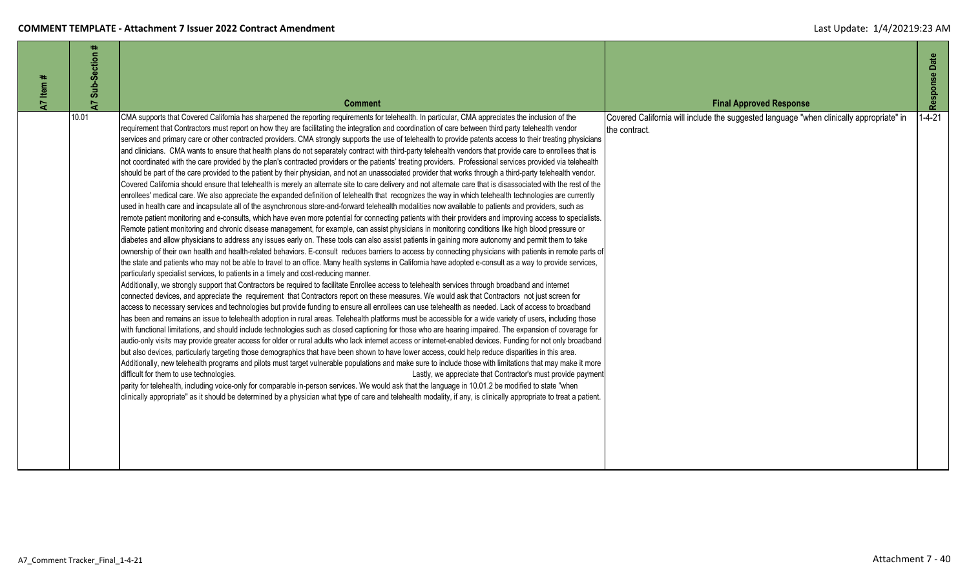| Item $#$ | $\pm$<br>Sub-Section |                                                                                                                                                                                                                                                                                                                                                                                                                                                                                                                                                                                                                                                           |                                                                                                                                            | Response Date |
|----------|----------------------|-----------------------------------------------------------------------------------------------------------------------------------------------------------------------------------------------------------------------------------------------------------------------------------------------------------------------------------------------------------------------------------------------------------------------------------------------------------------------------------------------------------------------------------------------------------------------------------------------------------------------------------------------------------|--------------------------------------------------------------------------------------------------------------------------------------------|---------------|
| 5        | 5<br>10.01           | <b>Comment</b><br>CMA supports that Covered California has sharpened the reporting requirements for telehealth. In particular, CMA appreciates the inclusion of the<br>requirement that Contractors must report on how they are facilitating the integration and coordination of care between third party telehealth vendor                                                                                                                                                                                                                                                                                                                               | <b>Final Approved Response</b><br>Covered California will include the suggested language "when clinically appropriate" in<br>the contract. | $1 - 4 - 21$  |
|          |                      | services and primary care or other contracted providers. CMA strongly supports the use of telehealth to provide patents access to their treating physicians<br>and clinicians. CMA wants to ensure that health plans do not separately contract with third-party telehealth vendors that provide care to enrollees that is<br>not coordinated with the care provided by the plan's contracted providers or the patients' treating providers. Professional services provided via telehealth<br>should be part of the care provided to the patient by their physician, and not an unassociated provider that works through a third-party telehealth vendor. |                                                                                                                                            |               |
|          |                      | Covered California should ensure that telehealth is merely an alternate site to care delivery and not alternate care that is disassociated with the rest of the<br>enrollees' medical care. We also appreciate the expanded definition of telehealth that recognizes the way in which telehealth technologies are currently<br>used in health care and incapsulate all of the asynchronous store-and-forward telehealth modalities now available to patients and providers, such as                                                                                                                                                                       |                                                                                                                                            |               |
|          |                      | remote patient monitoring and e-consults, which have even more potential for connecting patients with their providers and improving access to specialists.<br>Remote patient monitoring and chronic disease management, for example, can assist physicians in monitoring conditions like high blood pressure or<br>diabetes and allow physicians to address any issues early on. These tools can also assist patients in gaining more autonomy and permit them to take                                                                                                                                                                                    |                                                                                                                                            |               |
|          |                      | ownership of their own health and health-related behaviors. E-consult reduces barriers to access by connecting physicians with patients in remote parts of<br>the state and patients who may not be able to travel to an office. Many health systems in California have adopted e-consult as a way to provide services,<br>particularly specialist services, to patients in a timely and cost-reducing manner.<br>Additionally, we strongly support that Contractors be required to facilitate Enrollee access to telehealth services through broadband and internet                                                                                      |                                                                                                                                            |               |
|          |                      | connected devices, and appreciate the requirement that Contractors report on these measures. We would ask that Contractors not just screen for<br>access to necessary services and technologies but provide funding to ensure all enrollees can use telehealth as needed. Lack of access to broadband<br>has been and remains an issue to telehealth adoption in rural areas. Telehealth platforms must be accessible for a wide variety of users, including those                                                                                                                                                                                        |                                                                                                                                            |               |
|          |                      | with functional limitations, and should include technologies such as closed captioning for those who are hearing impaired. The expansion of coverage for<br>audio-only visits may provide greater access for older or rural adults who lack internet access or internet-enabled devices. Funding for not only broadband<br>but also devices, particularly targeting those demographics that have been shown to have lower access, could help reduce disparities in this area.                                                                                                                                                                             |                                                                                                                                            |               |
|          |                      | Additionally, new telehealth programs and pilots must target vulnerable populations and make sure to include those with limitations that may make it more<br>difficult for them to use technologies.<br>Lastly, we appreciate that Contractor's must provide payment<br>parity for telehealth, including voice-only for comparable in-person services. We would ask that the language in 10.01.2 be modified to state "when                                                                                                                                                                                                                               |                                                                                                                                            |               |
|          |                      | clinically appropriate" as it should be determined by a physician what type of care and telehealth modality, if any, is clinically appropriate to treat a patient.                                                                                                                                                                                                                                                                                                                                                                                                                                                                                        |                                                                                                                                            |               |
|          |                      |                                                                                                                                                                                                                                                                                                                                                                                                                                                                                                                                                                                                                                                           |                                                                                                                                            |               |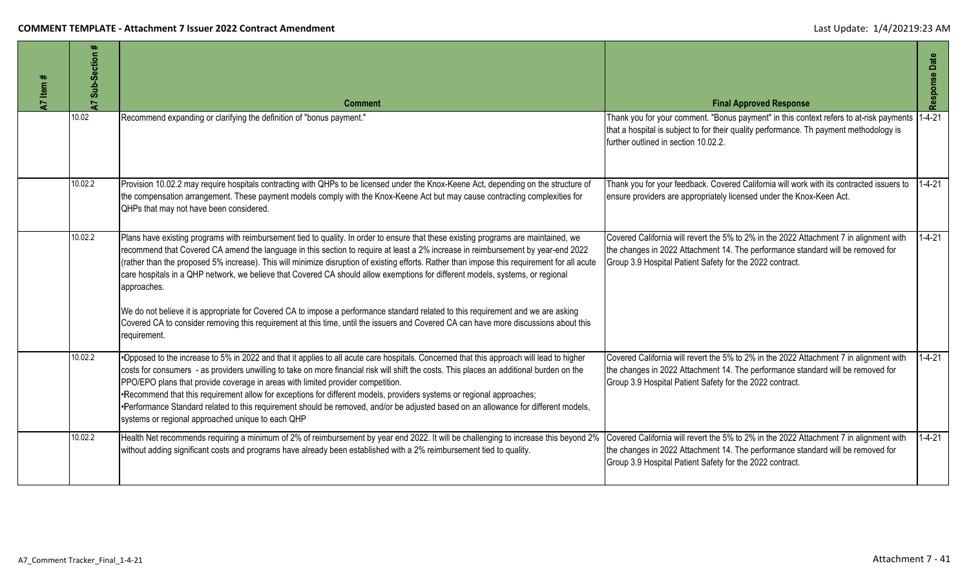| A7 Item # | Sub-Section #<br>$\overline{z}$ | <b>Comment</b>                                                                                                                                                                                                                                                                                                                                                                                                                                                                                                                                                                                                                                                                                                                                                                                                                                        | <b>Final Approved Response</b>                                                                                                                                                                                                        | Response Date |
|-----------|---------------------------------|-------------------------------------------------------------------------------------------------------------------------------------------------------------------------------------------------------------------------------------------------------------------------------------------------------------------------------------------------------------------------------------------------------------------------------------------------------------------------------------------------------------------------------------------------------------------------------------------------------------------------------------------------------------------------------------------------------------------------------------------------------------------------------------------------------------------------------------------------------|---------------------------------------------------------------------------------------------------------------------------------------------------------------------------------------------------------------------------------------|---------------|
|           | 10.02                           | Recommend expanding or clarifying the definition of "bonus payment."                                                                                                                                                                                                                                                                                                                                                                                                                                                                                                                                                                                                                                                                                                                                                                                  | Thank you for your comment. "Bonus payment" in this context refers to at-risk payments<br>that a hospital is subject to for their quality performance. Th payment methodology is<br>further outlined in section 10.02.2.              | $1 - 4 - 21$  |
|           | 10.02.2                         | Provision 10.02.2 may require hospitals contracting with QHPs to be licensed under the Knox-Keene Act, depending on the structure of<br>the compensation arrangement. These payment models comply with the Knox-Keene Act but may cause contracting complexities for<br>QHPs that may not have been considered.                                                                                                                                                                                                                                                                                                                                                                                                                                                                                                                                       | Thank you for your feedback. Covered California will work with its contracted issuers to<br>ensure providers are appropriately licensed under the Knox-Keen Act.                                                                      | $1 - 4 - 21$  |
|           | 10.02.2                         | Plans have existing programs with reimbursement tied to quality. In order to ensure that these existing programs are maintained, we<br>recommend that Covered CA amend the language in this section to require at least a 2% increase in reimbursement by year-end 2022<br>(rather than the proposed 5% increase). This will minimize disruption of existing efforts. Rather than impose this requirement for all acute<br>care hospitals in a QHP network, we believe that Covered CA should allow exemptions for different models, systems, or regional<br>approaches.<br>We do not believe it is appropriate for Covered CA to impose a performance standard related to this requirement and we are asking<br>Covered CA to consider removing this requirement at this time, until the issuers and Covered CA can have more discussions about this | Covered California will revert the 5% to 2% in the 2022 Attachment 7 in alignment with<br>the changes in 2022 Attachment 14. The performance standard will be removed for<br>Group 3.9 Hospital Patient Safety for the 2022 contract. | $1 - 4 - 21$  |
|           | 10.02.2                         | requirement.<br>*Opposed to the increase to 5% in 2022 and that it applies to all acute care hospitals. Concerned that this approach will lead to higher<br>costs for consumers - as providers unwilling to take on more financial risk will shift the costs. This places an additional burden on the<br>PPO/EPO plans that provide coverage in areas with limited provider competition.<br>•Recommend that this requirement allow for exceptions for different models, providers systems or regional approaches;<br>•Performance Standard related to this requirement should be removed, and/or be adjusted based on an allowance for different models,<br>systems or regional approached unique to each QHP                                                                                                                                         | Covered California will revert the 5% to 2% in the 2022 Attachment 7 in alignment with<br>the changes in 2022 Attachment 14. The performance standard will be removed for<br>Group 3.9 Hospital Patient Safety for the 2022 contract. | $1 - 4 - 21$  |
|           | 10.02.2                         | Health Net recommends requiring a minimum of 2% of reimbursement by year end 2022. It will be challenging to increase this beyond 2%<br>without adding significant costs and programs have already been established with a 2% reimbursement tied to quality.                                                                                                                                                                                                                                                                                                                                                                                                                                                                                                                                                                                          | Covered California will revert the 5% to 2% in the 2022 Attachment 7 in alignment with<br>the changes in 2022 Attachment 14. The performance standard will be removed for<br>Group 3.9 Hospital Patient Safety for the 2022 contract. | $1 - 4 - 21$  |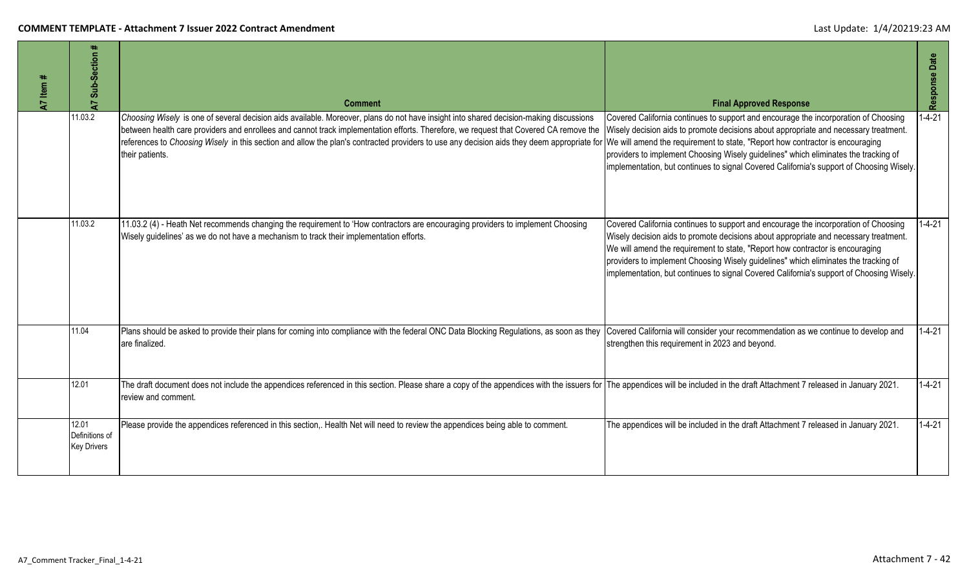| A7 Item # | Sub-Section<br>5                              | <b>Comment</b>                                                                                                                                                                                                                                                                                                                                                                                                                                                                                                                                                                                                      | <b>Final Approved Response</b>                                                                                                                                                                                                                                                                                                                                                                                                                  | Response Date |
|-----------|-----------------------------------------------|---------------------------------------------------------------------------------------------------------------------------------------------------------------------------------------------------------------------------------------------------------------------------------------------------------------------------------------------------------------------------------------------------------------------------------------------------------------------------------------------------------------------------------------------------------------------------------------------------------------------|-------------------------------------------------------------------------------------------------------------------------------------------------------------------------------------------------------------------------------------------------------------------------------------------------------------------------------------------------------------------------------------------------------------------------------------------------|---------------|
|           | 11.03.2                                       | Choosing Wisely is one of several decision aids available. Moreover, plans do not have insight into shared decision-making discussions<br>between health care providers and enrollees and cannot track implementation efforts. Therefore, we request that Covered CA remove the Wisely decision aids to promote decisions about appropriate and necessary treatment.<br>references to Choosing Wisely in this section and allow the plan's contracted providers to use any decision aids they deem appropriate for We will amend the requirement to state, "Report how contractor is encouraging<br>their patients. | Covered California continues to support and encourage the incorporation of Choosing<br>providers to implement Choosing Wisely guidelines" which eliminates the tracking of<br>implementation, but continues to signal Covered California's support of Choosing Wisely.                                                                                                                                                                          | $-4-21$       |
|           | 11.03.2                                       | 11.03.2 (4) - Heath Net recommends changing the requirement to 'How contractors are encouraging providers to implement Choosing<br>Wisely guidelines' as we do not have a mechanism to track their implementation efforts.                                                                                                                                                                                                                                                                                                                                                                                          | Covered California continues to support and encourage the incorporation of Choosing<br>Wisely decision aids to promote decisions about appropriate and necessary treatment.<br>We will amend the requirement to state, "Report how contractor is encouraging<br>providers to implement Choosing Wisely guidelines" which eliminates the tracking of<br>implementation, but continues to signal Covered California's support of Choosing Wisely. | $1 - 4 - 21$  |
|           | 11.04                                         | Plans should be asked to provide their plans for coming into compliance with the federal ONC Data Blocking Regulations, as soon as they Covered California will consider your recommendation as we continue to develop and<br>are finalized.                                                                                                                                                                                                                                                                                                                                                                        | strengthen this requirement in 2023 and beyond.                                                                                                                                                                                                                                                                                                                                                                                                 | $1 - 4 - 21$  |
|           | 12.01                                         | The draft document does not include the appendices referenced in this section. Please share a copy of the appendices with the issuers for  The appendices will be included in the draft Attachment 7 released in January 2021.<br>review and comment.                                                                                                                                                                                                                                                                                                                                                               |                                                                                                                                                                                                                                                                                                                                                                                                                                                 | $1 - 4 - 21$  |
|           | 12.01<br>Definitions of<br><b>Key Drivers</b> | Please provide the appendices referenced in this section,. Health Net will need to review the appendices being able to comment.                                                                                                                                                                                                                                                                                                                                                                                                                                                                                     | The appendices will be included in the draft Attachment 7 released in January 2021.                                                                                                                                                                                                                                                                                                                                                             | $1 - 4 - 21$  |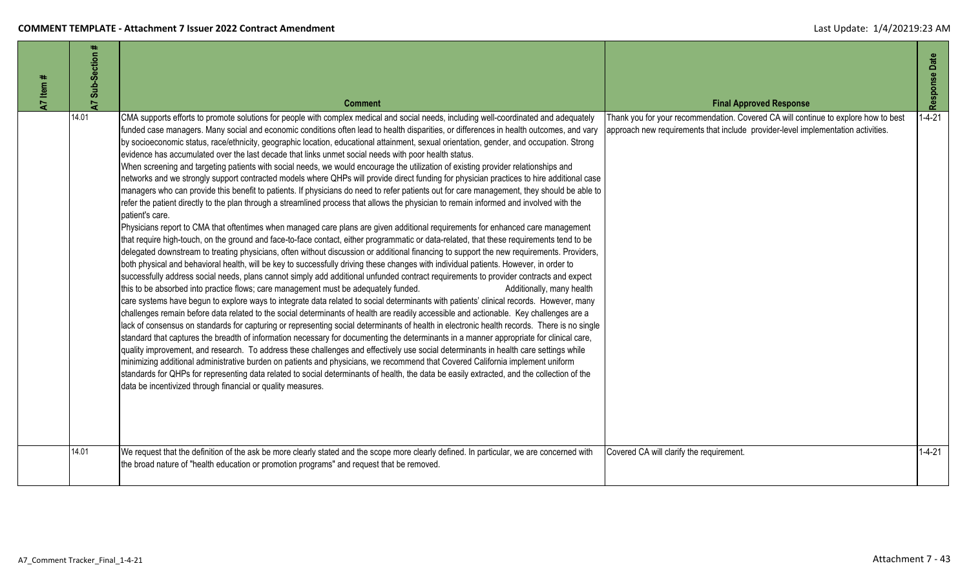| 47 Item # | Sub-Section # | <b>Comment</b>                                                                                                                                                                                                                                                                                                                                                                                                                                                                                                                                                                                                                                                                                                                                                                                                                                                                                                                                                                                                                                                                                                                                                                                                                                                                                                                                                                                                                                                                                                                                                                                                                                                                                                                                                                                                                                                                                                                                                                                                                                                                                                                                                                                                                                                                                                                                                                                                                                                                                                                                                                                                                                                                                                                                                                                                                                                                                                                                                                                                                              | <b>Final Approved Response</b>                                                                                                                                         | Response Date |
|-----------|---------------|---------------------------------------------------------------------------------------------------------------------------------------------------------------------------------------------------------------------------------------------------------------------------------------------------------------------------------------------------------------------------------------------------------------------------------------------------------------------------------------------------------------------------------------------------------------------------------------------------------------------------------------------------------------------------------------------------------------------------------------------------------------------------------------------------------------------------------------------------------------------------------------------------------------------------------------------------------------------------------------------------------------------------------------------------------------------------------------------------------------------------------------------------------------------------------------------------------------------------------------------------------------------------------------------------------------------------------------------------------------------------------------------------------------------------------------------------------------------------------------------------------------------------------------------------------------------------------------------------------------------------------------------------------------------------------------------------------------------------------------------------------------------------------------------------------------------------------------------------------------------------------------------------------------------------------------------------------------------------------------------------------------------------------------------------------------------------------------------------------------------------------------------------------------------------------------------------------------------------------------------------------------------------------------------------------------------------------------------------------------------------------------------------------------------------------------------------------------------------------------------------------------------------------------------------------------------------------------------------------------------------------------------------------------------------------------------------------------------------------------------------------------------------------------------------------------------------------------------------------------------------------------------------------------------------------------------------------------------------------------------------------------------------------------------|------------------------------------------------------------------------------------------------------------------------------------------------------------------------|---------------|
|           | 14.01         | CMA supports efforts to promote solutions for people with complex medical and social needs, including well-coordinated and adequately<br>funded case managers. Many social and economic conditions often lead to health disparities, or differences in health outcomes, and vary<br>by socioeconomic status, race/ethnicity, geographic location, educational attainment, sexual orientation, gender, and occupation. Strong<br>evidence has accumulated over the last decade that links unmet social needs with poor health status.<br>When screening and targeting patients with social needs, we would encourage the utilization of existing provider relationships and<br>networks and we strongly support contracted models where QHPs will provide direct funding for physician practices to hire additional case<br>managers who can provide this benefit to patients. If physicians do need to refer patients out for care management, they should be able to<br>refer the patient directly to the plan through a streamlined process that allows the physician to remain informed and involved with the<br>patient's care.<br>Physicians report to CMA that oftentimes when managed care plans are given additional requirements for enhanced care management<br>that require high-touch, on the ground and face-to-face contact, either programmatic or data-related, that these requirements tend to be<br>delegated downstream to treating physicians, often without discussion or additional financing to support the new requirements. Providers,<br>both physical and behavioral health, will be key to successfully driving these changes with individual patients. However, in order to<br>successfully address social needs, plans cannot simply add additional unfunded contract requirements to provider contracts and expect<br>this to be absorbed into practice flows; care management must be adequately funded.<br>Additionally, many health<br>care systems have begun to explore ways to integrate data related to social determinants with patients' clinical records. However, many<br>challenges remain before data related to the social determinants of health are readily accessible and actionable. Key challenges are a<br>lack of consensus on standards for capturing or representing social determinants of health in electronic health records. There is no single<br>standard that captures the breadth of information necessary for documenting the determinants in a manner appropriate for clinical care,<br>quality improvement, and research. To address these challenges and effectively use social determinants in health care settings while<br>minimizing additional administrative burden on patients and physicians, we recommend that Covered California implement uniform<br>standards for QHPs for representing data related to social determinants of health, the data be easily extracted, and the collection of the<br>data be incentivized through financial or quality measures. | Thank you for your recommendation. Covered CA will continue to explore how to best<br>approach new requirements that include provider-level implementation activities. | $1 - 4 - 21$  |
|           | 14.01         | We request that the definition of the ask be more clearly stated and the scope more clearly defined. In particular, we are concerned with<br>the broad nature of "health education or promotion programs" and request that be removed.                                                                                                                                                                                                                                                                                                                                                                                                                                                                                                                                                                                                                                                                                                                                                                                                                                                                                                                                                                                                                                                                                                                                                                                                                                                                                                                                                                                                                                                                                                                                                                                                                                                                                                                                                                                                                                                                                                                                                                                                                                                                                                                                                                                                                                                                                                                                                                                                                                                                                                                                                                                                                                                                                                                                                                                                      | Covered CA will clarify the requirement.                                                                                                                               | $1 - 4 - 21$  |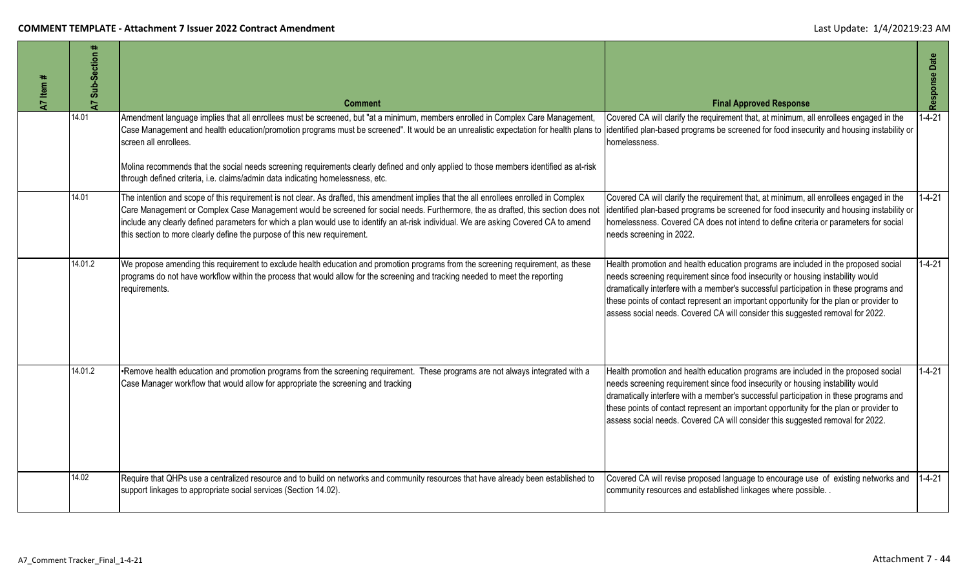| A7 Item # | $\ddot{}$<br>Sub-Section<br>$\overline{a}$ | <b>Comment</b>                                                                                                                                                                                                                                                                                                                                                                                                                                                                                                                | <b>Final Approved Response</b>                                                                                                                                                                                                                                                                                                                                                                                                            | Response Date |
|-----------|--------------------------------------------|-------------------------------------------------------------------------------------------------------------------------------------------------------------------------------------------------------------------------------------------------------------------------------------------------------------------------------------------------------------------------------------------------------------------------------------------------------------------------------------------------------------------------------|-------------------------------------------------------------------------------------------------------------------------------------------------------------------------------------------------------------------------------------------------------------------------------------------------------------------------------------------------------------------------------------------------------------------------------------------|---------------|
|           | 14.01                                      | Amendment language implies that all enrollees must be screened, but "at a minimum, members enrolled in Complex Care Management,<br>Case Management and health education/promotion programs must be screened". It would be an unrealistic expectation for health plans to<br>screen all enrollees.<br>Molina recommends that the social needs screening requirements clearly defined and only applied to those members identified as at-risk<br>through defined criteria, i.e. claims/admin data indicating homelessness, etc. | Covered CA will clarify the requirement that, at minimum, all enrollees engaged in the<br>identified plan-based programs be screened for food insecurity and housing instability or<br>homelessness.                                                                                                                                                                                                                                      | $1 - 4 - 21$  |
|           | 14.01                                      | The intention and scope of this requirement is not clear. As drafted, this amendment implies that the all enrollees enrolled in Complex<br>Care Management or Complex Case Management would be screened for social needs. Furthermore, the as drafted, this section does not<br>include any clearly defined parameters for which a plan would use to identify an at-risk individual. We are asking Covered CA to amend<br>this section to more clearly define the purpose of this new requirement.                            | Covered CA will clarify the requirement that, at minimum, all enrollees engaged in the<br>identified plan-based programs be screened for food insecurity and housing instability or<br>homelessness. Covered CA does not intend to define criteria or parameters for social<br>needs screening in 2022.                                                                                                                                   | $1 - 4 - 21$  |
|           | 14.01.2                                    | We propose amending this requirement to exclude health education and promotion programs from the screening requirement, as these<br>programs do not have workflow within the process that would allow for the screening and tracking needed to meet the reporting<br>requirements.                                                                                                                                                                                                                                            | Health promotion and health education programs are included in the proposed social<br>needs screening requirement since food insecurity or housing instability would<br>dramatically interfere with a member's successful participation in these programs and<br>these points of contact represent an important opportunity for the plan or provider to<br>assess social needs. Covered CA will consider this suggested removal for 2022. | $1 - 4 - 21$  |
|           | 14.01.2                                    | •Remove health education and promotion programs from the screening requirement. These programs are not always integrated with a<br>Case Manager workflow that would allow for appropriate the screening and tracking                                                                                                                                                                                                                                                                                                          | Health promotion and health education programs are included in the proposed social<br>needs screening requirement since food insecurity or housing instability would<br>dramatically interfere with a member's successful participation in these programs and<br>these points of contact represent an important opportunity for the plan or provider to<br>assess social needs. Covered CA will consider this suggested removal for 2022. | $1 - 4 - 21$  |
|           | 14.02                                      | Require that QHPs use a centralized resource and to build on networks and community resources that have already been established to<br>support linkages to appropriate social services (Section 14.02).                                                                                                                                                                                                                                                                                                                       | Covered CA will revise proposed language to encourage use of existing networks and<br>community resources and established linkages where possible. .                                                                                                                                                                                                                                                                                      | $1 - 4 - 21$  |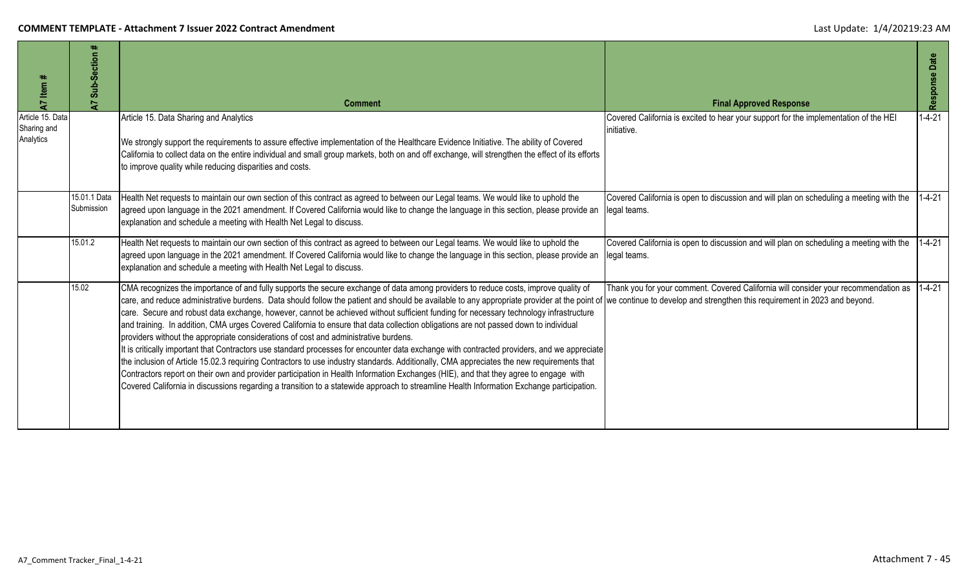| A7 Item #                                    | $\pm$<br>Sub-Section<br>$\overline{A}$ | <b>Comment</b>                                                                                                                                                                                                                                                                                                                                                                                                                                                                                                                                                                                                                                                                                                                                                                                                                                                                                                                                                                                                                                                                                                                                                                                                                                                                                                          | <b>Final Approved Response</b>                                                                          | Response Date |
|----------------------------------------------|----------------------------------------|-------------------------------------------------------------------------------------------------------------------------------------------------------------------------------------------------------------------------------------------------------------------------------------------------------------------------------------------------------------------------------------------------------------------------------------------------------------------------------------------------------------------------------------------------------------------------------------------------------------------------------------------------------------------------------------------------------------------------------------------------------------------------------------------------------------------------------------------------------------------------------------------------------------------------------------------------------------------------------------------------------------------------------------------------------------------------------------------------------------------------------------------------------------------------------------------------------------------------------------------------------------------------------------------------------------------------|---------------------------------------------------------------------------------------------------------|---------------|
| Article 15. Data<br>Sharing and<br>Analytics |                                        | Article 15. Data Sharing and Analytics<br>We strongly support the requirements to assure effective implementation of the Healthcare Evidence Initiative. The ability of Covered<br>California to collect data on the entire individual and small group markets, both on and off exchange, will strengthen the effect of its efforts<br>to improve quality while reducing disparities and costs.                                                                                                                                                                                                                                                                                                                                                                                                                                                                                                                                                                                                                                                                                                                                                                                                                                                                                                                         | Covered California is excited to hear your support for the implementation of the HEI<br>initiative.     | $1 - 4 - 21$  |
|                                              | 15.01.1 Data<br>Submission             | Health Net requests to maintain our own section of this contract as agreed to between our Legal teams. We would like to uphold the<br>agreed upon language in the 2021 amendment. If Covered California would like to change the language in this section, please provide an<br>explanation and schedule a meeting with Health Net Legal to discuss.                                                                                                                                                                                                                                                                                                                                                                                                                                                                                                                                                                                                                                                                                                                                                                                                                                                                                                                                                                    | Covered California is open to discussion and will plan on scheduling a meeting with the<br>legal teams. | $1 - 4 - 21$  |
|                                              | 15.01.2                                | Health Net requests to maintain our own section of this contract as agreed to between our Legal teams. We would like to uphold the<br>agreed upon language in the 2021 amendment. If Covered California would like to change the language in this section, please provide an<br>explanation and schedule a meeting with Health Net Legal to discuss.                                                                                                                                                                                                                                                                                                                                                                                                                                                                                                                                                                                                                                                                                                                                                                                                                                                                                                                                                                    | Covered California is open to discussion and will plan on scheduling a meeting with the<br>legal teams. | $1 - 4 - 21$  |
|                                              | 15.02                                  | CMA recognizes the importance of and fully supports the secure exchange of data among providers to reduce costs, improve quality of<br>care, and reduce administrative burdens. Data should follow the patient and should be available to any appropriate provider at the point of we continue to develop and strengthen this requirement in 2023 and beyond.<br>care. Secure and robust data exchange, however, cannot be achieved without sufficient funding for necessary technology infrastructure<br>and training. In addition, CMA urges Covered California to ensure that data collection obligations are not passed down to individual<br>providers without the appropriate considerations of cost and administrative burdens.<br>It is critically important that Contractors use standard processes for encounter data exchange with contracted providers, and we appreciate<br>the inclusion of Article 15.02.3 requiring Contractors to use industry standards. Additionally, CMA appreciates the new requirements that<br>Contractors report on their own and provider participation in Health Information Exchanges (HIE), and that they agree to engage with<br>Covered California in discussions regarding a transition to a statewide approach to streamline Health Information Exchange participation. | Thank you for your comment. Covered California will consider your recommendation as                     | $1 - 4 - 21$  |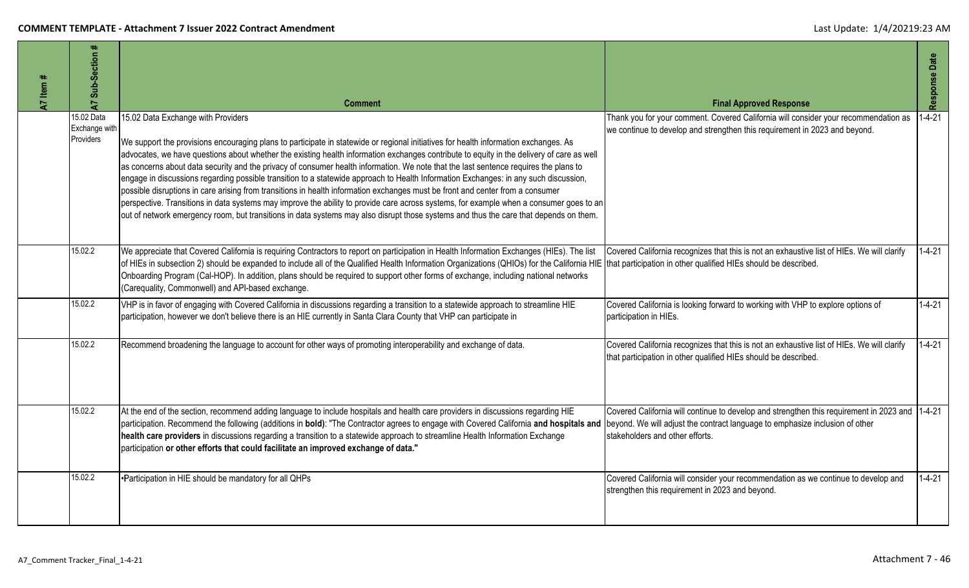| A7 Item # | $\ddot{}$<br>Sub-Section<br>$\overline{A}$ | <b>Comment</b>                                                                                                                                                                                                                                                                                                                                                                                                                                                                                                                                                                                                                                                                                                                                                                                                                                                                                                                                                                                                                | <b>Final Approved Response</b>                                                                                                                                                                                    | Response Date |
|-----------|--------------------------------------------|-------------------------------------------------------------------------------------------------------------------------------------------------------------------------------------------------------------------------------------------------------------------------------------------------------------------------------------------------------------------------------------------------------------------------------------------------------------------------------------------------------------------------------------------------------------------------------------------------------------------------------------------------------------------------------------------------------------------------------------------------------------------------------------------------------------------------------------------------------------------------------------------------------------------------------------------------------------------------------------------------------------------------------|-------------------------------------------------------------------------------------------------------------------------------------------------------------------------------------------------------------------|---------------|
|           | 15.02 Data<br>Exchange with<br>Providers   | 15.02 Data Exchange with Providers<br>We support the provisions encouraging plans to participate in statewide or regional initiatives for health information exchanges. As<br>advocates, we have questions about whether the existing health information exchanges contribute to equity in the delivery of care as well<br>as concerns about data security and the privacy of consumer health information. We note that the last sentence requires the plans to<br>engage in discussions regarding possible transition to a statewide approach to Health Information Exchanges: in any such discussion,<br>possible disruptions in care arising from transitions in health information exchanges must be front and center from a consumer<br>perspective. Transitions in data systems may improve the ability to provide care across systems, for example when a consumer goes to an<br>out of network emergency room, but transitions in data systems may also disrupt those systems and thus the care that depends on them. | Thank you for your comment. Covered California will consider your recommendation as<br>we continue to develop and strengthen this requirement in 2023 and beyond.                                                 | $1 - 4 - 21$  |
|           | 15.02.2                                    | We appreciate that Covered California is requiring Contractors to report on participation in Health Information Exchanges (HIEs). The list<br>of HIEs in subsection 2) should be expanded to include all of the Qualified Health Information Organizations (QHIOs) for the California HIE that participation in other qualified HIEs should be described.<br>Onboarding Program (Cal-HOP). In addition, plans should be required to support other forms of exchange, including national networks<br>(Carequality, Commonwell) and API-based exchange.                                                                                                                                                                                                                                                                                                                                                                                                                                                                         | Covered California recognizes that this is not an exhaustive list of HIEs. We will clarify                                                                                                                        | $1 - 4 - 21$  |
|           | 15.02.2                                    | VHP is in favor of engaging with Covered California in discussions regarding a transition to a statewide approach to streamline HIE<br>participation, however we don't believe there is an HIE currently in Santa Clara County that VHP can participate in                                                                                                                                                                                                                                                                                                                                                                                                                                                                                                                                                                                                                                                                                                                                                                    | Covered California is looking forward to working with VHP to explore options of<br>participation in HIEs.                                                                                                         | $1 - 4 - 21$  |
|           | 15.02.2                                    | Recommend broadening the language to account for other ways of promoting interoperability and exchange of data.                                                                                                                                                                                                                                                                                                                                                                                                                                                                                                                                                                                                                                                                                                                                                                                                                                                                                                               | Covered California recognizes that this is not an exhaustive list of HIEs. We will clarify<br>that participation in other qualified HIEs should be described.                                                     | $1 - 4 - 21$  |
|           | 15.02.2                                    | At the end of the section, recommend adding language to include hospitals and health care providers in discussions regarding HIE<br>participation. Recommend the following (additions in bold): "The Contractor agrees to engage with Covered California and hospitals and<br>health care providers in discussions regarding a transition to a statewide approach to streamline Health Information Exchange<br>participation or other efforts that could facilitate an improved exchange of data."                                                                                                                                                                                                                                                                                                                                                                                                                                                                                                                            | Covered California will continue to develop and strengthen this requirement in 2023 and 1-4-21<br>beyond. We will adjust the contract language to emphasize inclusion of other<br>stakeholders and other efforts. |               |
|           | 15.02.2                                    | •Participation in HIE should be mandatory for all QHPs                                                                                                                                                                                                                                                                                                                                                                                                                                                                                                                                                                                                                                                                                                                                                                                                                                                                                                                                                                        | Covered California will consider your recommendation as we continue to develop and<br>strengthen this requirement in 2023 and beyond.                                                                             | $1 - 4 - 21$  |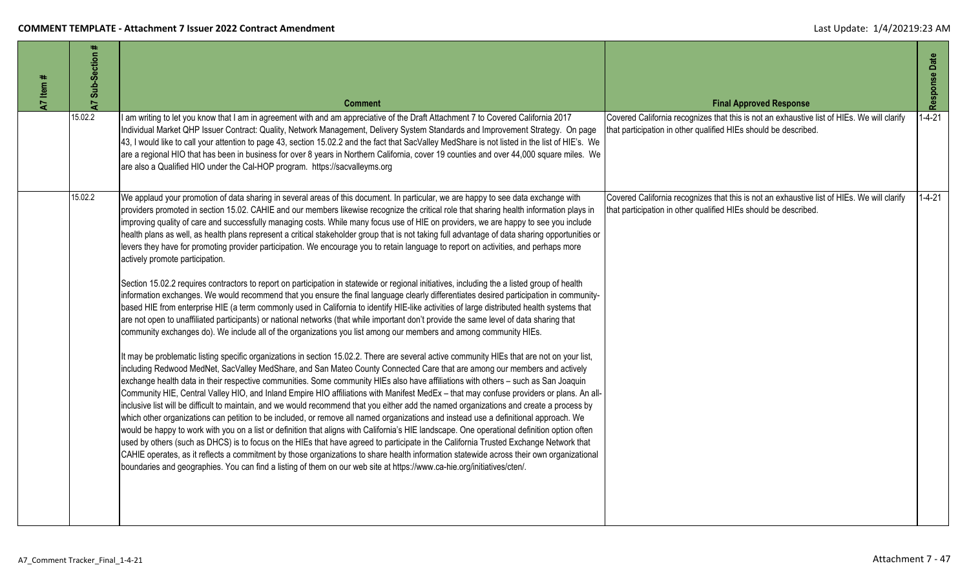| A7 Item # | #<br>A7 Sub-Section | <b>Comment</b>                                                                                                                                                                                                                                                                                                                                                                                                                                                                                                                                                                                                                                                                                                                                                                                                                                                                                                                                                                                                                                                                                                                                                                                                                                                                                                                                                                                                                                                                                                                                                                                                                                                                                                                                                                                                                                                                                                                                                                                                                                                                                                                                                                                                                                                                                                                                                                                                                                                                                                                                                                                                                                                                                                                                                                                                                                                                  | <b>Final Approved Response</b>                                                                                                                                | Response Date |
|-----------|---------------------|---------------------------------------------------------------------------------------------------------------------------------------------------------------------------------------------------------------------------------------------------------------------------------------------------------------------------------------------------------------------------------------------------------------------------------------------------------------------------------------------------------------------------------------------------------------------------------------------------------------------------------------------------------------------------------------------------------------------------------------------------------------------------------------------------------------------------------------------------------------------------------------------------------------------------------------------------------------------------------------------------------------------------------------------------------------------------------------------------------------------------------------------------------------------------------------------------------------------------------------------------------------------------------------------------------------------------------------------------------------------------------------------------------------------------------------------------------------------------------------------------------------------------------------------------------------------------------------------------------------------------------------------------------------------------------------------------------------------------------------------------------------------------------------------------------------------------------------------------------------------------------------------------------------------------------------------------------------------------------------------------------------------------------------------------------------------------------------------------------------------------------------------------------------------------------------------------------------------------------------------------------------------------------------------------------------------------------------------------------------------------------------------------------------------------------------------------------------------------------------------------------------------------------------------------------------------------------------------------------------------------------------------------------------------------------------------------------------------------------------------------------------------------------------------------------------------------------------------------------------------------------|---------------------------------------------------------------------------------------------------------------------------------------------------------------|---------------|
|           | 15.02.2             | I am writing to let you know that I am in agreement with and am appreciative of the Draft Attachment 7 to Covered California 2017<br>Individual Market QHP Issuer Contract: Quality, Network Management, Delivery System Standards and Improvement Strategy. On page<br>43, I would like to call your attention to page 43, section 15.02.2 and the fact that SacValley MedShare is not listed in the list of HIE's. We<br>are a regional HIO that has been in business for over 8 years in Northern California, cover 19 counties and over 44,000 square miles. We<br>are also a Qualified HIO under the Cal-HOP program. https://sacvalleyms.org                                                                                                                                                                                                                                                                                                                                                                                                                                                                                                                                                                                                                                                                                                                                                                                                                                                                                                                                                                                                                                                                                                                                                                                                                                                                                                                                                                                                                                                                                                                                                                                                                                                                                                                                                                                                                                                                                                                                                                                                                                                                                                                                                                                                                              | Covered California recognizes that this is not an exhaustive list of HIEs. We will clarify<br>that participation in other qualified HIEs should be described. | $1 - 4 - 21$  |
|           | 15.02.2             | We applaud your promotion of data sharing in several areas of this document. In particular, we are happy to see data exchange with<br>providers promoted in section 15.02. CAHIE and our members likewise recognize the critical role that sharing health information plays in<br>improving quality of care and successfully managing costs. While many focus use of HIE on providers, we are happy to see you include<br>health plans as well, as health plans represent a critical stakeholder group that is not taking full advantage of data sharing opportunities or<br>levers they have for promoting provider participation. We encourage you to retain language to report on activities, and perhaps more<br>actively promote participation.<br>Section 15.02.2 requires contractors to report on participation in statewide or regional initiatives, including the a listed group of health<br>information exchanges. We would recommend that you ensure the final language clearly differentiates desired participation in community-<br>based HIE from enterprise HIE (a term commonly used in California to identify HIE-like activities of large distributed health systems that<br>are not open to unaffiliated participants) or national networks (that while important don't provide the same level of data sharing that<br>community exchanges do). We include all of the organizations you list among our members and among community HIEs.<br>It may be problematic listing specific organizations in section 15.02.2. There are several active community HIEs that are not on your list,<br>including Redwood MedNet, SacValley MedShare, and San Mateo County Connected Care that are among our members and actively<br>exchange health data in their respective communities. Some community HIEs also have affiliations with others - such as San Joaquin<br>Community HIE, Central Valley HIO, and Inland Empire HIO affiliations with Manifest MedEx - that may confuse providers or plans. An all-<br>inclusive list will be difficult to maintain, and we would recommend that you either add the named organizations and create a process by<br>which other organizations can petition to be included, or remove all named organizations and instead use a definitional approach. We<br>would be happy to work with you on a list or definition that aligns with California's HIE landscape. One operational definition option often<br>used by others (such as DHCS) is to focus on the HIEs that have agreed to participate in the California Trusted Exchange Network that<br>CAHIE operates, as it reflects a commitment by those organizations to share health information statewide across their own organizational<br>boundaries and geographies. You can find a listing of them on our web site at https://www.ca-hie.org/initiatives/cten/. | Covered California recognizes that this is not an exhaustive list of HIEs. We will clarify<br>that participation in other qualified HIEs should be described. | $1 - 4 - 21$  |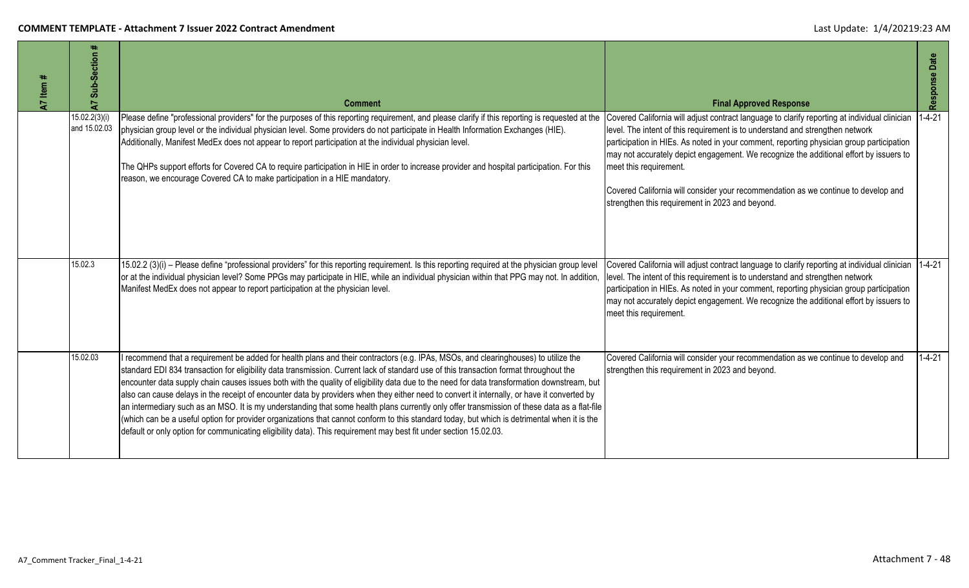| 47 Item # | Sub-Section<br>$\overline{A}$ | <b>Comment</b>                                                                                                                                                                                                                                                                                                                                                                                                                                                                                                                                                                                                                                                                                                                                                                                                                                                                                                                                                                                 | <b>Final Approved Response</b>                                                                                                                                                                                                                                                                                                                                                                                                                                                                                                          | Response Date |
|-----------|-------------------------------|------------------------------------------------------------------------------------------------------------------------------------------------------------------------------------------------------------------------------------------------------------------------------------------------------------------------------------------------------------------------------------------------------------------------------------------------------------------------------------------------------------------------------------------------------------------------------------------------------------------------------------------------------------------------------------------------------------------------------------------------------------------------------------------------------------------------------------------------------------------------------------------------------------------------------------------------------------------------------------------------|-----------------------------------------------------------------------------------------------------------------------------------------------------------------------------------------------------------------------------------------------------------------------------------------------------------------------------------------------------------------------------------------------------------------------------------------------------------------------------------------------------------------------------------------|---------------|
|           | 15.02.2(3)(i)<br>and 15.02.03 | Please define "professional providers" for the purposes of this reporting requirement, and please clarify if this reporting is requested at the<br>physician group level or the individual physician level. Some providers do not participate in Health Information Exchanges (HIE).<br>Additionally, Manifest MedEx does not appear to report participation at the individual physician level.<br>The QHPs support efforts for Covered CA to require participation in HIE in order to increase provider and hospital participation. For this<br>reason, we encourage Covered CA to make participation in a HIE mandatory.                                                                                                                                                                                                                                                                                                                                                                     | Covered California will adjust contract language to clarify reporting at individual clinician<br>level. The intent of this requirement is to understand and strengthen network<br>participation in HIEs. As noted in your comment, reporting physician group participation<br>may not accurately depict engagement. We recognize the additional effort by issuers to<br>meet this requirement.<br>Covered California will consider your recommendation as we continue to develop and<br>strengthen this requirement in 2023 and beyond. | $1 - 4 - 21$  |
|           | 15.02.3                       | 15.02.2 (3)(i) – Please define "professional providers" for this reporting requirement. Is this reporting required at the physician group level<br>or at the individual physician level? Some PPGs may participate in HIE, while an individual physician within that PPG may not. In addition,<br>Manifest MedEx does not appear to report participation at the physician level.                                                                                                                                                                                                                                                                                                                                                                                                                                                                                                                                                                                                               | Covered California will adjust contract language to clarify reporting at individual clinician<br>level. The intent of this requirement is to understand and strengthen network<br>participation in HIEs. As noted in your comment, reporting physician group participation<br>may not accurately depict engagement. We recognize the additional effort by issuers to<br>meet this requirement.                                                                                                                                          | $1 - 4 - 21$  |
|           | 15.02.03                      | recommend that a requirement be added for health plans and their contractors (e.g. IPAs, MSOs, and clearinghouses) to utilize the<br>standard EDI 834 transaction for eligibility data transmission. Current lack of standard use of this transaction format throughout the<br>encounter data supply chain causes issues both with the quality of eligibility data due to the need for data transformation downstream, but<br>also can cause delays in the receipt of encounter data by providers when they either need to convert it internally, or have it converted by<br>an intermediary such as an MSO. It is my understanding that some health plans currently only offer transmission of these data as a flat-file<br>(which can be a useful option for provider organizations that cannot conform to this standard today, but which is detrimental when it is the<br>default or only option for communicating eligibility data). This requirement may best fit under section 15.02.03. | Covered California will consider your recommendation as we continue to develop and<br>strengthen this requirement in 2023 and beyond.                                                                                                                                                                                                                                                                                                                                                                                                   | $1 - 4 - 21$  |